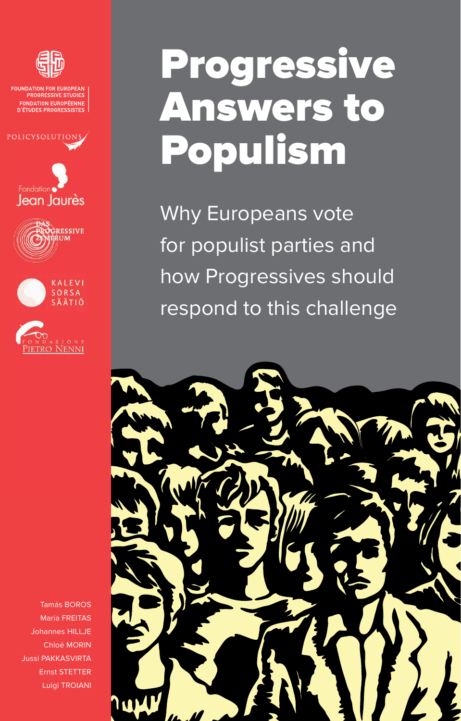

FOUNDATION FOR EUROPEAN<br>PROGRESSIVE STUDIES **FONDATION EUROPÉENNE D'ÉTUDES PROGRESSISTES** 











Tamás BOROS Maria FREITAS Johannes HILLJE Chloé MORIN Jussi PAKKASVIRTA Ernst STETTER Luigi TROIANI

# **Progressive** Answers to Populism

Why Europeans vote for populist parties and how Progressives should respond to this challenge

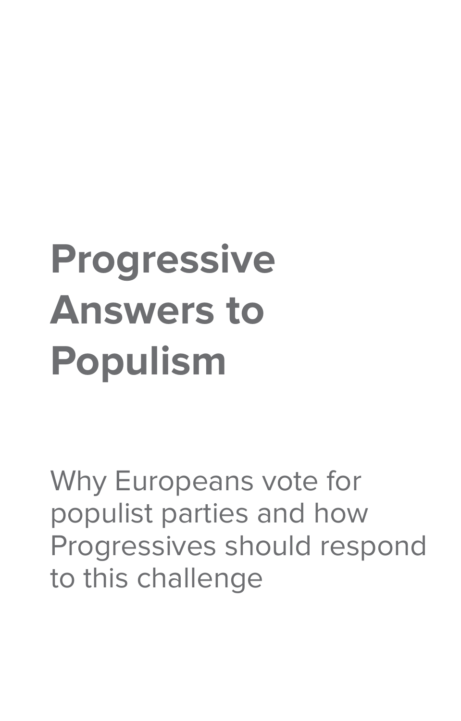# **Progressive Answers to Populism**

Why Europeans vote for populist parties and how Progressives should respond to this challenge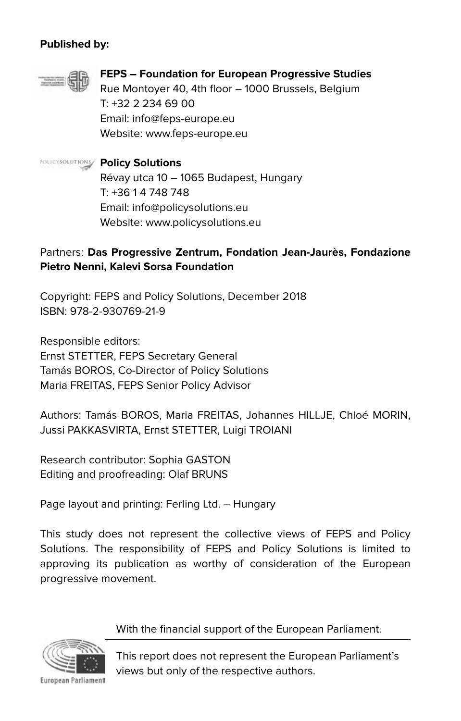#### **Published by:**



#### **FEPS – Foundation for European Progressive Studies** Rue Montoyer 40, 4th floor – 1000 Brussels, Belgium T: +32 2 234 69 00 Email: info@feps-europe.eu

Website: www.feps-europe.eu

#### **Policy Solutions**

Révay utca 10 – 1065 Budapest, Hungary T: +36 1 4 748 748 Email: info@policysolutions.eu Website: www.policysolutions.eu

#### Partners: **Das Progressive Zentrum, Fondation Jean-Jaurès, Fondazione Pietro Nenni, Kalevi Sorsa Foundation**

Copyright: FEPS and Policy Solutions, December 2018 ISBN: 978-2-930769-21-9

Responsible editors: Ernst STETTER, FEPS Secretary General Tamás BOROS, Co-Director of Policy Solutions Maria FREITAS, FEPS Senior Policy Advisor

Authors: Tamás BOROS, Maria FREITAS, Johannes HILLJE, Chloé MORIN, Jussi PAKKASVIRTA, Ernst STETTER, Luigi TROIANI

Research contributor: Sophia GASTON Editing and proofreading: Olaf BRUNS

Page layout and printing: Ferling Ltd. – Hungary

This study does not represent the collective views of FEPS and Policy Solutions. The responsibility of FEPS and Policy Solutions is limited to approving its publication as worthy of consideration of the European progressive movement.

#### With the financial support of the European Parliament.



European Parliament

This report does not represent the European Parliament's views but only of the respective authors.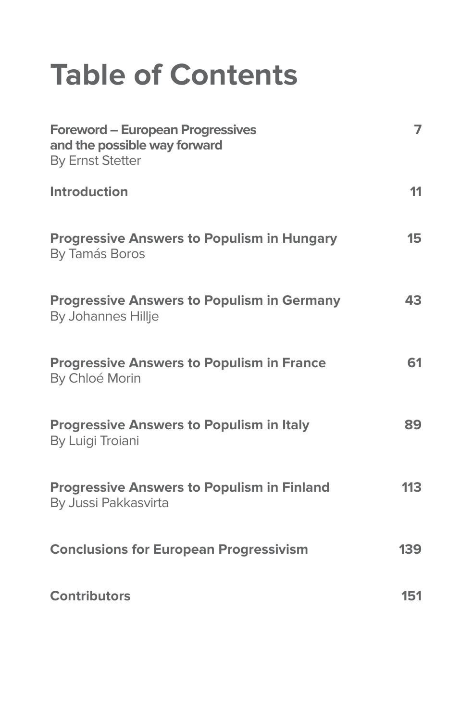# **Table of Contents**

| <b>Foreword - European Progressives</b><br>and the possible way forward<br><b>By Ernst Stetter</b> | $\overline{ }$ |
|----------------------------------------------------------------------------------------------------|----------------|
| Introduction                                                                                       | 11             |
| <b>Progressive Answers to Populism in Hungary</b><br>By Tamás Boros                                | 15             |
| <b>Progressive Answers to Populism in Germany</b><br>By Johannes Hillje                            | 43             |
| <b>Progressive Answers to Populism in France</b><br>By Chloé Morin                                 | 61             |
| <b>Progressive Answers to Populism in Italy</b><br>By Luigi Troiani                                | 89             |
| <b>Progressive Answers to Populism in Finland</b><br>By Jussi Pakkasvirta                          | 113            |
| <b>Conclusions for European Progressivism</b>                                                      | 139            |
| <b>Contributors</b>                                                                                | 151            |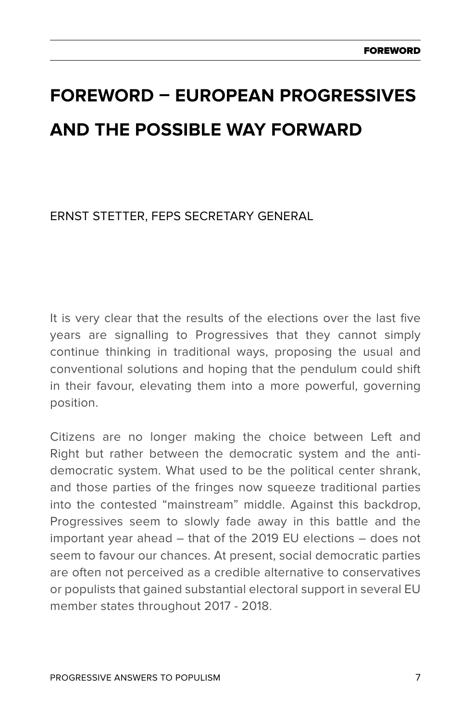# **Foreword – European Progressives and the possible way forward**

Ernst Stetter, FEPS Secretary General

It is very clear that the results of the elections over the last five years are signalling to Progressives that they cannot simply continue thinking in traditional ways, proposing the usual and conventional solutions and hoping that the pendulum could shift in their favour, elevating them into a more powerful, governing position.

Citizens are no longer making the choice between Left and Right but rather between the democratic system and the antidemocratic system. What used to be the political center shrank, and those parties of the fringes now squeeze traditional parties into the contested "mainstream" middle. Against this backdrop, Progressives seem to slowly fade away in this battle and the important year ahead – that of the 2019 EU elections – does not seem to favour our chances. At present, social democratic parties are often not perceived as a credible alternative to conservatives or populists that gained substantial electoral support in several EU member states throughout 2017 - 2018.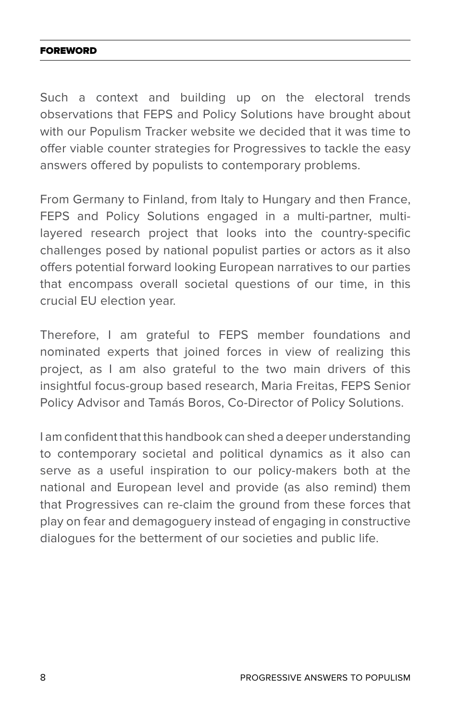#### Foreword

Such a context and building up on the electoral trends observations that FEPS and Policy Solutions have brought about with our Populism Tracker website we decided that it was time to offer viable counter strategies for Progressives to tackle the easy answers offered by populists to contemporary problems.

From Germany to Finland, from Italy to Hungary and then France, FEPS and Policy Solutions engaged in a multi-partner, multilayered research project that looks into the country-specific challenges posed by national populist parties or actors as it also offers potential forward looking European narratives to our parties that encompass overall societal questions of our time, in this crucial EU election year.

Therefore, I am grateful to FEPS member foundations and nominated experts that joined forces in view of realizing this project, as I am also grateful to the two main drivers of this insightful focus-group based research, Maria Freitas, FEPS Senior Policy Advisor and Tamás Boros, Co-Director of Policy Solutions.

I am confident that this handbook can shed a deeper understanding to contemporary societal and political dynamics as it also can serve as a useful inspiration to our policy-makers both at the national and European level and provide (as also remind) them that Progressives can re-claim the ground from these forces that play on fear and demagoguery instead of engaging in constructive dialogues for the betterment of our societies and public life.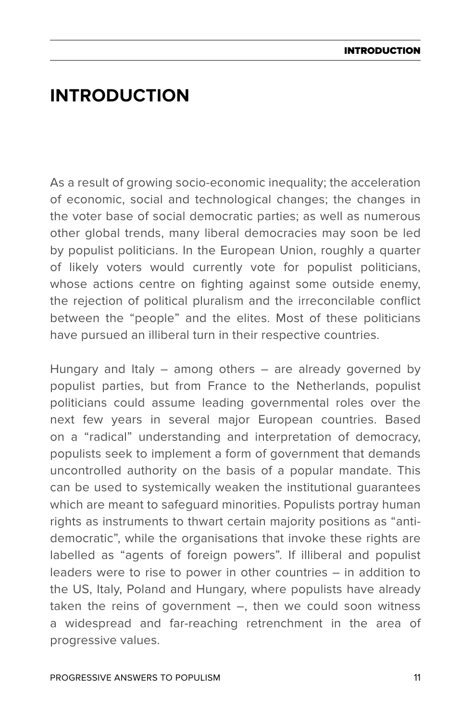# **Introduction**

As a result of growing socio-economic inequality; the acceleration of economic, social and technological changes; the changes in the voter base of social democratic parties; as well as numerous other global trends, many liberal democracies may soon be led by populist politicians. In the European Union, roughly a quarter of likely voters would currently vote for populist politicians, whose actions centre on fighting against some outside enemy. the rejection of political pluralism and the irreconcilable conflict between the "people" and the elites. Most of these politicians have pursued an illiberal turn in their respective countries.

Hungary and Italy – among others – are already governed by populist parties, but from France to the Netherlands, populist politicians could assume leading governmental roles over the next few years in several major European countries. Based on a "radical" understanding and interpretation of democracy, populists seek to implement a form of government that demands uncontrolled authority on the basis of a popular mandate. This can be used to systemically weaken the institutional guarantees which are meant to safeguard minorities. Populists portray human rights as instruments to thwart certain majority positions as "antidemocratic", while the organisations that invoke these rights are labelled as "agents of foreign powers". If illiberal and populist leaders were to rise to power in other countries – in addition to the US, Italy, Poland and Hungary, where populists have already taken the reins of government –, then we could soon witness a widespread and far-reaching retrenchment in the area of progressive values.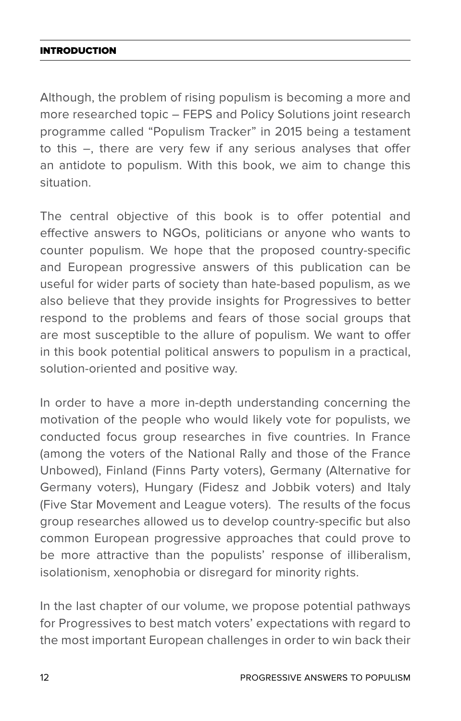#### Introduction

Although, the problem of rising populism is becoming a more and more researched topic – FEPS and Policy Solutions joint research programme called "Populism Tracker" in 2015 being a testament to this –, there are very few if any serious analyses that offer an antidote to populism. With this book, we aim to change this situation.

The central objective of this book is to offer potential and effective answers to NGOs, politicians or anyone who wants to counter populism. We hope that the proposed country-specific and European progressive answers of this publication can be useful for wider parts of society than hate-based populism, as we also believe that they provide insights for Progressives to better respond to the problems and fears of those social groups that are most susceptible to the allure of populism. We want to offer in this book potential political answers to populism in a practical, solution-oriented and positive way.

In order to have a more in-depth understanding concerning the motivation of the people who would likely vote for populists, we conducted focus group researches in five countries. In France (among the voters of the National Rally and those of the France Unbowed), Finland (Finns Party voters), Germany (Alternative for Germany voters), Hungary (Fidesz and Jobbik voters) and Italy (Five Star Movement and League voters). The results of the focus group researches allowed us to develop country-specific but also common European progressive approaches that could prove to be more attractive than the populists' response of illiberalism, isolationism, xenophobia or disregard for minority rights.

In the last chapter of our volume, we propose potential pathways for Progressives to best match voters' expectations with regard to the most important European challenges in order to win back their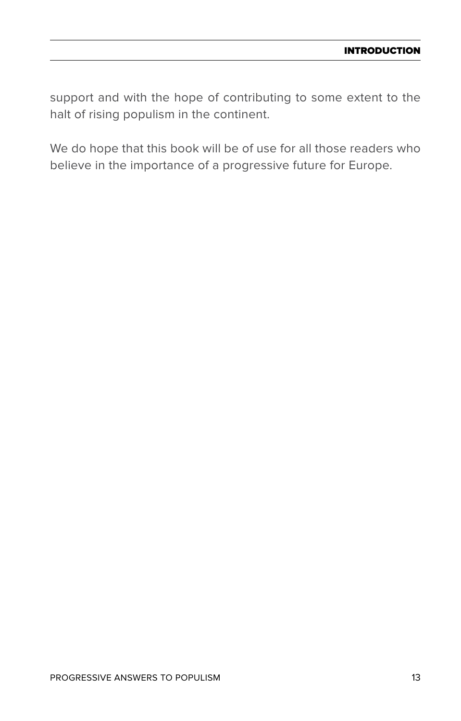support and with the hope of contributing to some extent to the halt of rising populism in the continent.

We do hope that this book will be of use for all those readers who believe in the importance of a progressive future for Europe.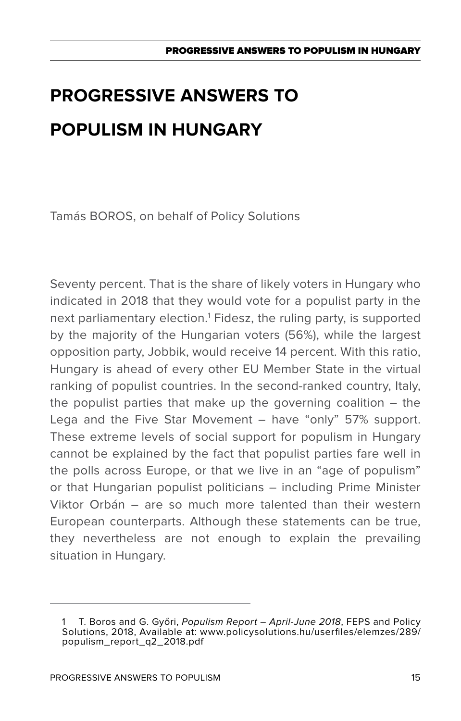Tamás BOROS, on behalf of Policy Solutions

Seventy percent. That is the share of likely voters in Hungary who indicated in 2018 that they would vote for a populist party in the next parliamentary election.1 Fidesz, the ruling party, is supported by the majority of the Hungarian voters (56%), while the largest opposition party, Jobbik, would receive 14 percent. With this ratio, Hungary is ahead of every other EU Member State in the virtual ranking of populist countries. In the second-ranked country, Italy, the populist parties that make up the governing coalition – the Lega and the Five Star Movement – have "only" 57% support. These extreme levels of social support for populism in Hungary cannot be explained by the fact that populist parties fare well in the polls across Europe, or that we live in an "age of populism" or that Hungarian populist politicians – including Prime Minister Viktor Orbán – are so much more talented than their western European counterparts. Although these statements can be true, they nevertheless are not enough to explain the prevailing situation in Hungary.

<sup>1</sup> T. Boros and G. Győri, *Populism Report – April-June 2018*, FEPS and Policy Solutions, 2018, Available at: www.policysolutions.hu/userfiles/elemzes/289/ populism\_report\_q2\_2018.pdf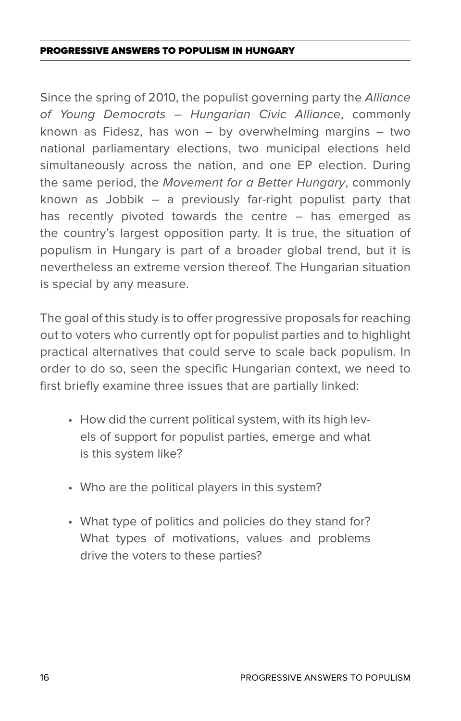Since the spring of 2010, the populist governing party the *Alliance of Young Democrats – Hungarian Civic Alliance*, commonly known as Fidesz, has won – by overwhelming margins – two national parliamentary elections, two municipal elections held simultaneously across the nation, and one EP election. During the same period, the *Movement for a Better Hungary*, commonly known as Jobbik – a previously far-right populist party that has recently pivoted towards the centre – has emerged as the country's largest opposition party. It is true, the situation of populism in Hungary is part of a broader global trend, but it is nevertheless an extreme version thereof. The Hungarian situation is special by any measure.

The goal of this study is to offer progressive proposals for reaching out to voters who currently opt for populist parties and to highlight practical alternatives that could serve to scale back populism. In order to do so, seen the specific Hungarian context, we need to first briefly examine three issues that are partially linked:

- How did the current political system, with its high levels of support for populist parties, emerge and what is this system like?
- Who are the political players in this system?
- What type of politics and policies do they stand for? What types of motivations, values and problems drive the voters to these parties?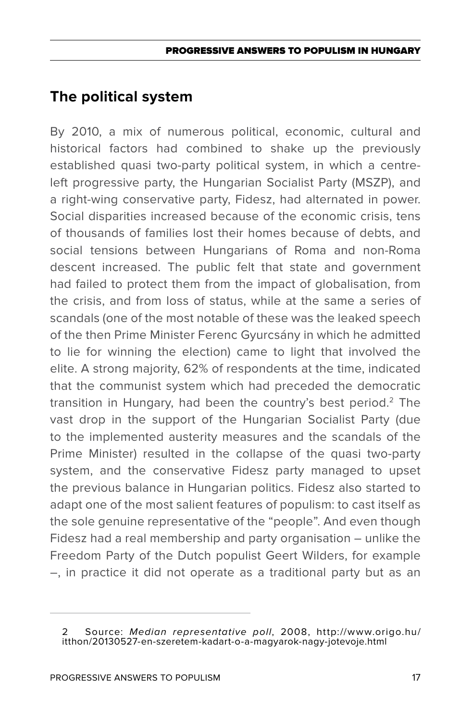## **The political system**

By 2010, a mix of numerous political, economic, cultural and historical factors had combined to shake up the previously established quasi two-party political system, in which a centreleft progressive party, the Hungarian Socialist Party (MSZP), and a right-wing conservative party, Fidesz, had alternated in power. Social disparities increased because of the economic crisis, tens of thousands of families lost their homes because of debts, and social tensions between Hungarians of Roma and non-Roma descent increased. The public felt that state and government had failed to protect them from the impact of globalisation, from the crisis, and from loss of status, while at the same a series of scandals (one of the most notable of these was the leaked speech of the then Prime Minister Ferenc Gyurcsány in which he admitted to lie for winning the election) came to light that involved the elite. A strong majority, 62% of respondents at the time, indicated that the communist system which had preceded the democratic transition in Hungary, had been the country's best period.<sup>2</sup> The vast drop in the support of the Hungarian Socialist Party (due to the implemented austerity measures and the scandals of the Prime Minister) resulted in the collapse of the quasi two-party system, and the conservative Fidesz party managed to upset the previous balance in Hungarian politics. Fidesz also started to adapt one of the most salient features of populism: to cast itself as the sole genuine representative of the "people". And even though Fidesz had a real membership and party organisation – unlike the Freedom Party of the Dutch populist Geert Wilders, for example –, in practice it did not operate as a traditional party but as an

<sup>2</sup> Source: *Median representative poll*, 2008, http://www.origo.hu/ itthon/20130527-en-szeretem-kadart-o-a-magyarok-nagy-jotevoje.html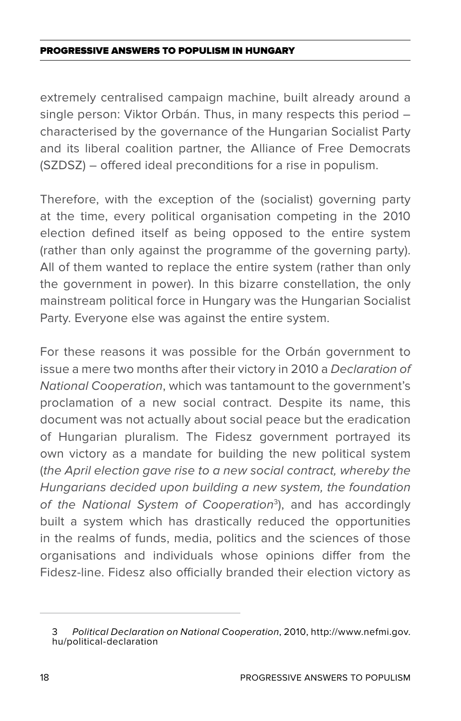extremely centralised campaign machine, built already around a single person: Viktor Orbán. Thus, in many respects this period – characterised by the governance of the Hungarian Socialist Party and its liberal coalition partner, the Alliance of Free Democrats (SZDSZ) – offered ideal preconditions for a rise in populism.

Therefore, with the exception of the (socialist) governing party at the time, every political organisation competing in the 2010 election defined itself as being opposed to the entire system (rather than only against the programme of the governing party). All of them wanted to replace the entire system (rather than only the government in power). In this bizarre constellation, the only mainstream political force in Hungary was the Hungarian Socialist Party. Everyone else was against the entire system.

For these reasons it was possible for the Orbán government to issue a mere two months after their victory in 2010 a *Declaration of National Cooperation*, which was tantamount to the government's proclamation of a new social contract. Despite its name, this document was not actually about social peace but the eradication of Hungarian pluralism. The Fidesz government portrayed its own victory as a mandate for building the new political system (*the April election gave rise to a new social contract, whereby the Hungarians decided upon building a new system, the foundation of the National System of Cooperation*<sup>3</sup> ), and has accordingly built a system which has drastically reduced the opportunities in the realms of funds, media, politics and the sciences of those organisations and individuals whose opinions differ from the Fidesz-line. Fidesz also officially branded their election victory as

<sup>3</sup> *Political Declaration on National Cooperation*, 2010, http://www.nefmi.gov. hu/political-declaration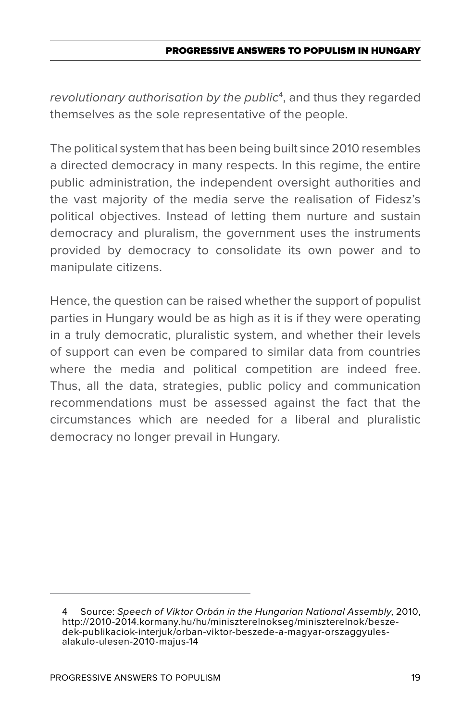*revolutionary authorisation by the public*<sup>4</sup> , and thus they regarded themselves as the sole representative of the people.

The political system that has been being built since 2010 resembles a directed democracy in many respects. In this regime, the entire public administration, the independent oversight authorities and the vast majority of the media serve the realisation of Fidesz's political objectives. Instead of letting them nurture and sustain democracy and pluralism, the government uses the instruments provided by democracy to consolidate its own power and to manipulate citizens.

Hence, the question can be raised whether the support of populist parties in Hungary would be as high as it is if they were operating in a truly democratic, pluralistic system, and whether their levels of support can even be compared to similar data from countries where the media and political competition are indeed free. Thus, all the data, strategies, public policy and communication recommendations must be assessed against the fact that the circumstances which are needed for a liberal and pluralistic democracy no longer prevail in Hungary.

<sup>4</sup> Source: *Speech of Viktor Orbán in the Hungarian National Assembly*, 2010, http://2010-2014.kormany.hu/hu/miniszterelnokseg/miniszterelnok/beszedek-publikaciok-interjuk/orban-viktor-beszede-a-magyar-orszaggyulesalakulo-ulesen-2010-majus-14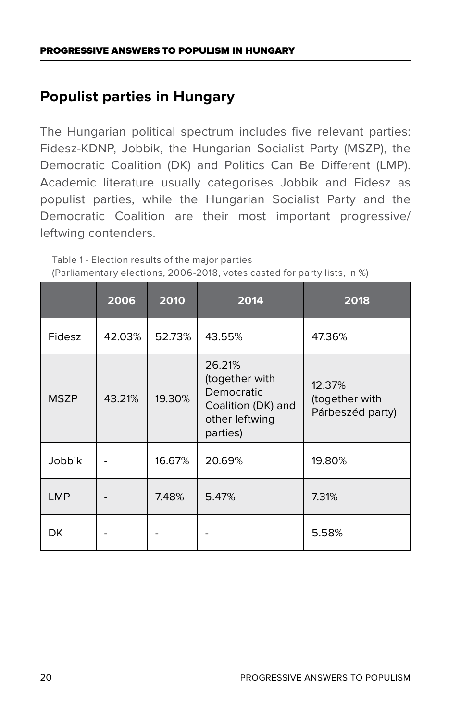# **Populist parties in Hungary**

The Hungarian political spectrum includes five relevant parties: Fidesz-KDNP, Jobbik, the Hungarian Socialist Party (MSZP), the Democratic Coalition (DK) and Politics Can Be Different (LMP). Academic literature usually categorises Jobbik and Fidesz as populist parties, while the Hungarian Socialist Party and the Democratic Coalition are their most important progressive/ leftwing contenders.

Table 1 - Election results of the major parties (Parliamentary elections, 2006-2018, votes casted for party lists, in %)

|             | 2006   | 2010   | 2014                                                                                       | 2018                                         |
|-------------|--------|--------|--------------------------------------------------------------------------------------------|----------------------------------------------|
| Fidesz      | 42.03% | 52.73% | 43.55%                                                                                     | 47.36%                                       |
| <b>MSZP</b> | 43.21% | 19.30% | 26.21%<br>(together with<br>Democratic<br>Coalition (DK) and<br>other leftwing<br>parties) | 12.37%<br>(together with<br>Párbeszéd party) |
| Jobbik      |        | 16.67% | 20.69%                                                                                     | 19.80%                                       |
| <b>LMP</b>  |        | 7.48%  | 5.47%                                                                                      | 7.31%                                        |
| DK          |        |        |                                                                                            | 5.58%                                        |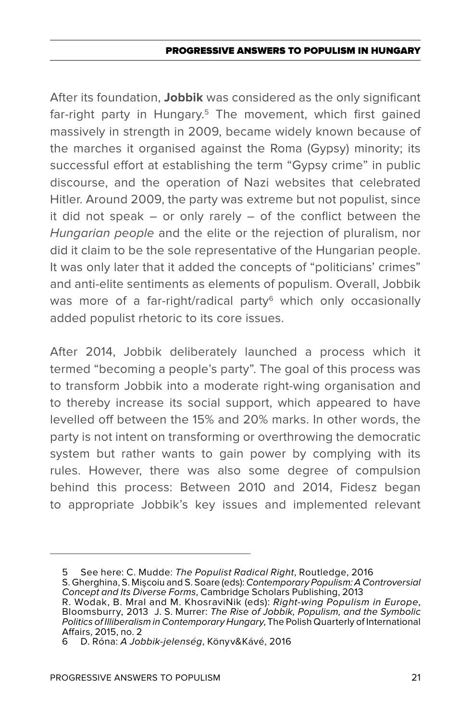After its foundation, **Jobbik** was considered as the only significant far-right party in Hungary.<sup>5</sup> The movement, which first gained massively in strength in 2009, became widely known because of the marches it organised against the Roma (Gypsy) minority; its successful effort at establishing the term "Gypsy crime" in public discourse, and the operation of Nazi websites that celebrated Hitler. Around 2009, the party was extreme but not populist, since it did not speak – or only rarely – of the conflict between the *Hungarian people* and the elite or the rejection of pluralism, nor did it claim to be the sole representative of the Hungarian people. It was only later that it added the concepts of "politicians' crimes" and anti-elite sentiments as elements of populism. Overall, Jobbik was more of a far-right/radical party<sup>6</sup> which only occasionally added populist rhetoric to its core issues.

After 2014, Jobbik deliberately launched a process which it termed "becoming a people's party". The goal of this process was to transform Jobbik into a moderate right-wing organisation and to thereby increase its social support, which appeared to have levelled off between the 15% and 20% marks. In other words, the party is not intent on transforming or overthrowing the democratic system but rather wants to gain power by complying with its rules. However, there was also some degree of compulsion behind this process: Between 2010 and 2014, Fidesz began to appropriate Jobbik's key issues and implemented relevant

<sup>5</sup> See here: C. Mudde: *The Populist Radical Right*, Routledge, 2016

S. Gherghina, S. Mişcoiu and S. Soare (eds): *Contemporary Populism: A Controversial Concept and Its Diverse Forms*, Cambridge Scholars Publishing, 2013

R. Wodak, B. Mral and M. KhosraviNik (eds): *Right-wing Populism in Europe*, Bloomsburry, 2013 J. S. Murrer: *The Rise of Jobbik, Populism, and the Symbolic Politics of Illiberalism in Contemporary Hungary*, The Polish Quarterly of International Affairs, 2015, no. 2

<sup>6</sup> D. Róna: *A Jobbik-jelenség*, Könyv&Kávé, 2016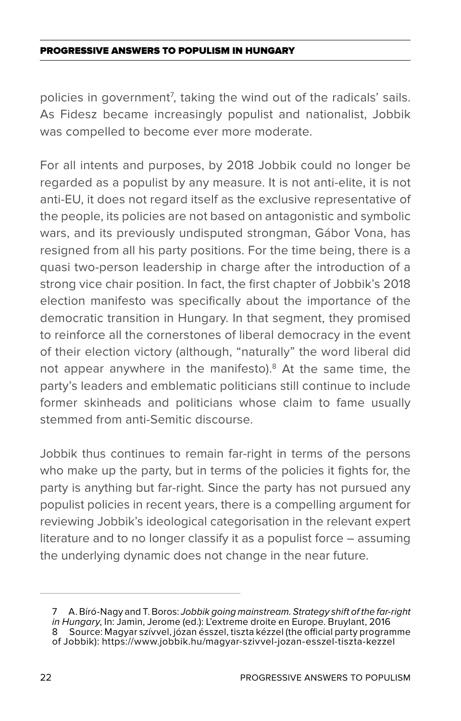policies in government<sup>7</sup>, taking the wind out of the radicals' sails. As Fidesz became increasingly populist and nationalist, Jobbik was compelled to become ever more moderate.

For all intents and purposes, by 2018 Jobbik could no longer be regarded as a populist by any measure. It is not anti-elite, it is not anti-EU, it does not regard itself as the exclusive representative of the people, its policies are not based on antagonistic and symbolic wars, and its previously undisputed strongman, Gábor Vona, has resigned from all his party positions. For the time being, there is a quasi two-person leadership in charge after the introduction of a strong vice chair position. In fact, the first chapter of Jobbik's 2018 election manifesto was specifically about the importance of the democratic transition in Hungary. In that segment, they promised to reinforce all the cornerstones of liberal democracy in the event of their election victory (although, "naturally" the word liberal did not appear anywhere in the manifesto).<sup>8</sup> At the same time, the party's leaders and emblematic politicians still continue to include former skinheads and politicians whose claim to fame usually stemmed from anti-Semitic discourse.

Jobbik thus continues to remain far-right in terms of the persons who make up the party, but in terms of the policies it fights for, the party is anything but far-right. Since the party has not pursued any populist policies in recent years, there is a compelling argument for reviewing Jobbik's ideological categorisation in the relevant expert literature and to no longer classify it as a populist force – assuming the underlying dynamic does not change in the near future.

<sup>7</sup> A. Bíró-Nagy and T. Boros: *Jobbik going mainstream. Strategy shift of the far-right in Hungary*, In: Jamin, Jerome (ed.): L'extreme droite en Europe. Bruylant, 2016 8 Source: Magyar szívvel, józan ésszel, tiszta kézzel (the official party programme of Jobbik): https://www.jobbik.hu/magyar-szivvel-jozan-esszel-tiszta-kezzel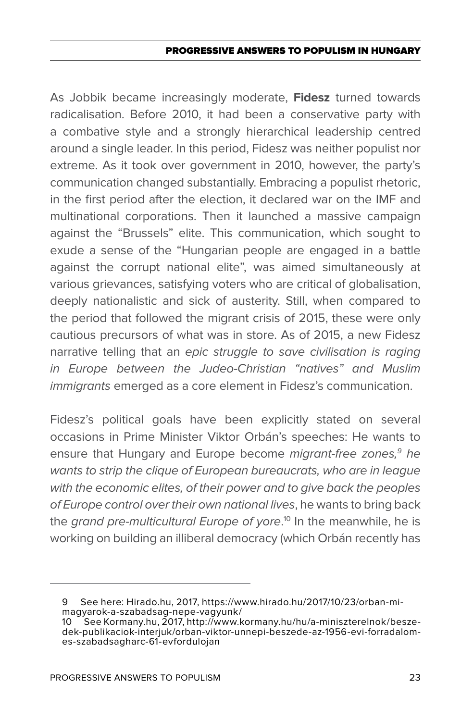As Jobbik became increasingly moderate, **Fidesz** turned towards radicalisation. Before 2010, it had been a conservative party with a combative style and a strongly hierarchical leadership centred around a single leader. In this period, Fidesz was neither populist nor extreme. As it took over government in 2010, however, the party's communication changed substantially. Embracing a populist rhetoric, in the first period after the election, it declared war on the IMF and multinational corporations. Then it launched a massive campaign against the "Brussels" elite. This communication, which sought to exude a sense of the "Hungarian people are engaged in a battle against the corrupt national elite", was aimed simultaneously at various grievances, satisfying voters who are critical of globalisation, deeply nationalistic and sick of austerity. Still, when compared to the period that followed the migrant crisis of 2015, these were only cautious precursors of what was in store. As of 2015, a new Fidesz narrative telling that an *epic struggle to save civilisation is raging in Europe between the Judeo-Christian "natives" and Muslim immigrants* emerged as a core element in Fidesz's communication.

Fidesz's political goals have been explicitly stated on several occasions in Prime Minister Viktor Orbán's speeches: He wants to ensure that Hungary and Europe become *migrant-free zones,9 he wants to strip the clique of European bureaucrats, who are in league with the economic elites, of their power and to give back the peoples of Europe control over their own national lives*, he wants to bring back the *grand pre-multicultural Europe of yore*. 10 In the meanwhile, he is working on building an illiberal democracy (which Orbán recently has

<sup>9</sup> See here: Hirado.hu, 2017, https://www.hirado.hu/2017/10/23/orban-mimagyarok-a-szabadsag-nepe-vagyunk/

<sup>10</sup> See Kormany.hu, 2017, http://www.kormany.hu/hu/a-miniszterelnok/beszedek-publikaciok-interjuk/orban-viktor-unnepi-beszede-az-1956-evi-forradalomes-szabadsagharc-61-evfordulojan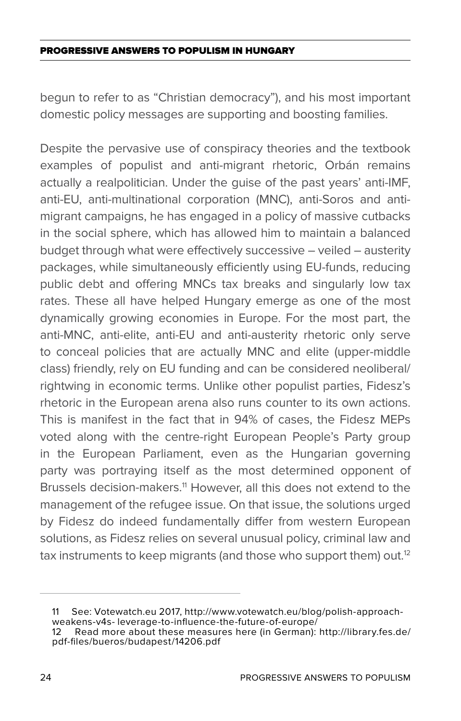begun to refer to as "Christian democracy"), and his most important domestic policy messages are supporting and boosting families.

Despite the pervasive use of conspiracy theories and the textbook examples of populist and anti-migrant rhetoric, Orbán remains actually a realpolitician. Under the guise of the past years' anti-IMF, anti-EU, anti-multinational corporation (MNC), anti-Soros and antimigrant campaigns, he has engaged in a policy of massive cutbacks in the social sphere, which has allowed him to maintain a balanced budget through what were effectively successive – veiled – austerity packages, while simultaneously efficiently using EU-funds, reducing public debt and offering MNCs tax breaks and singularly low tax rates. These all have helped Hungary emerge as one of the most dynamically growing economies in Europe. For the most part, the anti-MNC, anti-elite, anti-EU and anti-austerity rhetoric only serve to conceal policies that are actually MNC and elite (upper-middle class) friendly, rely on EU funding and can be considered neoliberal/ rightwing in economic terms. Unlike other populist parties, Fidesz's rhetoric in the European arena also runs counter to its own actions. This is manifest in the fact that in 94% of cases, the Fidesz MEPs voted along with the centre-right European People's Party group in the European Parliament, even as the Hungarian governing party was portraying itself as the most determined opponent of Brussels decision-makers.<sup>11</sup> However, all this does not extend to the management of the refugee issue. On that issue, the solutions urged by Fidesz do indeed fundamentally differ from western European solutions, as Fidesz relies on several unusual policy, criminal law and tax instruments to keep migrants (and those who support them) out.<sup>12</sup>

<sup>11</sup> See: Votewatch.eu 2017, http://www.votewatch.eu/blog/polish-approachweakens-v4s- leverage-to-influence-the-future-of-europe/

<sup>12</sup> Read more about these measures here (in German): http://library.fes.de/ pdf-files/bueros/budapest/14206.pdf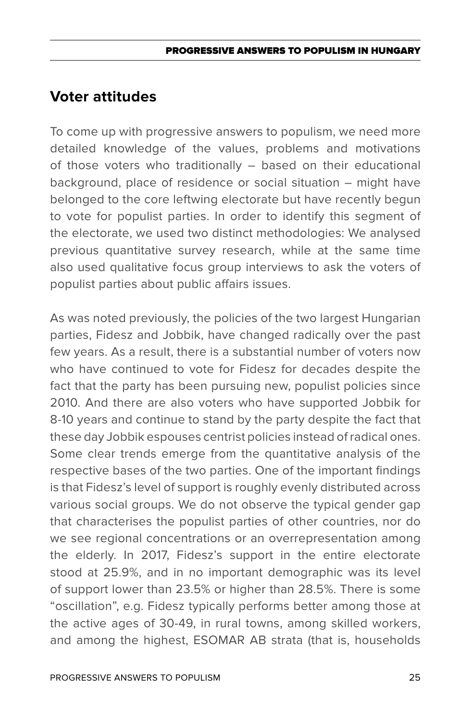## **Voter attitudes**

To come up with progressive answers to populism, we need more detailed knowledge of the values, problems and motivations of those voters who traditionally – based on their educational background, place of residence or social situation – might have belonged to the core leftwing electorate but have recently begun to vote for populist parties. In order to identify this segment of the electorate, we used two distinct methodologies: We analysed previous quantitative survey research, while at the same time also used qualitative focus group interviews to ask the voters of populist parties about public affairs issues.

As was noted previously, the policies of the two largest Hungarian parties, Fidesz and Jobbik, have changed radically over the past few years. As a result, there is a substantial number of voters now who have continued to vote for Fidesz for decades despite the fact that the party has been pursuing new, populist policies since 2010. And there are also voters who have supported Jobbik for 8-10 years and continue to stand by the party despite the fact that these day Jobbik espouses centrist policies instead of radical ones. Some clear trends emerge from the quantitative analysis of the respective bases of the two parties. One of the important findings is that Fidesz's level of support is roughly evenly distributed across various social groups. We do not observe the typical gender gap that characterises the populist parties of other countries, nor do we see regional concentrations or an overrepresentation among the elderly. In 2017, Fidesz's support in the entire electorate stood at 25.9%, and in no important demographic was its level of support lower than 23.5% or higher than 28.5%. There is some "oscillation", e.g. Fidesz typically performs better among those at the active ages of 30-49, in rural towns, among skilled workers, and among the highest, ESOMAR AB strata (that is, households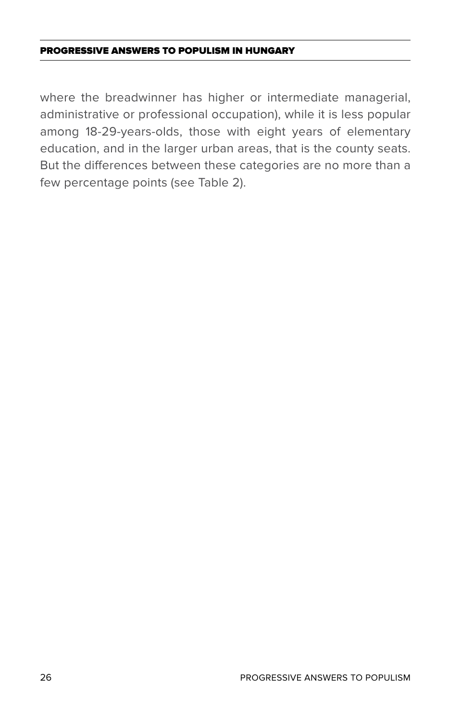where the breadwinner has higher or intermediate managerial, administrative or professional occupation), while it is less popular among 18-29-years-olds, those with eight years of elementary education, and in the larger urban areas, that is the county seats. But the differences between these categories are no more than a few percentage points (see Table 2).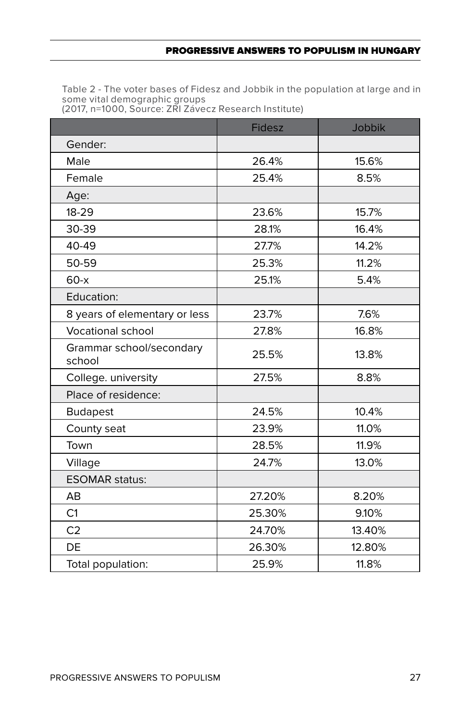Table 2 - The voter bases of Fidesz and Jobbik in the population at large and in some vital demographic groups (2017, n=1000, Source: ZRI Závecz Research Institute)

|                                    | <b>Fidesz</b> | <b>Jobbik</b> |
|------------------------------------|---------------|---------------|
| Gender:                            |               |               |
| Male                               | 26.4%         | 15.6%         |
| Female                             | 25.4%         | 8.5%          |
| Age:                               |               |               |
| 18-29                              | 23.6%         | 15.7%         |
| 30-39                              | 28.1%         | 16.4%         |
| 40-49                              | 27.7%         | 14.2%         |
| 50-59                              | 25.3%         | 11.2%         |
| $60-x$                             | 25.1%         | 5.4%          |
| Education:                         |               |               |
| 8 years of elementary or less      | 23.7%         | 7.6%          |
| Vocational school                  | 27.8%         | 16.8%         |
| Grammar school/secondary<br>school | 25.5%         | 13.8%         |
| College. university                | 27.5%         | 8.8%          |
| Place of residence:                |               |               |
| <b>Budapest</b>                    | 24.5%         | 10.4%         |
| County seat                        | 23.9%         | 11.0%         |
| Town                               | 28.5%         | 11.9%         |
| Village                            | 24.7%         | 13.0%         |
| <b>ESOMAR status:</b>              |               |               |
| AB                                 | 27.20%        | 8.20%         |
| C1                                 | 25.30%        | 9.10%         |
| C <sub>2</sub>                     | 24.70%        | 13.40%        |
| DE                                 | 26.30%        | 12.80%        |
| Total population:                  | 25.9%         | 11.8%         |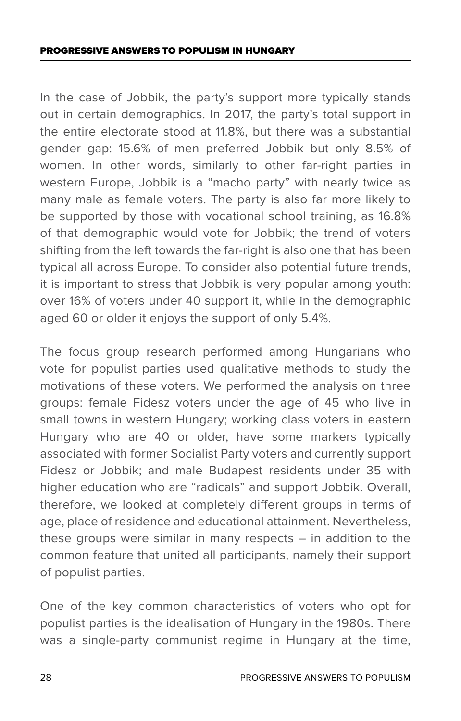In the case of Jobbik, the party's support more typically stands out in certain demographics. In 2017, the party's total support in the entire electorate stood at 11.8%, but there was a substantial gender gap: 15.6% of men preferred Jobbik but only 8.5% of women. In other words, similarly to other far-right parties in western Europe, Jobbik is a "macho party" with nearly twice as many male as female voters. The party is also far more likely to be supported by those with vocational school training, as 16.8% of that demographic would vote for Jobbik; the trend of voters shifting from the left towards the far-right is also one that has been typical all across Europe. To consider also potential future trends, it is important to stress that Jobbik is very popular among youth: over 16% of voters under 40 support it, while in the demographic aged 60 or older it enjoys the support of only 5.4%.

The focus group research performed among Hungarians who vote for populist parties used qualitative methods to study the motivations of these voters. We performed the analysis on three groups: female Fidesz voters under the age of 45 who live in small towns in western Hungary; working class voters in eastern Hungary who are 40 or older, have some markers typically associated with former Socialist Party voters and currently support Fidesz or Jobbik; and male Budapest residents under 35 with higher education who are "radicals" and support Jobbik. Overall, therefore, we looked at completely different groups in terms of age, place of residence and educational attainment. Nevertheless, these groups were similar in many respects – in addition to the common feature that united all participants, namely their support of populist parties.

One of the key common characteristics of voters who opt for populist parties is the idealisation of Hungary in the 1980s. There was a single-party communist regime in Hungary at the time,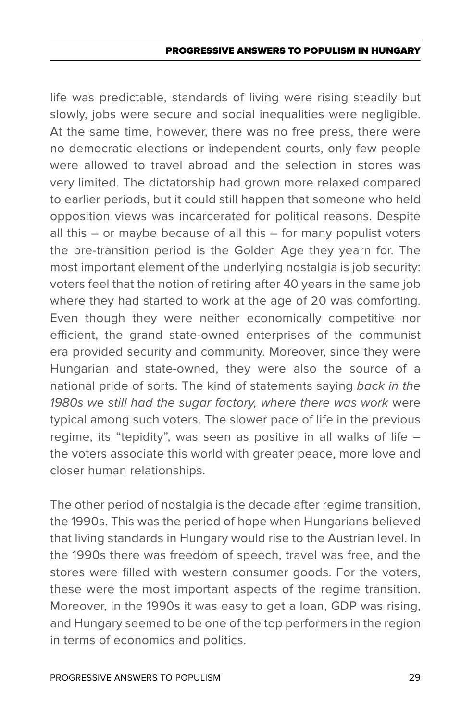#### PROGRESSIVE ANSWERS TO POPULISM IN HUNGAR

life was predictable, standards of living were rising steadily but slowly, jobs were secure and social inequalities were negligible. At the same time, however, there was no free press, there were no democratic elections or independent courts, only few people were allowed to travel abroad and the selection in stores was very limited. The dictatorship had grown more relaxed compared to earlier periods, but it could still happen that someone who held opposition views was incarcerated for political reasons. Despite all this – or maybe because of all this – for many populist voters the pre-transition period is the Golden Age they yearn for. The most important element of the underlying nostalgia is job security: voters feel that the notion of retiring after 40 years in the same job where they had started to work at the age of 20 was comforting. Even though they were neither economically competitive nor efficient, the grand state-owned enterprises of the communist era provided security and community. Moreover, since they were Hungarian and state-owned, they were also the source of a national pride of sorts. The kind of statements saying *back in the 1980s we still had the sugar factory, where there was work* were typical among such voters. The slower pace of life in the previous regime, its "tepidity", was seen as positive in all walks of life – the voters associate this world with greater peace, more love and closer human relationships.

The other period of nostalgia is the decade after regime transition, the 1990s. This was the period of hope when Hungarians believed that living standards in Hungary would rise to the Austrian level. In the 1990s there was freedom of speech, travel was free, and the stores were filled with western consumer goods. For the voters, these were the most important aspects of the regime transition. Moreover, in the 1990s it was easy to get a loan, GDP was rising, and Hungary seemed to be one of the top performers in the region in terms of economics and politics.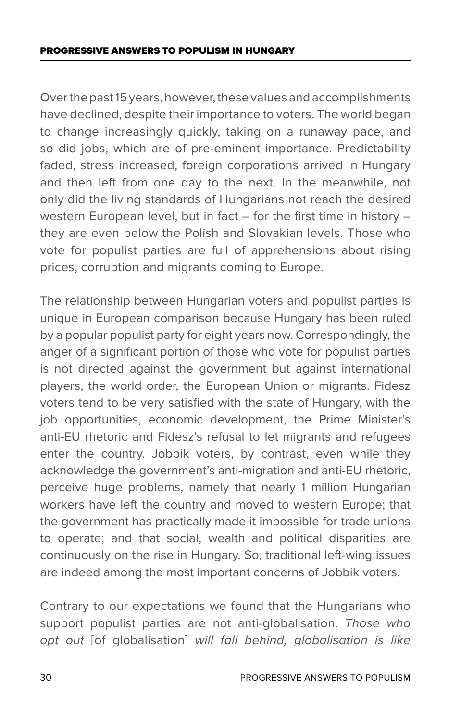Over the past 15 years, however, these values and accomplishments have declined, despite their importance to voters. The world began to change increasingly quickly, taking on a runaway pace, and so did jobs, which are of pre-eminent importance. Predictability faded, stress increased, foreign corporations arrived in Hungary and then left from one day to the next. In the meanwhile, not only did the living standards of Hungarians not reach the desired western European level, but in fact – for the first time in history – they are even below the Polish and Slovakian levels. Those who vote for populist parties are full of apprehensions about rising prices, corruption and migrants coming to Europe.

The relationship between Hungarian voters and populist parties is unique in European comparison because Hungary has been ruled by a popular populist party for eight years now. Correspondingly, the anger of a significant portion of those who vote for populist parties is not directed against the government but against international players, the world order, the European Union or migrants. Fidesz voters tend to be very satisfied with the state of Hungary, with the job opportunities, economic development, the Prime Minister's anti-EU rhetoric and Fidesz's refusal to let migrants and refugees enter the country. Jobbik voters, by contrast, even while they acknowledge the government's anti-migration and anti-EU rhetoric, perceive huge problems, namely that nearly 1 million Hungarian workers have left the country and moved to western Europe; that the government has practically made it impossible for trade unions to operate; and that social, wealth and political disparities are continuously on the rise in Hungary. So, traditional left-wing issues are indeed among the most important concerns of Jobbik voters.

Contrary to our expectations we found that the Hungarians who support populist parties are not anti-globalisation. *Those who opt out* [of globalisation] *will fall behind, globalisation is like*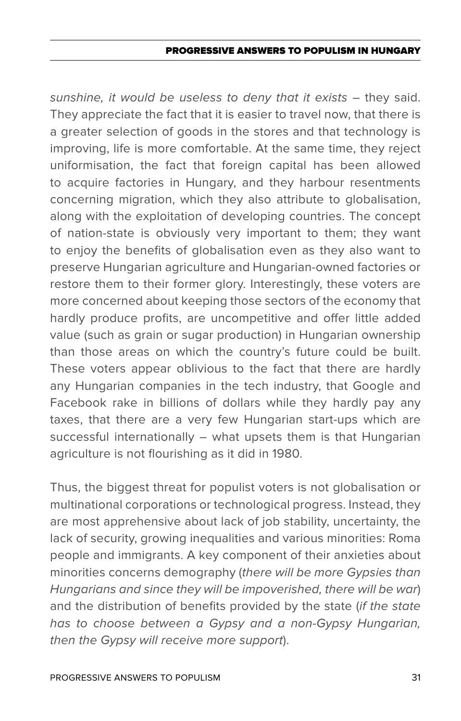#### PROGRESSIVE ANSWERS TO POPULISM IN HUNGAR

sunshine, it would be useless to deny that it exists - they said. They appreciate the fact that it is easier to travel now, that there is a greater selection of goods in the stores and that technology is improving, life is more comfortable. At the same time, they reject uniformisation, the fact that foreign capital has been allowed to acquire factories in Hungary, and they harbour resentments concerning migration, which they also attribute to globalisation, along with the exploitation of developing countries. The concept of nation-state is obviously very important to them; they want to enjoy the benefits of globalisation even as they also want to preserve Hungarian agriculture and Hungarian-owned factories or restore them to their former glory. Interestingly, these voters are more concerned about keeping those sectors of the economy that hardly produce profits, are uncompetitive and offer little added value (such as grain or sugar production) in Hungarian ownership than those areas on which the country's future could be built. These voters appear oblivious to the fact that there are hardly any Hungarian companies in the tech industry, that Google and Facebook rake in billions of dollars while they hardly pay any taxes, that there are a very few Hungarian start-ups which are successful internationally – what upsets them is that Hungarian agriculture is not flourishing as it did in 1980.

Thus, the biggest threat for populist voters is not globalisation or multinational corporations or technological progress. Instead, they are most apprehensive about lack of job stability, uncertainty, the lack of security, growing inequalities and various minorities: Roma people and immigrants. A key component of their anxieties about minorities concerns demography (*there will be more Gypsies than Hungarians and since they will be impoverished, there will be war*) and the distribution of benefits provided by the state (*if the state has to choose between a Gypsy and a non-Gypsy Hungarian, then the Gypsy will receive more support*).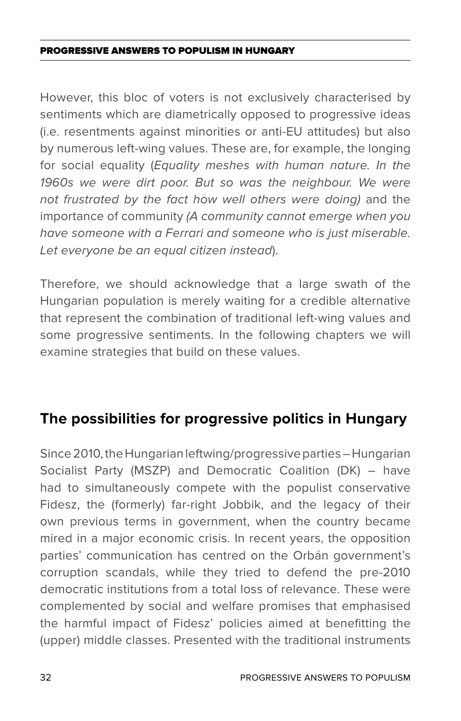However, this bloc of voters is not exclusively characterised by sentiments which are diametrically opposed to progressive ideas (i.e. resentments against minorities or anti-EU attitudes) but also by numerous left-wing values. These are, for example, the longing for social equality (*Equality meshes with human nature. In the 1960s we were dirt poor. But so was the neighbour. We were not frustrated by the fact how well others were doing)* and the importance of community *(A community cannot emerge when you have someone with a Ferrari and someone who is just miserable. Let everyone be an equal citizen instead*).

Therefore, we should acknowledge that a large swath of the Hungarian population is merely waiting for a credible alternative that represent the combination of traditional left-wing values and some progressive sentiments. In the following chapters we will examine strategies that build on these values.

## **The possibilities for progressive politics in Hungary**

Since 2010, the Hungarian leftwing/progressive parties – Hungarian Socialist Party (MSZP) and Democratic Coalition (DK) – have had to simultaneously compete with the populist conservative Fidesz, the (formerly) far-right Jobbik, and the legacy of their own previous terms in government, when the country became mired in a major economic crisis. In recent years, the opposition parties' communication has centred on the Orbán government's corruption scandals, while they tried to defend the pre-2010 democratic institutions from a total loss of relevance. These were complemented by social and welfare promises that emphasised the harmful impact of Fidesz' policies aimed at benefitting the (upper) middle classes. Presented with the traditional instruments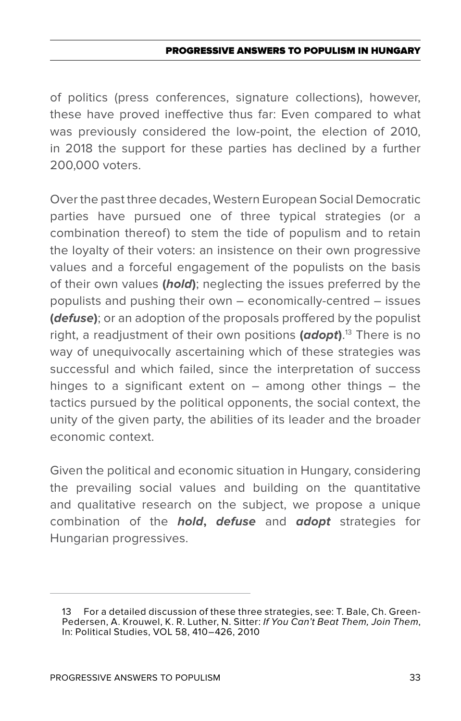of politics (press conferences, signature collections), however, these have proved ineffective thus far: Even compared to what was previously considered the low-point, the election of 2010, in 2018 the support for these parties has declined by a further 200,000 voters.

Over the past three decades, Western European Social Democratic parties have pursued one of three typical strategies (or a combination thereof) to stem the tide of populism and to retain the loyalty of their voters: an insistence on their own progressive values and a forceful engagement of the populists on the basis of their own values **(***hold***)**; neglecting the issues preferred by the populists and pushing their own – economically-centred – issues **(***defuse***)**; or an adoption of the proposals proffered by the populist right, a readjustment of their own positions **(***adopt***)**. 13 There is no way of unequivocally ascertaining which of these strategies was successful and which failed, since the interpretation of success hinges to a significant extent on – among other things – the tactics pursued by the political opponents, the social context, the unity of the given party, the abilities of its leader and the broader economic context.

Given the political and economic situation in Hungary, considering the prevailing social values and building on the quantitative and qualitative research on the subject, we propose a unique combination of the *hold***,** *defuse* and *adopt* strategies for Hungarian progressives.

<sup>13</sup> For a detailed discussion of these three strategies, see: T. Bale, Ch. Green-Pedersen, A. Krouwel, K. R. Luther, N. Sitter: *If You Can't Beat Them, Join Them*, In: Political Studies, VOL 58, 410–426, 2010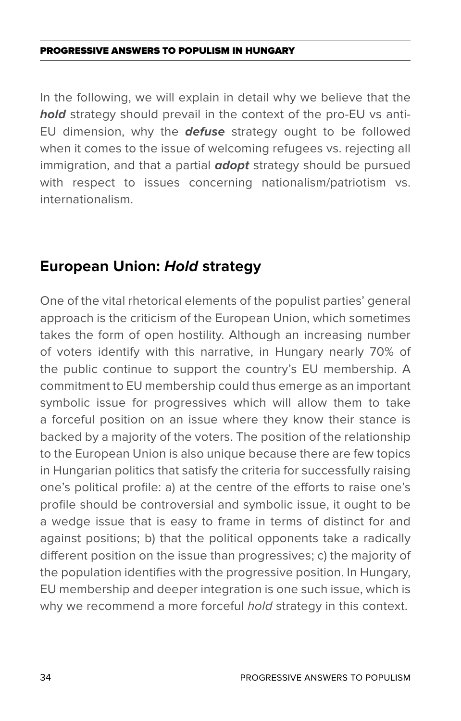In the following, we will explain in detail why we believe that the *hold* strategy should prevail in the context of the pro-EU vs anti-EU dimension, why the *defuse* strategy ought to be followed when it comes to the issue of welcoming refugees vs. rejecting all immigration, and that a partial *adopt* strategy should be pursued with respect to issues concerning nationalism/patriotism vs. internationalism.

### **European Union:** *Hold* **strategy**

One of the vital rhetorical elements of the populist parties' general approach is the criticism of the European Union, which sometimes takes the form of open hostility. Although an increasing number of voters identify with this narrative, in Hungary nearly 70% of the public continue to support the country's EU membership. A commitment to EU membership could thus emerge as an important symbolic issue for progressives which will allow them to take a forceful position on an issue where they know their stance is backed by a majority of the voters. The position of the relationship to the European Union is also unique because there are few topics in Hungarian politics that satisfy the criteria for successfully raising one's political profile: a) at the centre of the efforts to raise one's profile should be controversial and symbolic issue, it ought to be a wedge issue that is easy to frame in terms of distinct for and against positions; b) that the political opponents take a radically different position on the issue than progressives; c) the majority of the population identifies with the progressive position. In Hungary, EU membership and deeper integration is one such issue, which is why we recommend a more forceful *hold* strategy in this context.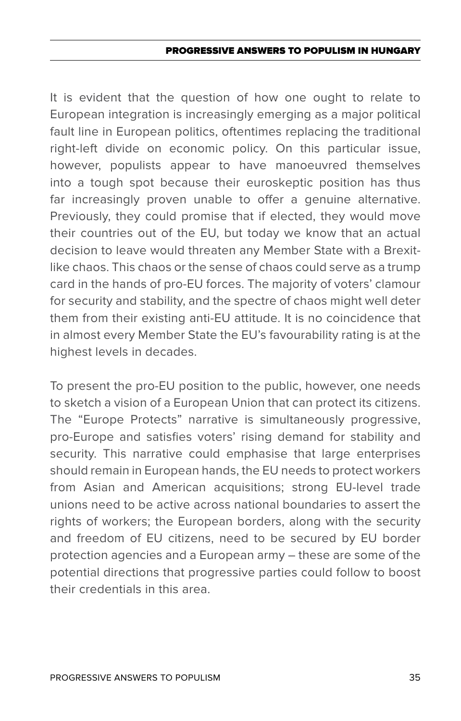#### PROGRESSIVE ANSWERS TO POPULISM IN HUNGAR

It is evident that the question of how one ought to relate to European integration is increasingly emerging as a major political fault line in European politics, oftentimes replacing the traditional right-left divide on economic policy. On this particular issue, however, populists appear to have manoeuvred themselves into a tough spot because their euroskeptic position has thus far increasingly proven unable to offer a genuine alternative. Previously, they could promise that if elected, they would move their countries out of the EU, but today we know that an actual decision to leave would threaten any Member State with a Brexitlike chaos. This chaos or the sense of chaos could serve as a trump card in the hands of pro-EU forces. The majority of voters' clamour for security and stability, and the spectre of chaos might well deter them from their existing anti-EU attitude. It is no coincidence that in almost every Member State the EU's favourability rating is at the highest levels in decades.

To present the pro-EU position to the public, however, one needs to sketch a vision of a European Union that can protect its citizens. The "Europe Protects" narrative is simultaneously progressive, pro-Europe and satisfies voters' rising demand for stability and security. This narrative could emphasise that large enterprises should remain in European hands, the EU needs to protect workers from Asian and American acquisitions; strong EU-level trade unions need to be active across national boundaries to assert the rights of workers; the European borders, along with the security and freedom of EU citizens, need to be secured by EU border protection agencies and a European army – these are some of the potential directions that progressive parties could follow to boost their credentials in this area.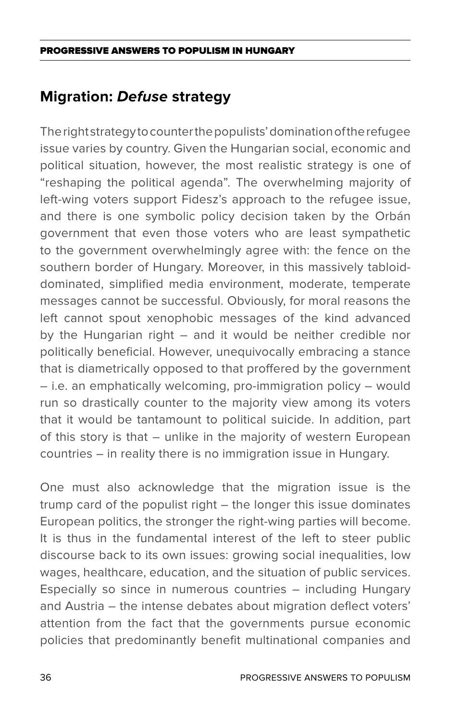## **Migration:** *Defuse* **strategy**

The right strategy to counter the populists' domination of the refugee issue varies by country. Given the Hungarian social, economic and political situation, however, the most realistic strategy is one of "reshaping the political agenda". The overwhelming majority of left-wing voters support Fidesz's approach to the refugee issue, and there is one symbolic policy decision taken by the Orbán government that even those voters who are least sympathetic to the government overwhelmingly agree with: the fence on the southern border of Hungary. Moreover, in this massively tabloiddominated, simplified media environment, moderate, temperate messages cannot be successful. Obviously, for moral reasons the left cannot spout xenophobic messages of the kind advanced by the Hungarian right – and it would be neither credible nor politically beneficial. However, unequivocally embracing a stance that is diametrically opposed to that proffered by the government – i.e. an emphatically welcoming, pro-immigration policy – would run so drastically counter to the majority view among its voters that it would be tantamount to political suicide. In addition, part of this story is that – unlike in the majority of western European countries – in reality there is no immigration issue in Hungary.

One must also acknowledge that the migration issue is the trump card of the populist right – the longer this issue dominates European politics, the stronger the right-wing parties will become. It is thus in the fundamental interest of the left to steer public discourse back to its own issues: growing social inequalities, low wages, healthcare, education, and the situation of public services. Especially so since in numerous countries – including Hungary and Austria – the intense debates about migration deflect voters' attention from the fact that the governments pursue economic policies that predominantly benefit multinational companies and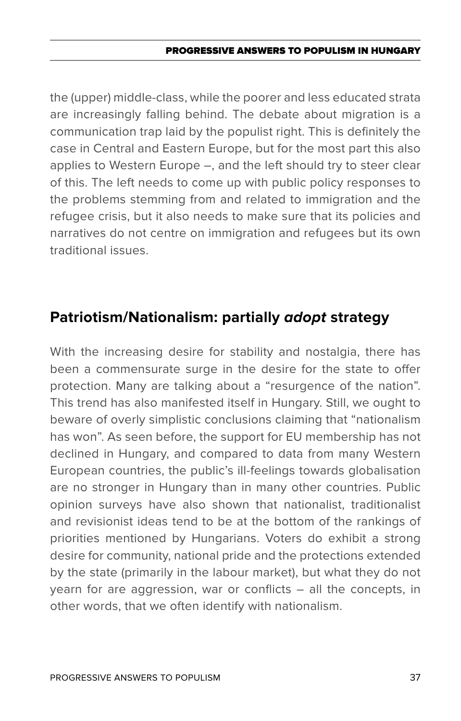#### PROGRESSIVE ANSWERS TO POPULISM IN HUNGAR

the (upper) middle-class, while the poorer and less educated strata are increasingly falling behind. The debate about migration is a communication trap laid by the populist right. This is definitely the case in Central and Eastern Europe, but for the most part this also applies to Western Europe –, and the left should try to steer clear of this. The left needs to come up with public policy responses to the problems stemming from and related to immigration and the refugee crisis, but it also needs to make sure that its policies and narratives do not centre on immigration and refugees but its own traditional issues.

# **Patriotism/Nationalism: partially** *adopt* **strategy**

With the increasing desire for stability and nostalgia, there has been a commensurate surge in the desire for the state to offer protection. Many are talking about a "resurgence of the nation". This trend has also manifested itself in Hungary. Still, we ought to beware of overly simplistic conclusions claiming that "nationalism has won". As seen before, the support for EU membership has not declined in Hungary, and compared to data from many Western European countries, the public's ill-feelings towards globalisation are no stronger in Hungary than in many other countries. Public opinion surveys have also shown that nationalist, traditionalist and revisionist ideas tend to be at the bottom of the rankings of priorities mentioned by Hungarians. Voters do exhibit a strong desire for community, national pride and the protections extended by the state (primarily in the labour market), but what they do not yearn for are aggression, war or conflicts – all the concepts, in other words, that we often identify with nationalism.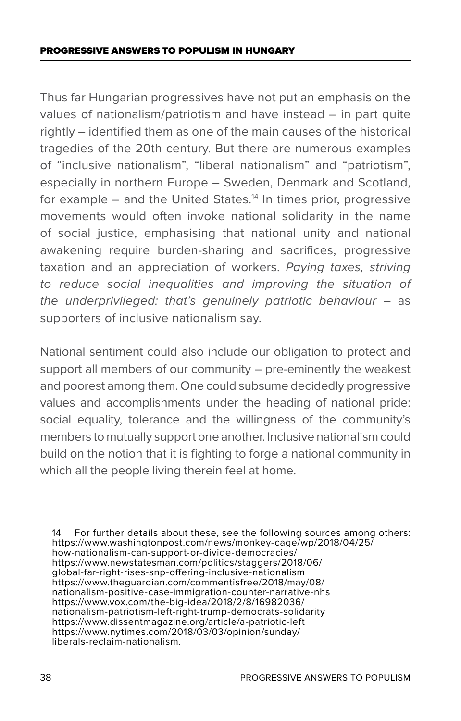#### Progressive Answers to Populism in Hungary

Thus far Hungarian progressives have not put an emphasis on the values of nationalism/patriotism and have instead – in part quite rightly – identified them as one of the main causes of the historical tragedies of the 20th century. But there are numerous examples of "inclusive nationalism", "liberal nationalism" and "patriotism", especially in northern Europe – Sweden, Denmark and Scotland, for example  $-$  and the United States.<sup>14</sup> In times prior, progressive movements would often invoke national solidarity in the name of social justice, emphasising that national unity and national awakening require burden-sharing and sacrifices, progressive taxation and an appreciation of workers. *Paying taxes, striving to reduce social inequalities and improving the situation of the underprivileged: that's genuinely patriotic behaviour –* as supporters of inclusive nationalism say.

National sentiment could also include our obligation to protect and support all members of our community – pre-eminently the weakest and poorest among them. One could subsume decidedly progressive values and accomplishments under the heading of national pride: social equality, tolerance and the willingness of the community's members to mutually support one another. Inclusive nationalism could build on the notion that it is fighting to forge a national community in which all the people living therein feel at home.

14 For further details about these, see the following sources among others: https://www.washingtonpost.com/news/monkey-cage/wp/2018/04/25/ how-nationalism-can-support-or-divide-democracies/ https://www.newstatesman.com/politics/staggers/2018/06/ global-far-right-rises-snp-offering-inclusive-nationalism https://www.theguardian.com/commentisfree/2018/may/08/ nationalism-positive-case-immigration-counter-narrative-nhs https://www.vox.com/the-big-idea/2018/2/8/16982036/ nationalism-patriotism-left-right-trump-democrats-solidarity https://www.dissentmagazine.org/article/a-patriotic-left https://www.nytimes.com/2018/03/03/opinion/sunday/ liberals-reclaim-nationalism.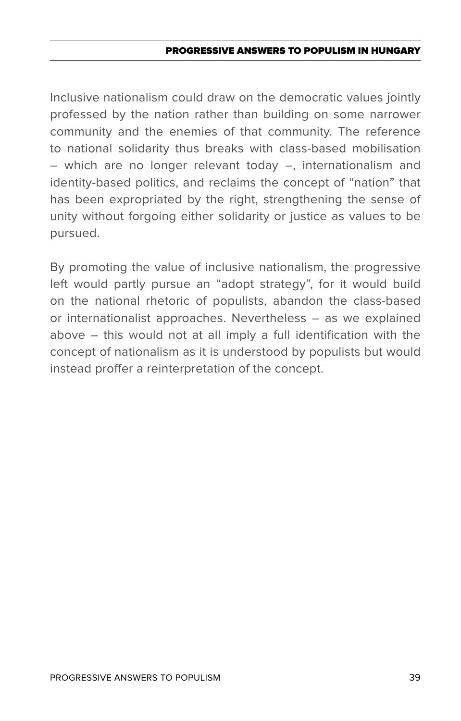#### Progressive Answers to Populism in Hungary

Inclusive nationalism could draw on the democratic values jointly professed by the nation rather than building on some narrower community and the enemies of that community. The reference to national solidarity thus breaks with class-based mobilisation – which are no longer relevant today –, internationalism and identity-based politics, and reclaims the concept of "nation" that has been expropriated by the right, strengthening the sense of unity without forgoing either solidarity or justice as values to be pursued.

By promoting the value of inclusive nationalism, the progressive left would partly pursue an "adopt strategy", for it would build on the national rhetoric of populists, abandon the class-based or internationalist approaches. Nevertheless – as we explained above – this would not at all imply a full identification with the concept of nationalism as it is understood by populists but would instead proffer a reinterpretation of the concept.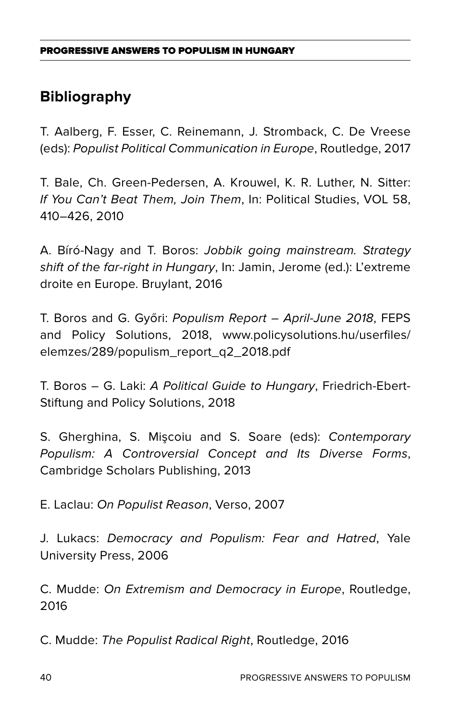# **Bibliography**

T. Aalberg, F. Esser, C. Reinemann, J. Stromback, C. De Vreese (eds): *Populist Political Communication in Europe*, Routledge, 2017

T. Bale, Ch. Green-Pedersen, A. Krouwel, K. R. Luther, N. Sitter: *If You Can't Beat Them, Join Them*, In: Political Studies, VOL 58, 410–426, 2010

A. Bíró-Nagy and T. Boros: *Jobbik going mainstream. Strategy shift of the far-right in Hungary*, In: Jamin, Jerome (ed.): L'extreme droite en Europe. Bruylant, 2016

T. Boros and G. Győri: *Populism Report – April-June 2018*, FEPS and Policy Solutions, 2018, www.policysolutions.hu/userfiles/ elemzes/289/populism\_report\_q2\_2018.pdf

T. Boros – G. Laki: *A Political Guide to Hungary*, Friedrich-Ebert-Stiftung and Policy Solutions, 2018

S. Gherghina, S. Mişcoiu and S. Soare (eds): *Contemporary Populism: A Controversial Concept and Its Diverse Forms*, Cambridge Scholars Publishing, 2013

E. Laclau: *On Populist Reason*, Verso, 2007

J. Lukacs: *Democracy and Populism: Fear and Hatred*, Yale University Press, 2006

C. Mudde: *On Extremism and Democracy in Europe*, Routledge, 2016

C. Mudde: *The Populist Radical Right*, Routledge, 2016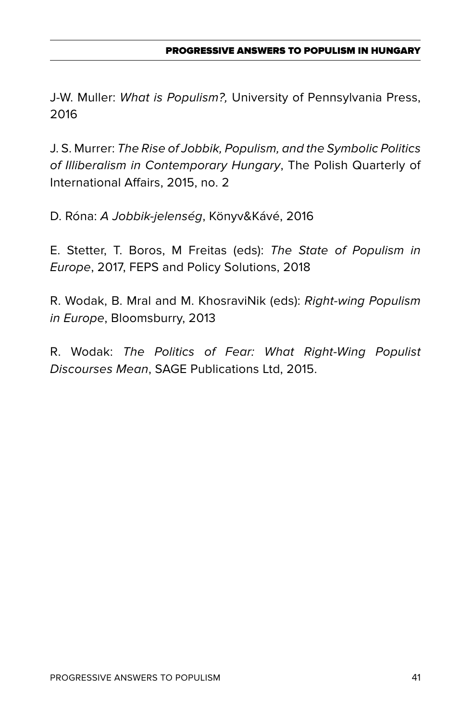J-W. Muller: *What is Populism?,* University of Pennsylvania Press, 2016

J. S. Murrer: *The Rise of Jobbik, Populism, and the Symbolic Politics of Illiberalism in Contemporary Hungary*, The Polish Quarterly of International Affairs, 2015, no. 2

D. Róna: *A Jobbik-jelenség*, Könyv&Kávé, 2016

E. Stetter, T. Boros, M Freitas (eds): *The State of Populism in Europe*, 2017, FEPS and Policy Solutions, 2018

R. Wodak, B. Mral and M. KhosraviNik (eds): *Right-wing Populism in Europe*, Bloomsburry, 2013

R. Wodak: *The Politics of Fear: What Right-Wing Populist Discourses Mean*, SAGE Publications Ltd, 2015.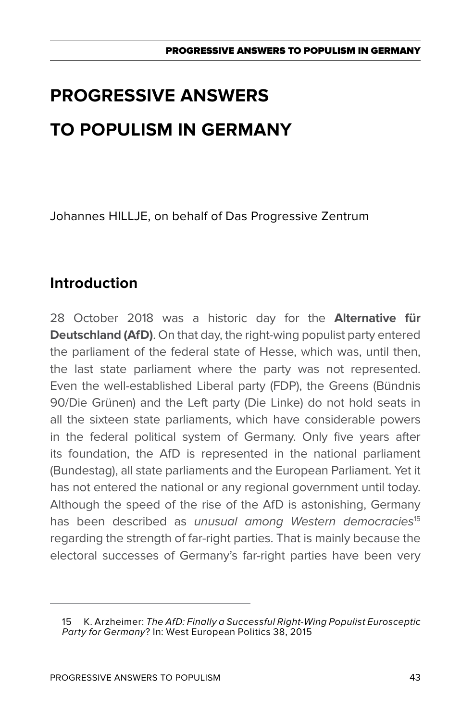Johannes HILLJE, on behalf of Das Progressive Zentrum

# **Introduction**

28 October 2018 was a historic day for the **Alternative für Deutschland (AfD)**. On that day, the right-wing populist party entered the parliament of the federal state of Hesse, which was, until then, the last state parliament where the party was not represented. Even the well-established Liberal party (FDP), the Greens (Bündnis 90/Die Grünen) and the Left party (Die Linke) do not hold seats in all the sixteen state parliaments, which have considerable powers in the federal political system of Germany. Only five years after its foundation, the AfD is represented in the national parliament (Bundestag), all state parliaments and the European Parliament. Yet it has not entered the national or any regional government until today. Although the speed of the rise of the AfD is astonishing, Germany has been described as *unusual among Western democracies*<sup>15</sup> regarding the strength of far-right parties. That is mainly because the electoral successes of Germany's far-right parties have been very

<sup>15</sup> K. Arzheimer: *The AfD: Finally a Successful Right-Wing Populist Eurosceptic Party for Germany*? In: West European Politics 38, 2015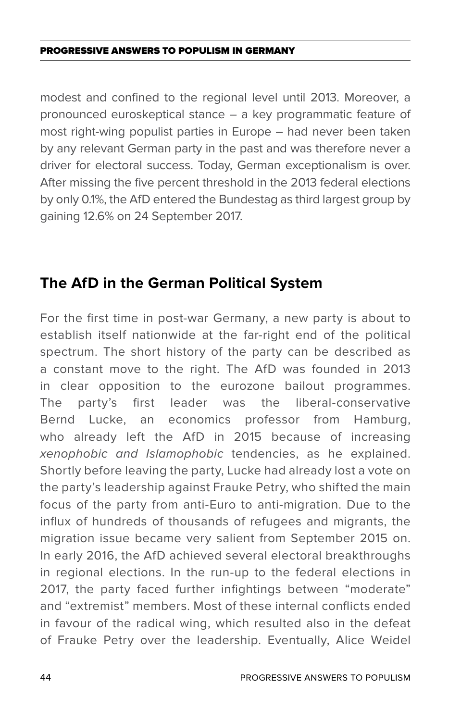modest and confined to the regional level until 2013. Moreover, a pronounced euroskeptical stance – a key programmatic feature of most right-wing populist parties in Europe – had never been taken by any relevant German party in the past and was therefore never a driver for electoral success. Today, German exceptionalism is over. After missing the five percent threshold in the 2013 federal elections by only 0.1%, the AfD entered the Bundestag as third largest group by gaining 12.6% on 24 September 2017.

# **The AfD in the German Political System**

For the first time in post-war Germany, a new party is about to establish itself nationwide at the far-right end of the political spectrum. The short history of the party can be described as a constant move to the right. The AfD was founded in 2013 in clear opposition to the eurozone bailout programmes. The party's first leader was the liberal-conservative Bernd Lucke, an economics professor from Hamburg, who already left the AfD in 2015 because of increasing *xenophobic and Islamophobic* tendencies, as he explained. Shortly before leaving the party, Lucke had already lost a vote on the party's leadership against Frauke Petry, who shifted the main focus of the party from anti-Euro to anti-migration. Due to the influx of hundreds of thousands of refugees and migrants, the migration issue became very salient from September 2015 on. In early 2016, the AfD achieved several electoral breakthroughs in regional elections. In the run-up to the federal elections in 2017, the party faced further infightings between "moderate" and "extremist" members. Most of these internal conflicts ended in favour of the radical wing, which resulted also in the defeat of Frauke Petry over the leadership. Eventually, Alice Weidel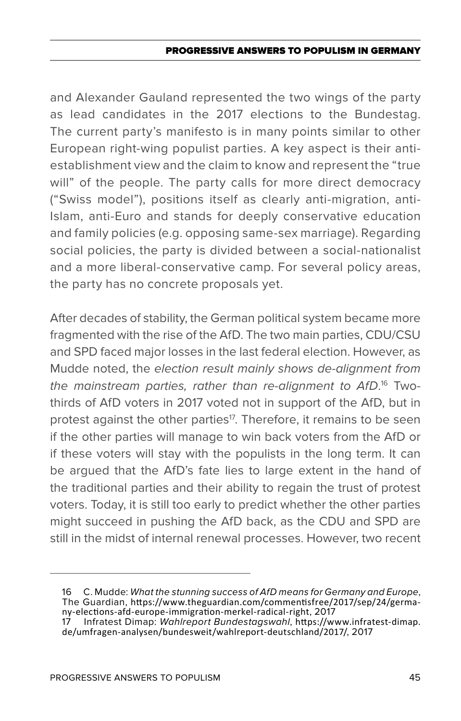and Alexander Gauland represented the two wings of the party as lead candidates in the 2017 elections to the Bundestag. The current party's manifesto is in many points similar to other European right-wing populist parties. A key aspect is their antiestablishment view and the claim to know and represent the "true will" of the people. The party calls for more direct democracy ("Swiss model"), positions itself as clearly anti-migration, anti-Islam, anti-Euro and stands for deeply conservative education and family policies (e.g. opposing same-sex marriage). Regarding social policies, the party is divided between a social-nationalist and a more liberal-conservative camp. For several policy areas, the party has no concrete proposals yet.

After decades of stability, the German political system became more fragmented with the rise of the AfD. The two main parties, CDU/CSU and SPD faced major losses in the last federal election. However, as Mudde noted, the *election result mainly shows de-alignment from the mainstream parties, rather than re-alignment to AfD*. 16 Twothirds of AfD voters in 2017 voted not in support of the AfD, but in protest against the other parties<sup>17</sup>. Therefore, it remains to be seen if the other parties will manage to win back voters from the AfD or if these voters will stay with the populists in the long term. It can be argued that the AfD's fate lies to large extent in the hand of the traditional parties and their ability to regain the trust of protest voters. Today, it is still too early to predict whether the other parties might succeed in pushing the AfD back, as the CDU and SPD are still in the midst of internal renewal processes. However, two recent

<sup>16</sup> C. Mudde: *What the stunning success of AfD means for Germany and Europe*, The Guardian, https://www.theguardian.com/commentisfree/2017/sep/24/germany-elections-afd-europe-immigration-merkel-radical-right, 2017

<sup>17</sup> Infratest Dimap: *Wahlreport Bundestagswahl*, https://www.infratest-dimap. de/umfragen-analysen/bundesweit/wahlreport-deutschland/2017/, 2017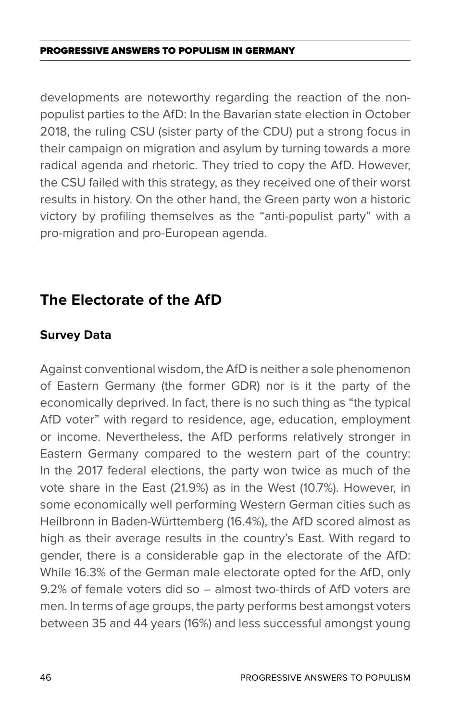developments are noteworthy regarding the reaction of the nonpopulist parties to the AfD: In the Bavarian state election in October 2018, the ruling CSU (sister party of the CDU) put a strong focus in their campaign on migration and asylum by turning towards a more radical agenda and rhetoric. They tried to copy the AfD. However, the CSU failed with this strategy, as they received one of their worst results in history. On the other hand, the Green party won a historic victory by profiling themselves as the "anti-populist party" with a pro-migration and pro-European agenda.

# **The Electorate of the AfD**

### **Survey Data**

Against conventional wisdom, the AfD is neither a sole phenomenon of Eastern Germany (the former GDR) nor is it the party of the economically deprived. In fact, there is no such thing as "the typical AfD voter" with regard to residence, age, education, employment or income. Nevertheless, the AfD performs relatively stronger in Eastern Germany compared to the western part of the country: In the 2017 federal elections, the party won twice as much of the vote share in the East (21.9%) as in the West (10.7%). However, in some economically well performing Western German cities such as Heilbronn in Baden-Württemberg (16.4%), the AfD scored almost as high as their average results in the country's East. With regard to gender, there is a considerable gap in the electorate of the AfD: While 16.3% of the German male electorate opted for the AfD, only 9.2% of female voters did so – almost two-thirds of AfD voters are men. In terms of age groups, the party performs best amongst voters between 35 and 44 years (16%) and less successful amongst young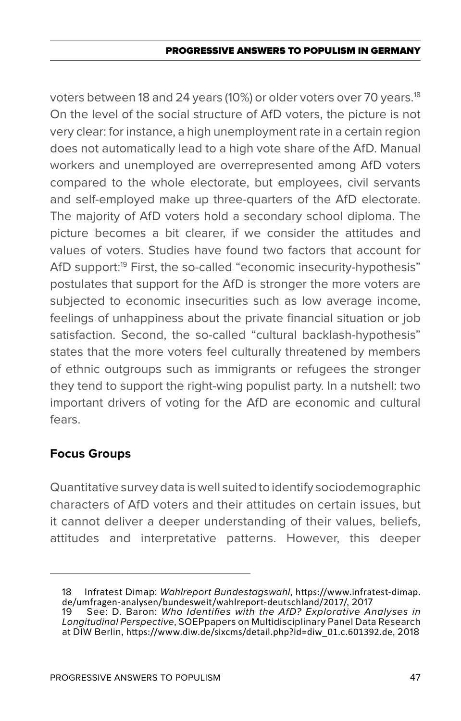voters between 18 and 24 years (10%) or older voters over 70 years.<sup>18</sup> On the level of the social structure of AfD voters, the picture is not very clear: for instance, a high unemployment rate in a certain region does not automatically lead to a high vote share of the AfD. Manual workers and unemployed are overrepresented among AfD voters compared to the whole electorate, but employees, civil servants and self-employed make up three-quarters of the AfD electorate. The majority of AfD voters hold a secondary school diploma. The picture becomes a bit clearer, if we consider the attitudes and values of voters. Studies have found two factors that account for AfD support:<sup>19</sup> First, the so-called "economic insecurity-hypothesis" postulates that support for the AfD is stronger the more voters are subjected to economic insecurities such as low average income, feelings of unhappiness about the private financial situation or job satisfaction. Second, the so-called "cultural backlash-hypothesis" states that the more voters feel culturally threatened by members of ethnic outgroups such as immigrants or refugees the stronger they tend to support the right-wing populist party. In a nutshell: two important drivers of voting for the AfD are economic and cultural fears.

### **Focus Groups**

Quantitative survey data is well suited to identify sociodemographic characters of AfD voters and their attitudes on certain issues, but it cannot deliver a deeper understanding of their values, beliefs, attitudes and interpretative patterns. However, this deeper

<sup>18</sup> Infratest Dimap: *Wahlreport Bundestagswahl*, https://www.infratest-dimap. de/umfragen-analysen/bundesweit/wahlreport-deutschland/2017/, 2017<br>19 See: D. Baron: Who Identifies with the AfD? Explorative Ar

<sup>19</sup> See: D. Baron: *Who Identifies with the AfD? Explorative Analyses in Longitudinal Perspective*, SOEPpapers on Multidisciplinary Panel Data Research at DIW Berlin, https://www.diw.de/sixcms/detail.php?id=diw\_01.c.601392.de, 2018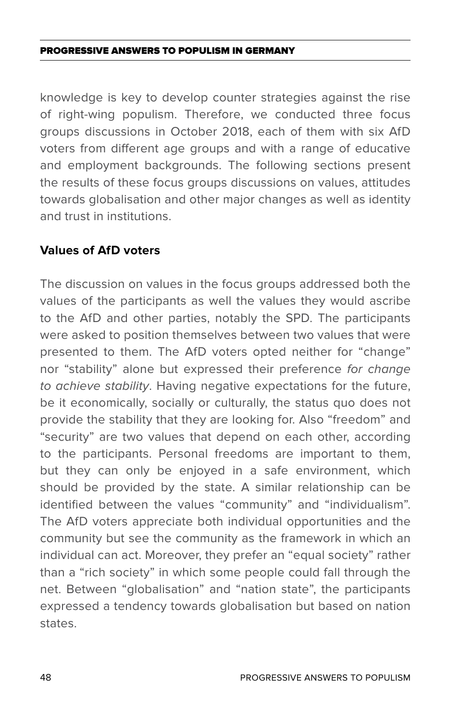knowledge is key to develop counter strategies against the rise of right-wing populism. Therefore, we conducted three focus groups discussions in October 2018, each of them with six AfD voters from different age groups and with a range of educative and employment backgrounds. The following sections present the results of these focus groups discussions on values, attitudes towards globalisation and other major changes as well as identity and trust in institutions.

#### **Values of AfD voters**

The discussion on values in the focus groups addressed both the values of the participants as well the values they would ascribe to the AfD and other parties, notably the SPD. The participants were asked to position themselves between two values that were presented to them. The AfD voters opted neither for "change" nor "stability" alone but expressed their preference *for change to achieve stability*. Having negative expectations for the future, be it economically, socially or culturally, the status quo does not provide the stability that they are looking for. Also "freedom" and "security" are two values that depend on each other, according to the participants. Personal freedoms are important to them, but they can only be enjoyed in a safe environment, which should be provided by the state. A similar relationship can be identified between the values "community" and "individualism". The AfD voters appreciate both individual opportunities and the community but see the community as the framework in which an individual can act. Moreover, they prefer an "equal society" rather than a "rich society" in which some people could fall through the net. Between "globalisation" and "nation state", the participants expressed a tendency towards globalisation but based on nation states.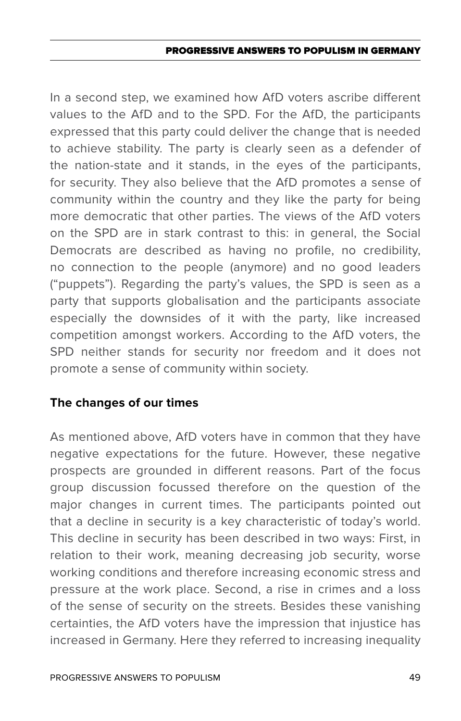#### PROGRESSIVE ANSWERS TO POPULISM IN GERMAN

In a second step, we examined how AfD voters ascribe different values to the AfD and to the SPD. For the AfD, the participants expressed that this party could deliver the change that is needed to achieve stability. The party is clearly seen as a defender of the nation-state and it stands, in the eyes of the participants, for security. They also believe that the AfD promotes a sense of community within the country and they like the party for being more democratic that other parties. The views of the AfD voters on the SPD are in stark contrast to this: in general, the Social Democrats are described as having no profile, no credibility, no connection to the people (anymore) and no good leaders ("puppets"). Regarding the party's values, the SPD is seen as a party that supports globalisation and the participants associate especially the downsides of it with the party, like increased competition amongst workers. According to the AfD voters, the SPD neither stands for security nor freedom and it does not promote a sense of community within society.

### **The changes of our times**

As mentioned above, AfD voters have in common that they have negative expectations for the future. However, these negative prospects are grounded in different reasons. Part of the focus group discussion focussed therefore on the question of the major changes in current times. The participants pointed out that a decline in security is a key characteristic of today's world. This decline in security has been described in two ways: First, in relation to their work, meaning decreasing job security, worse working conditions and therefore increasing economic stress and pressure at the work place. Second, a rise in crimes and a loss of the sense of security on the streets. Besides these vanishing certainties, the AfD voters have the impression that injustice has increased in Germany. Here they referred to increasing inequality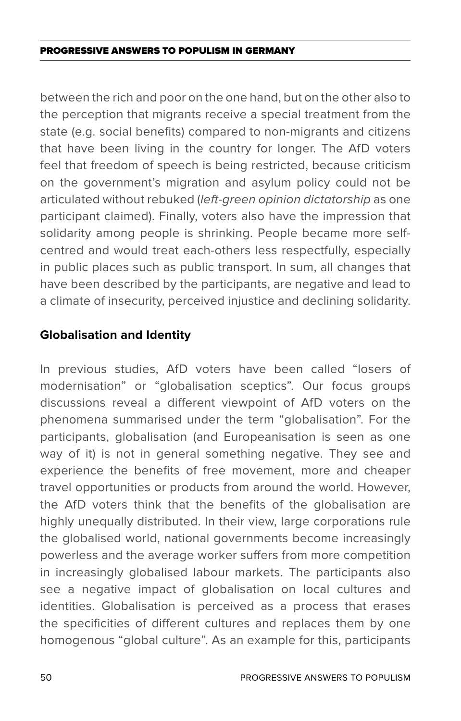between the rich and poor on the one hand, but on the other also to the perception that migrants receive a special treatment from the state (e.g. social benefits) compared to non-migrants and citizens that have been living in the country for longer. The AfD voters feel that freedom of speech is being restricted, because criticism on the government's migration and asylum policy could not be articulated without rebuked (*left-green opinion dictatorship* as one participant claimed). Finally, voters also have the impression that solidarity among people is shrinking. People became more selfcentred and would treat each-others less respectfully, especially in public places such as public transport. In sum, all changes that have been described by the participants, are negative and lead to a climate of insecurity, perceived injustice and declining solidarity.

### **Globalisation and Identity**

In previous studies, AfD voters have been called "losers of modernisation" or "globalisation sceptics". Our focus groups discussions reveal a different viewpoint of AfD voters on the phenomena summarised under the term "globalisation". For the participants, globalisation (and Europeanisation is seen as one way of it) is not in general something negative. They see and experience the benefits of free movement, more and cheaper travel opportunities or products from around the world. However, the AfD voters think that the benefits of the globalisation are highly unequally distributed. In their view, large corporations rule the globalised world, national governments become increasingly powerless and the average worker suffers from more competition in increasingly globalised labour markets. The participants also see a negative impact of globalisation on local cultures and identities. Globalisation is perceived as a process that erases the specificities of different cultures and replaces them by one homogenous "global culture". As an example for this, participants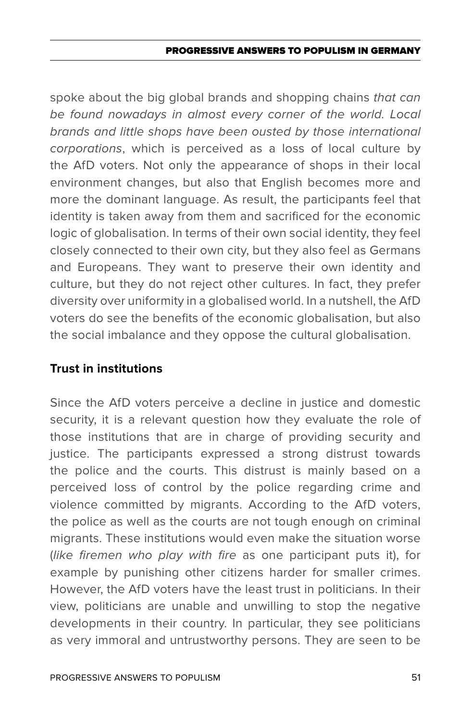#### PROGRESSIVE ANSWERS TO POPULISM IN GERMAN

spoke about the big global brands and shopping chains *that can be found nowadays in almost every corner of the world. Local brands and little shops have been ousted by those international corporations*, which is perceived as a loss of local culture by the AfD voters. Not only the appearance of shops in their local environment changes, but also that English becomes more and more the dominant language. As result, the participants feel that identity is taken away from them and sacrificed for the economic logic of globalisation. In terms of their own social identity, they feel closely connected to their own city, but they also feel as Germans and Europeans. They want to preserve their own identity and culture, but they do not reject other cultures. In fact, they prefer diversity over uniformity in a globalised world. In a nutshell, the AfD voters do see the benefits of the economic globalisation, but also the social imbalance and they oppose the cultural globalisation.

### **Trust in institutions**

Since the AfD voters perceive a decline in justice and domestic security, it is a relevant question how they evaluate the role of those institutions that are in charge of providing security and justice. The participants expressed a strong distrust towards the police and the courts. This distrust is mainly based on a perceived loss of control by the police regarding crime and violence committed by migrants. According to the AfD voters, the police as well as the courts are not tough enough on criminal migrants. These institutions would even make the situation worse (*like firemen who play with fire* as one participant puts it), for example by punishing other citizens harder for smaller crimes. However, the AfD voters have the least trust in politicians. In their view, politicians are unable and unwilling to stop the negative developments in their country. In particular, they see politicians as very immoral and untrustworthy persons. They are seen to be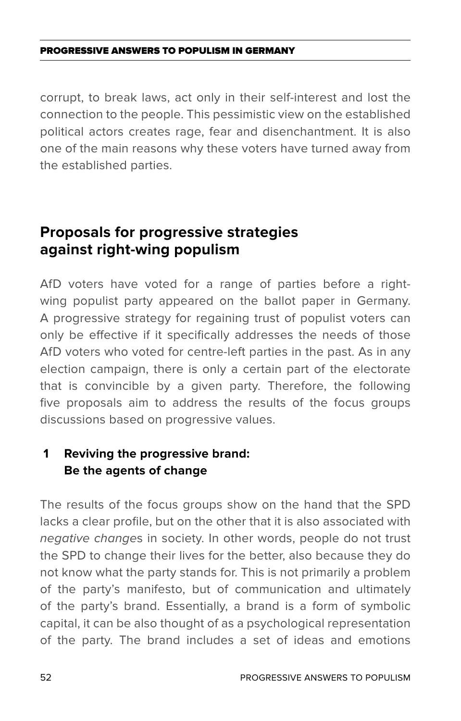corrupt, to break laws, act only in their self-interest and lost the connection to the people. This pessimistic view on the established political actors creates rage, fear and disenchantment. It is also one of the main reasons why these voters have turned away from the established parties.

# **Proposals for progressive strategies against right-wing populism**

AfD voters have voted for a range of parties before a rightwing populist party appeared on the ballot paper in Germany. A progressive strategy for regaining trust of populist voters can only be effective if it specifically addresses the needs of those AfD voters who voted for centre-left parties in the past. As in any election campaign, there is only a certain part of the electorate that is convincible by a given party. Therefore, the following five proposals aim to address the results of the focus groups discussions based on progressive values.

# **1 Reviving the progressive brand: Be the agents of change**

The results of the focus groups show on the hand that the SPD lacks a clear profile, but on the other that it is also associated with *negative change*s in society. In other words, people do not trust the SPD to change their lives for the better, also because they do not know what the party stands for. This is not primarily a problem of the party's manifesto, but of communication and ultimately of the party's brand. Essentially, a brand is a form of symbolic capital, it can be also thought of as a psychological representation of the party. The brand includes a set of ideas and emotions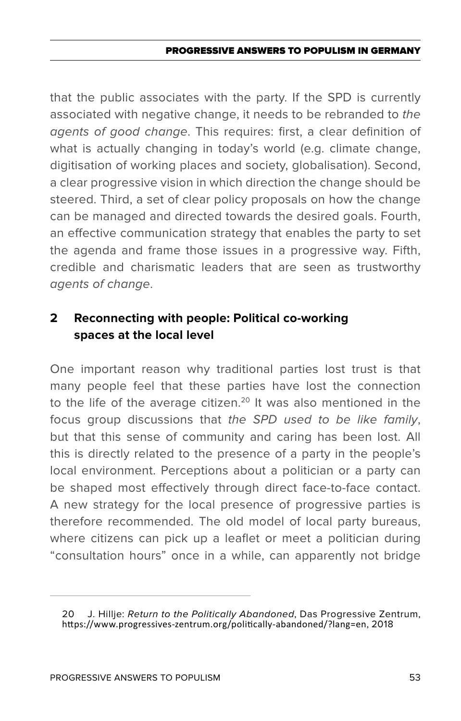#### PROGRESSIVE ANSWERS TO POPULISM IN GERMAN

that the public associates with the party. If the SPD is currently associated with negative change, it needs to be rebranded to *the agents of good change*. This requires: first, a clear definition of what is actually changing in today's world (e.g. climate change, digitisation of working places and society, globalisation). Second, a clear progressive vision in which direction the change should be steered. Third, a set of clear policy proposals on how the change can be managed and directed towards the desired goals. Fourth, an effective communication strategy that enables the party to set the agenda and frame those issues in a progressive way. Fifth, credible and charismatic leaders that are seen as trustworthy *agents of change*.

## **2 Reconnecting with people: Political co-working spaces at the local level**

One important reason why traditional parties lost trust is that many people feel that these parties have lost the connection to the life of the average citizen.<sup>20</sup> It was also mentioned in the focus group discussions that *the SPD used to be like family*, but that this sense of community and caring has been lost. All this is directly related to the presence of a party in the people's local environment. Perceptions about a politician or a party can be shaped most effectively through direct face-to-face contact. A new strategy for the local presence of progressive parties is therefore recommended. The old model of local party bureaus, where citizens can pick up a leaflet or meet a politician during "consultation hours" once in a while, can apparently not bridge

<sup>20</sup> J. Hillje: *Return to the Politically Abandoned*, Das Progressive Zentrum, https://www.progressives-zentrum.org/politically-abandoned/?lang=en, 2018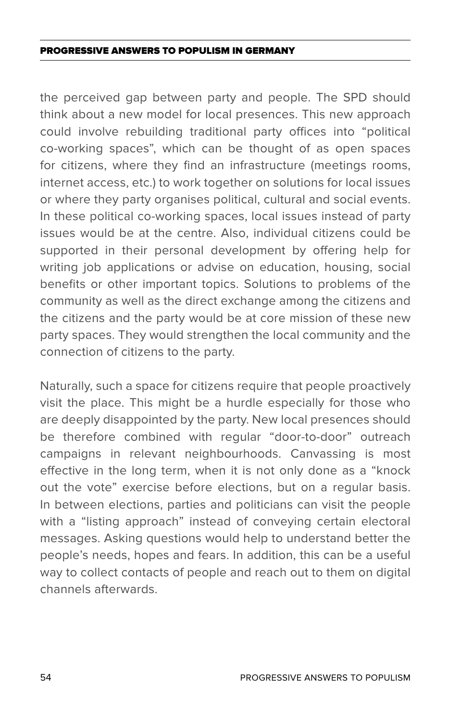the perceived gap between party and people. The SPD should think about a new model for local presences. This new approach could involve rebuilding traditional party offices into "political co-working spaces", which can be thought of as open spaces for citizens, where they find an infrastructure (meetings rooms, internet access, etc.) to work together on solutions for local issues or where they party organises political, cultural and social events. In these political co-working spaces, local issues instead of party issues would be at the centre. Also, individual citizens could be supported in their personal development by offering help for writing job applications or advise on education, housing, social benefits or other important topics. Solutions to problems of the community as well as the direct exchange among the citizens and the citizens and the party would be at core mission of these new party spaces. They would strengthen the local community and the connection of citizens to the party.

Naturally, such a space for citizens require that people proactively visit the place. This might be a hurdle especially for those who are deeply disappointed by the party. New local presences should be therefore combined with regular "door-to-door" outreach campaigns in relevant neighbourhoods. Canvassing is most effective in the long term, when it is not only done as a "knock out the vote" exercise before elections, but on a regular basis. In between elections, parties and politicians can visit the people with a "listing approach" instead of conveying certain electoral messages. Asking questions would help to understand better the people's needs, hopes and fears. In addition, this can be a useful way to collect contacts of people and reach out to them on digital channels afterwards.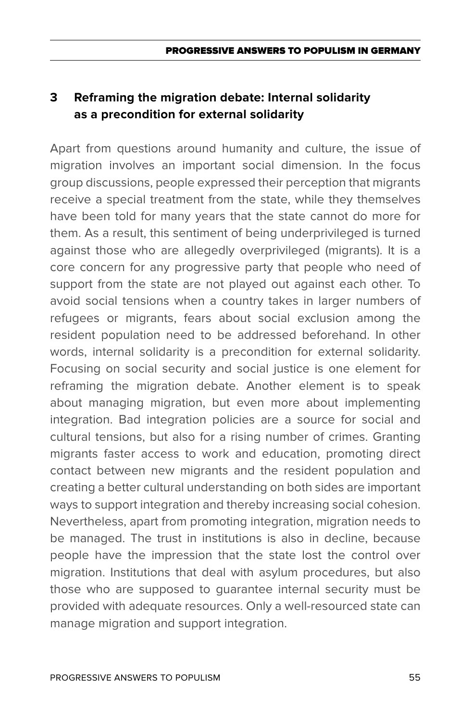# **3 Reframing the migration debate: Internal solidarity as a precondition for external solidarity**

Apart from questions around humanity and culture, the issue of migration involves an important social dimension. In the focus group discussions, people expressed their perception that migrants receive a special treatment from the state, while they themselves have been told for many years that the state cannot do more for them. As a result, this sentiment of being underprivileged is turned against those who are allegedly overprivileged (migrants). It is a core concern for any progressive party that people who need of support from the state are not played out against each other. To avoid social tensions when a country takes in larger numbers of refugees or migrants, fears about social exclusion among the resident population need to be addressed beforehand. In other words, internal solidarity is a precondition for external solidarity. Focusing on social security and social justice is one element for reframing the migration debate. Another element is to speak about managing migration, but even more about implementing integration. Bad integration policies are a source for social and cultural tensions, but also for a rising number of crimes. Granting migrants faster access to work and education, promoting direct contact between new migrants and the resident population and creating a better cultural understanding on both sides are important ways to support integration and thereby increasing social cohesion. Nevertheless, apart from promoting integration, migration needs to be managed. The trust in institutions is also in decline, because people have the impression that the state lost the control over migration. Institutions that deal with asylum procedures, but also those who are supposed to guarantee internal security must be provided with adequate resources. Only a well-resourced state can manage migration and support integration.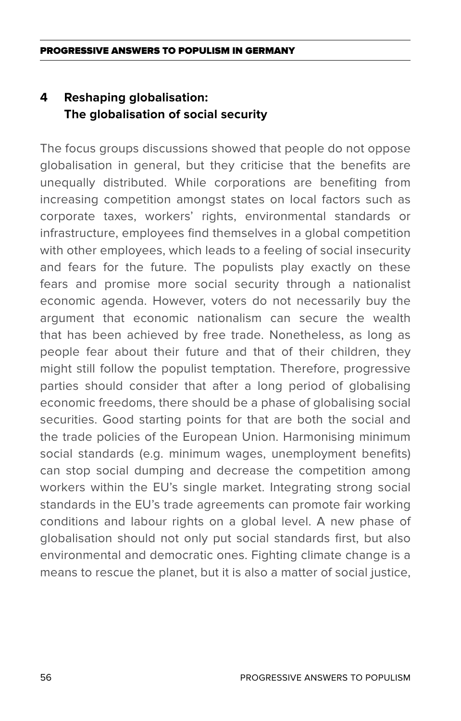# **4 Reshaping globalisation: The globalisation of social security**

The focus groups discussions showed that people do not oppose globalisation in general, but they criticise that the benefits are unequally distributed. While corporations are benefiting from increasing competition amongst states on local factors such as corporate taxes, workers' rights, environmental standards or infrastructure, employees find themselves in a global competition with other employees, which leads to a feeling of social insecurity and fears for the future. The populists play exactly on these fears and promise more social security through a nationalist economic agenda. However, voters do not necessarily buy the argument that economic nationalism can secure the wealth that has been achieved by free trade. Nonetheless, as long as people fear about their future and that of their children, they might still follow the populist temptation. Therefore, progressive parties should consider that after a long period of globalising economic freedoms, there should be a phase of globalising social securities. Good starting points for that are both the social and the trade policies of the European Union. Harmonising minimum social standards (e.g. minimum wages, unemployment benefits) can stop social dumping and decrease the competition among workers within the EU's single market. Integrating strong social standards in the EU's trade agreements can promote fair working conditions and labour rights on a global level. A new phase of globalisation should not only put social standards first, but also environmental and democratic ones. Fighting climate change is a means to rescue the planet, but it is also a matter of social justice,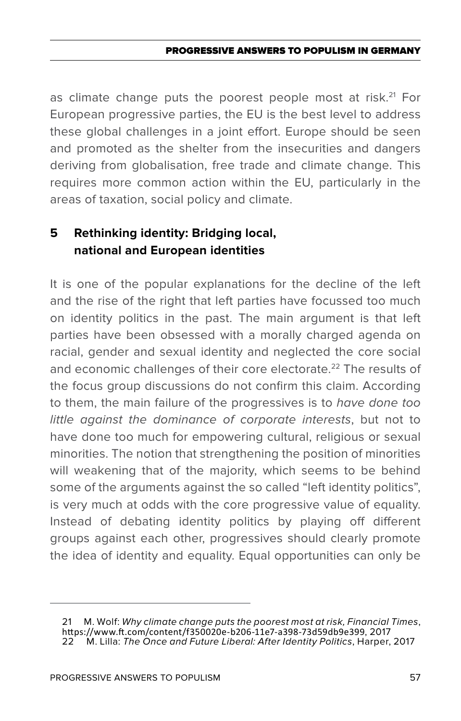as climate change puts the poorest people most at risk.<sup>21</sup> For European progressive parties, the EU is the best level to address these global challenges in a joint effort. Europe should be seen and promoted as the shelter from the insecurities and dangers deriving from globalisation, free trade and climate change. This requires more common action within the EU, particularly in the areas of taxation, social policy and climate.

## **5 Rethinking identity: Bridging local, national and European identities**

It is one of the popular explanations for the decline of the left and the rise of the right that left parties have focussed too much on identity politics in the past. The main argument is that left parties have been obsessed with a morally charged agenda on racial, gender and sexual identity and neglected the core social and economic challenges of their core electorate.<sup>22</sup> The results of the focus group discussions do not confirm this claim. According to them, the main failure of the progressives is to *have done too little against the dominance of corporate interests*, but not to have done too much for empowering cultural, religious or sexual minorities. The notion that strengthening the position of minorities will weakening that of the majority, which seems to be behind some of the arguments against the so called "left identity politics", is very much at odds with the core progressive value of equality. Instead of debating identity politics by playing off different groups against each other, progressives should clearly promote the idea of identity and equality. Equal opportunities can only be

<sup>21</sup> M. Wolf: *Why climate change puts the poorest most at risk, Financial Times*, https://www.ft.com/content/f350020e-b206-11e7-a398-73d59db9e399, 2017 22 M. Lilla: *The Once and Future Liberal: After Identity Politics*, Harper, 2017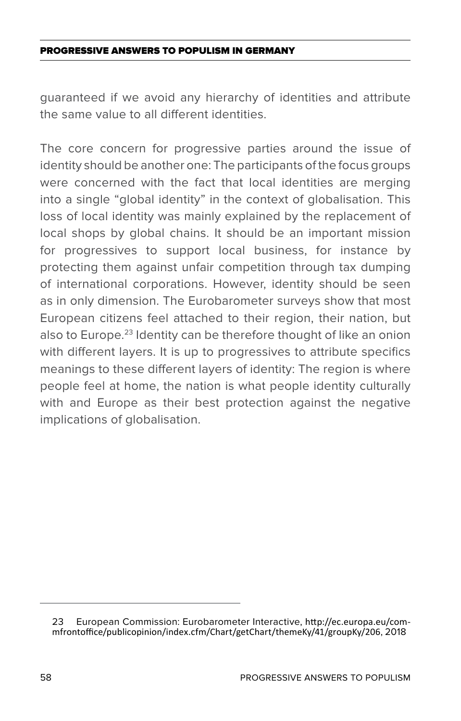guaranteed if we avoid any hierarchy of identities and attribute the same value to all different identities.

The core concern for progressive parties around the issue of identity should be another one: The participants of the focus groups were concerned with the fact that local identities are merging into a single "global identity" in the context of globalisation. This loss of local identity was mainly explained by the replacement of local shops by global chains. It should be an important mission for progressives to support local business, for instance by protecting them against unfair competition through tax dumping of international corporations. However, identity should be seen as in only dimension. The Eurobarometer surveys show that most European citizens feel attached to their region, their nation, but also to Europe.<sup>23</sup> Identity can be therefore thought of like an onion with different layers. It is up to progressives to attribute specifics meanings to these different layers of identity: The region is where people feel at home, the nation is what people identity culturally with and Europe as their best protection against the negative implications of globalisation.

<sup>23</sup> European Commission: Eurobarometer Interactive, http://ec.europa.eu/commfrontoffice/publicopinion/index.cfm/Chart/getChart/themeKy/41/groupKy/206, 2018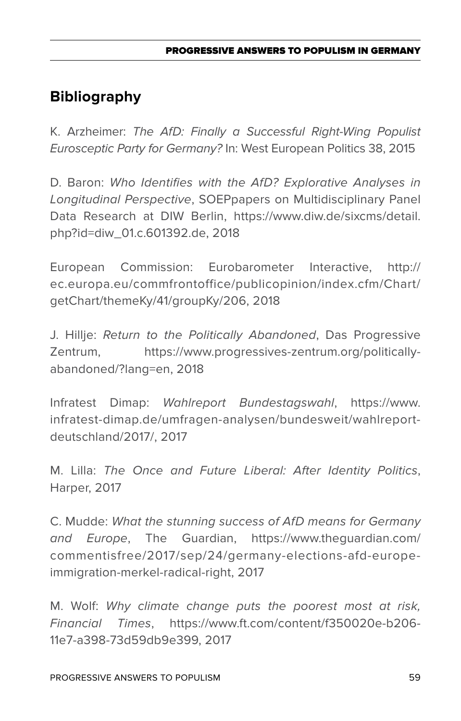# **Bibliography**

K. Arzheimer: *The AfD: Finally a Successful Right-Wing Populist Eurosceptic Party for Germany?* In: West European Politics 38, 2015

D. Baron: *Who Identifies with the AfD? Explorative Analyses in Longitudinal Perspective*, SOEPpapers on Multidisciplinary Panel Data Research at DIW Berlin, https://www.diw.de/sixcms/detail. php?id=diw\_01.c.601392.de, 2018

European Commission: Eurobarometer Interactive, http:// ec.europa.eu/commfrontoffice/publicopinion/index.cfm/Chart/ getChart/themeKy/41/groupKy/206, 2018

J. Hillje: *Return to the Politically Abandoned*, Das Progressive Zentrum, https://www.progressives-zentrum.org/politicallyabandoned/?lang=en, 2018

Infratest Dimap: *Wahlreport Bundestagswahl*, https://www. infratest-dimap.de/umfragen-analysen/bundesweit/wahlreportdeutschland/2017/, 2017

M. Lilla: *The Once and Future Liberal: After Identity Politics*, Harper, 2017

C. Mudde: *What the stunning success of AfD means for Germany and Europe*, The Guardian, https://www.theguardian.com/ commentisfree/2017/sep/24/germany-elections-afd-europeimmigration-merkel-radical-right, 2017

M. Wolf: *Why climate change puts the poorest most at risk, Financial Times*, https://www.ft.com/content/f350020e-b206- 11e7-a398-73d59db9e399, 2017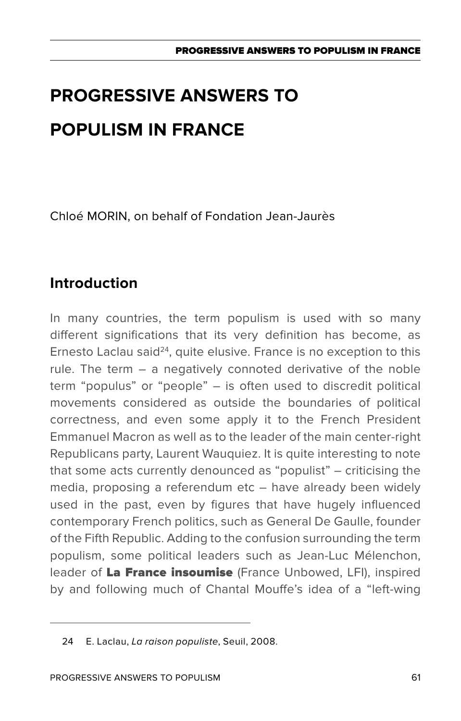Chloé MORIN, on behalf of Fondation Jean-Jaurès

# **Introduction**

In many countries, the term populism is used with so many different significations that its very definition has become, as Ernesto Laclau said $24$ , quite elusive. France is no exception to this rule. The term – a negatively connoted derivative of the noble term "populus" or "people" – is often used to discredit political movements considered as outside the boundaries of political correctness, and even some apply it to the French President Emmanuel Macron as well as to the leader of the main center-right Republicans party, Laurent Wauquiez. It is quite interesting to note that some acts currently denounced as "populist" – criticising the media, proposing a referendum etc – have already been widely used in the past, even by figures that have hugely influenced contemporary French politics, such as General De Gaulle, founder of the Fifth Republic. Adding to the confusion surrounding the term populism, some political leaders such as Jean-Luc Mélenchon, leader of La France insoumise (France Unbowed, LFI), inspired by and following much of Chantal Mouffe's idea of a "left-wing

<sup>24</sup> E. Laclau, *La raison populiste*, Seuil, 2008.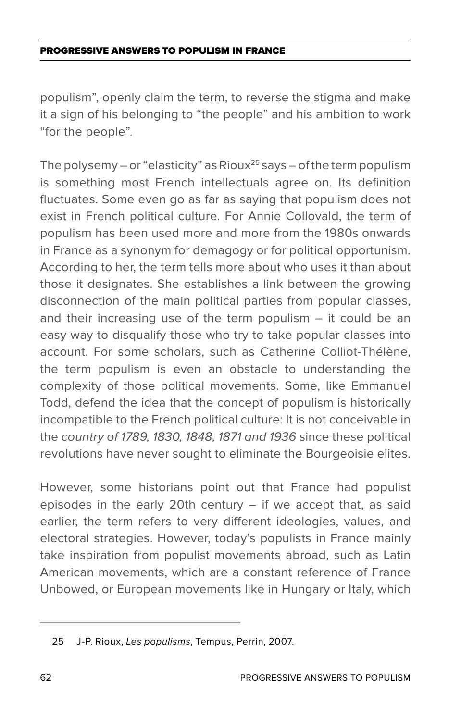populism", openly claim the term, to reverse the stigma and make it a sign of his belonging to "the people" and his ambition to work "for the people".

The polysemy – or "elasticity" as Rioux<sup>25</sup> says – of the term populism is something most French intellectuals agree on. Its definition fluctuates. Some even go as far as saying that populism does not exist in French political culture. For Annie Collovald, the term of populism has been used more and more from the 1980s onwards in France as a synonym for demagogy or for political opportunism. According to her, the term tells more about who uses it than about those it designates. She establishes a link between the growing disconnection of the main political parties from popular classes, and their increasing use of the term populism – it could be an easy way to disqualify those who try to take popular classes into account. For some scholars, such as Catherine Colliot-Thélène, the term populism is even an obstacle to understanding the complexity of those political movements. Some, like Emmanuel Todd, defend the idea that the concept of populism is historically incompatible to the French political culture: It is not conceivable in the *country of 1789, 1830, 1848, 1871 and 1936* since these political revolutions have never sought to eliminate the Bourgeoisie elites.

However, some historians point out that France had populist episodes in the early 20th century – if we accept that, as said earlier, the term refers to very different ideologies, values, and electoral strategies. However, today's populists in France mainly take inspiration from populist movements abroad, such as Latin American movements, which are a constant reference of France Unbowed, or European movements like in Hungary or Italy, which

<sup>25</sup> J-P. Rioux, *Les populisms*, Tempus, Perrin, 2007.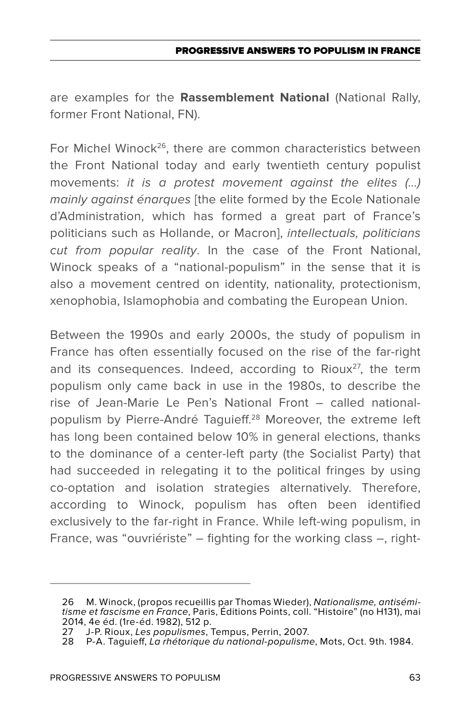are examples for the **Rassemblement National** (National Rally, former Front National, FN).

For Michel Winock<sup>26</sup>, there are common characteristics between the Front National today and early twentieth century populist movements: *it is a protest movement against the elites (…) mainly against énarques* [the elite formed by the Ecole Nationale d'Administration, which has formed a great part of France's politicians such as Hollande, or Macron], *intellectuals, politicians cut from popular reality*. In the case of the Front National, Winock speaks of a "national-populism" in the sense that it is also a movement centred on identity, nationality, protectionism, xenophobia, Islamophobia and combating the European Union.

Between the 1990s and early 2000s, the study of populism in France has often essentially focused on the rise of the far-right and its consequences. Indeed, according to Rioux $27$ , the term populism only came back in use in the 1980s, to describe the rise of Jean-Marie Le Pen's National Front – called nationalpopulism by Pierre-André Taguieff.28 Moreover, the extreme left has long been contained below 10% in general elections, thanks to the dominance of a center-left party (the Socialist Party) that had succeeded in relegating it to the political fringes by using co-optation and isolation strategies alternatively. Therefore, according to Winock, populism has often been identified exclusively to the far-right in France. While left-wing populism, in France, was "ouvriériste" – fighting for the working class –, right-

<sup>26</sup> M. Winock, (propos recueillis par Thomas Wieder), *Nationalisme, antisémitisme et fascisme en France*, Paris, Éditions Points, coll. "Histoire" (no H131), mai 2014, 4e éd. (1re-éd. 1982), 512 p.

<sup>27</sup> J-P. Rioux, *Les populismes*, Tempus, Perrin, 2007.

<sup>28</sup> P-A. Taguieff, *La rhétorique du national-populisme*, Mots, Oct. 9th. 1984.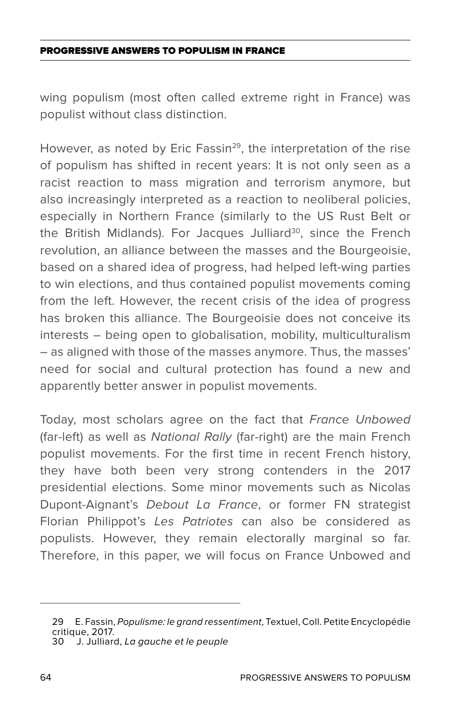wing populism (most often called extreme right in France) was populist without class distinction.

However, as noted by Eric Fassin<sup>29</sup>, the interpretation of the rise of populism has shifted in recent years: It is not only seen as a racist reaction to mass migration and terrorism anymore, but also increasingly interpreted as a reaction to neoliberal policies, especially in Northern France (similarly to the US Rust Belt or the British Midlands). For Jacques Julliard<sup>30</sup>, since the French revolution, an alliance between the masses and the Bourgeoisie, based on a shared idea of progress, had helped left-wing parties to win elections, and thus contained populist movements coming from the left. However, the recent crisis of the idea of progress has broken this alliance. The Bourgeoisie does not conceive its interests – being open to globalisation, mobility, multiculturalism – as aligned with those of the masses anymore. Thus, the masses' need for social and cultural protection has found a new and apparently better answer in populist movements.

Today, most scholars agree on the fact that *France Unbowed*  (far-left) as well as *National Rally* (far-right) are the main French populist movements. For the first time in recent French history, they have both been very strong contenders in the 2017 presidential elections. Some minor movements such as Nicolas Dupont-Aignant's *Debout La France*, or former FN strategist Florian Philippot's *Les Patriotes* can also be considered as populists. However, they remain electorally marginal so far. Therefore, in this paper, we will focus on France Unbowed and

<sup>29</sup> E. Fassin, *Populisme: le grand ressentiment*, Textuel, Coll. Petite Encyclopédie critique, 2017.<br>30 J. Julliaro

<sup>30</sup> J. Julliard, *La gauche et le peuple*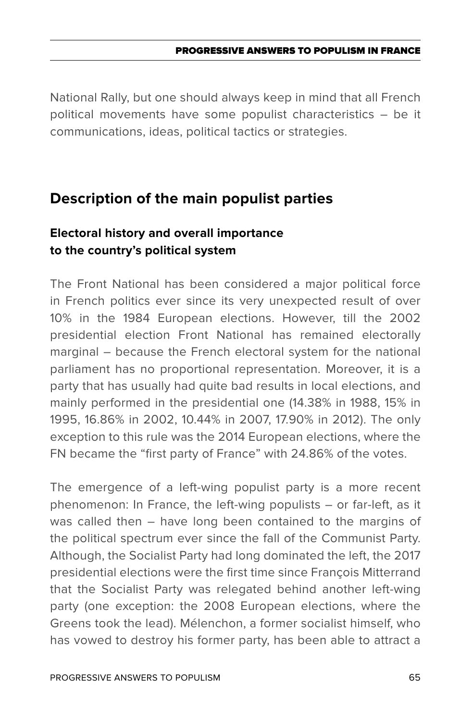National Rally, but one should always keep in mind that all French political movements have some populist characteristics – be it communications, ideas, political tactics or strategies.

# **Description of the main populist parties**

# **Electoral history and overall importance to the country's political system**

The Front National has been considered a major political force in French politics ever since its very unexpected result of over 10% in the 1984 European elections. However, till the 2002 presidential election Front National has remained electorally marginal – because the French electoral system for the national parliament has no proportional representation. Moreover, it is a party that has usually had quite bad results in local elections, and mainly performed in the presidential one (14.38% in 1988, 15% in 1995, 16.86% in 2002, 10.44% in 2007, 17.90% in 2012). The only exception to this rule was the 2014 European elections, where the FN became the "first party of France" with 24.86% of the votes.

The emergence of a left-wing populist party is a more recent phenomenon: In France, the left-wing populists – or far-left, as it was called then – have long been contained to the margins of the political spectrum ever since the fall of the Communist Party. Although, the Socialist Party had long dominated the left, the 2017 presidential elections were the first time since François Mitterrand that the Socialist Party was relegated behind another left-wing party (one exception: the 2008 European elections, where the Greens took the lead). Mélenchon, a former socialist himself, who has vowed to destroy his former party, has been able to attract a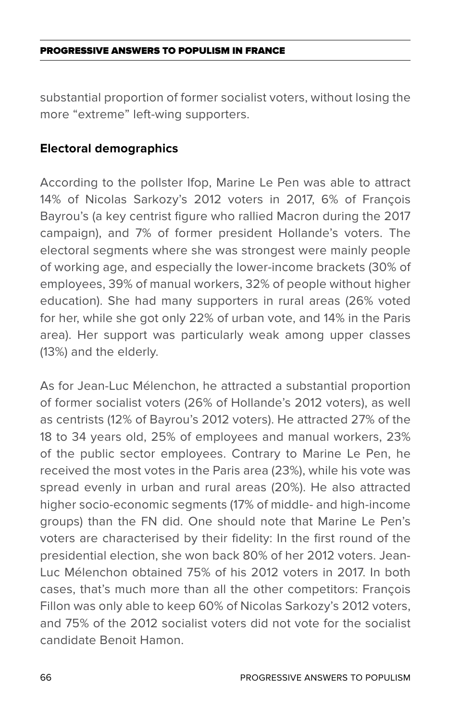substantial proportion of former socialist voters, without losing the more "extreme" left-wing supporters.

### **Electoral demographics**

According to the pollster Ifop, Marine Le Pen was able to attract 14% of Nicolas Sarkozy's 2012 voters in 2017, 6% of François Bayrou's (a key centrist figure who rallied Macron during the 2017 campaign), and 7% of former president Hollande's voters. The electoral segments where she was strongest were mainly people of working age, and especially the lower-income brackets (30% of employees, 39% of manual workers, 32% of people without higher education). She had many supporters in rural areas (26% voted for her, while she got only 22% of urban vote, and 14% in the Paris area). Her support was particularly weak among upper classes (13%) and the elderly.

As for Jean-Luc Mélenchon, he attracted a substantial proportion of former socialist voters (26% of Hollande's 2012 voters), as well as centrists (12% of Bayrou's 2012 voters). He attracted 27% of the 18 to 34 years old, 25% of employees and manual workers, 23% of the public sector employees. Contrary to Marine Le Pen, he received the most votes in the Paris area (23%), while his vote was spread evenly in urban and rural areas (20%). He also attracted higher socio-economic segments (17% of middle- and high-income groups) than the FN did. One should note that Marine Le Pen's voters are characterised by their fidelity: In the first round of the presidential election, she won back 80% of her 2012 voters. Jean-Luc Mélenchon obtained 75% of his 2012 voters in 2017. In both cases, that's much more than all the other competitors: François Fillon was only able to keep 60% of Nicolas Sarkozy's 2012 voters, and 75% of the 2012 socialist voters did not vote for the socialist candidate Benoit Hamon.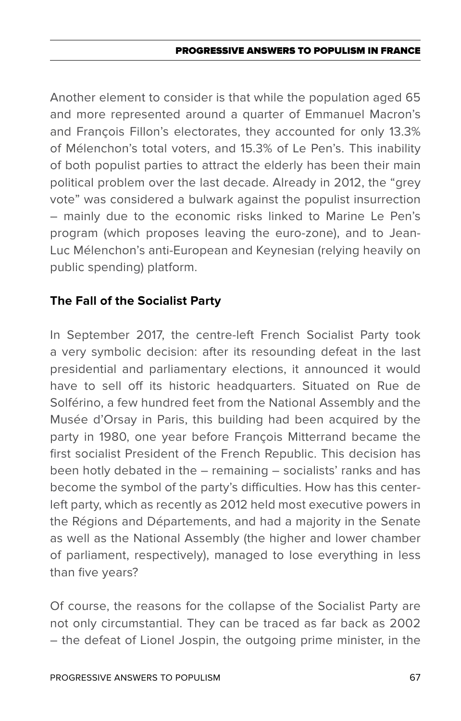Another element to consider is that while the population aged 65 and more represented around a quarter of Emmanuel Macron's and François Fillon's electorates, they accounted for only 13.3% of Mélenchon's total voters, and 15.3% of Le Pen's. This inability of both populist parties to attract the elderly has been their main political problem over the last decade. Already in 2012, the "grey vote" was considered a bulwark against the populist insurrection – mainly due to the economic risks linked to Marine Le Pen's program (which proposes leaving the euro-zone), and to Jean-Luc Mélenchon's anti-European and Keynesian (relying heavily on public spending) platform.

### **The Fall of the Socialist Party**

In September 2017, the centre-left French Socialist Party took a very symbolic decision: after its resounding defeat in the last presidential and parliamentary elections, it announced it would have to sell off its historic headquarters. Situated on Rue de Solférino, a few hundred feet from the National Assembly and the Musée d'Orsay in Paris, this building had been acquired by the party in 1980, one year before François Mitterrand became the first socialist President of the French Republic. This decision has been hotly debated in the – remaining – socialists' ranks and has become the symbol of the party's difficulties. How has this centerleft party, which as recently as 2012 held most executive powers in the Régions and Départements, and had a majority in the Senate as well as the National Assembly (the higher and lower chamber of parliament, respectively), managed to lose everything in less than five years?

Of course, the reasons for the collapse of the Socialist Party are not only circumstantial. They can be traced as far back as 2002 – the defeat of Lionel Jospin, the outgoing prime minister, in the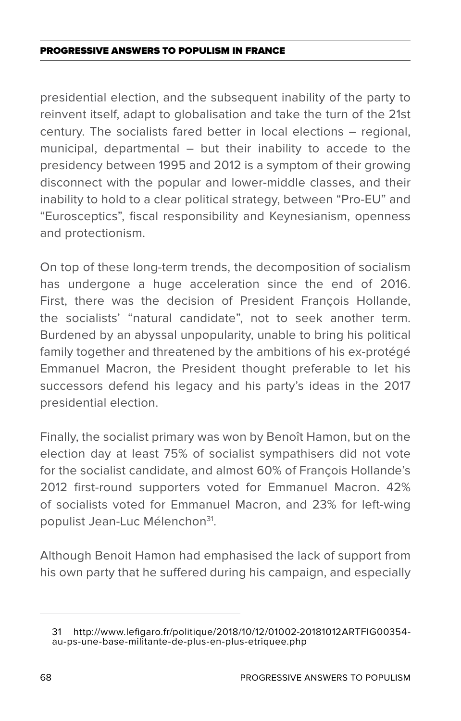presidential election, and the subsequent inability of the party to reinvent itself, adapt to globalisation and take the turn of the 21st century. The socialists fared better in local elections – regional, municipal, departmental – but their inability to accede to the presidency between 1995 and 2012 is a symptom of their growing disconnect with the popular and lower-middle classes, and their inability to hold to a clear political strategy, between "Pro-EU" and "Eurosceptics", fiscal responsibility and Keynesianism, openness and protectionism.

On top of these long-term trends, the decomposition of socialism has undergone a huge acceleration since the end of 2016. First, there was the decision of President François Hollande, the socialists' "natural candidate", not to seek another term. Burdened by an abyssal unpopularity, unable to bring his political family together and threatened by the ambitions of his ex-protégé Emmanuel Macron, the President thought preferable to let his successors defend his legacy and his party's ideas in the 2017 presidential election.

Finally, the socialist primary was won by Benoît Hamon, but on the election day at least 75% of socialist sympathisers did not vote for the socialist candidate, and almost 60% of François Hollande's 2012 first-round supporters voted for Emmanuel Macron. 42% of socialists voted for Emmanuel Macron, and 23% for left-wing populist Jean-Luc Mélenchon<sup>31</sup>.

Although Benoit Hamon had emphasised the lack of support from his own party that he suffered during his campaign, and especially

<sup>31</sup> http://www.lefigaro.fr/politique/2018/10/12/01002-20181012ARTFIG00354 au-ps-une-base-militante-de-plus-en-plus-etriquee.php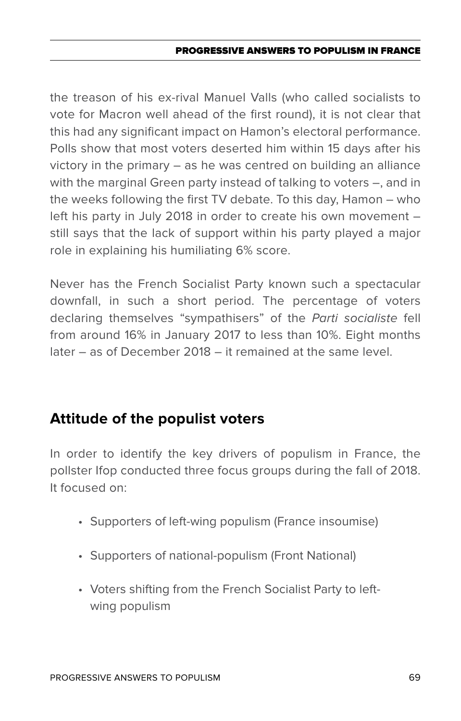the treason of his ex-rival Manuel Valls (who called socialists to vote for Macron well ahead of the first round), it is not clear that this had any significant impact on Hamon's electoral performance. Polls show that most voters deserted him within 15 days after his victory in the primary – as he was centred on building an alliance with the marginal Green party instead of talking to voters –, and in the weeks following the first TV debate. To this day, Hamon – who left his party in July 2018 in order to create his own movement – still says that the lack of support within his party played a major role in explaining his humiliating 6% score.

Never has the French Socialist Party known such a spectacular downfall, in such a short period. The percentage of voters declaring themselves "sympathisers" of the *Parti socialiste* fell from around 16% in January 2017 to less than 10%. Eight months later – as of December 2018 – it remained at the same level.

# **Attitude of the populist voters**

In order to identify the key drivers of populism in France, the pollster Ifop conducted three focus groups during the fall of 2018. It focused on:

- Supporters of left-wing populism (France insoumise)
- Supporters of national-populism (Front National)
- Voters shifting from the French Socialist Party to leftwing populism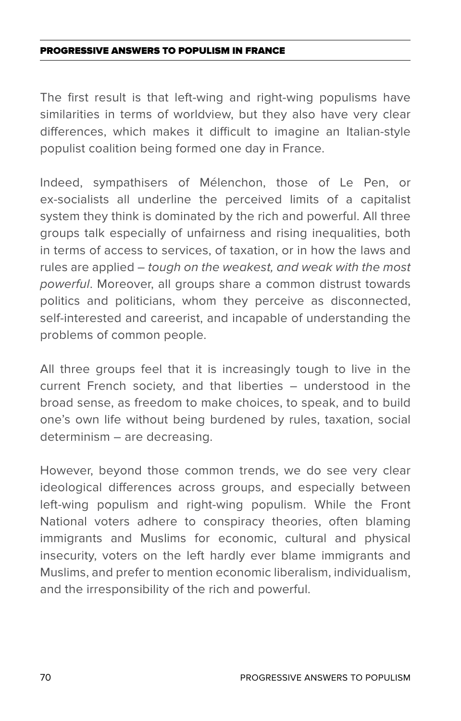The first result is that left-wing and right-wing populisms have similarities in terms of worldview, but they also have very clear differences, which makes it difficult to imagine an Italian-style populist coalition being formed one day in France.

Indeed, sympathisers of Mélenchon, those of Le Pen, or ex-socialists all underline the perceived limits of a capitalist system they think is dominated by the rich and powerful. All three groups talk especially of unfairness and rising inequalities, both in terms of access to services, of taxation, or in how the laws and rules are applied – *tough on the weakest, and weak with the most powerful*. Moreover, all groups share a common distrust towards politics and politicians, whom they perceive as disconnected, self-interested and careerist, and incapable of understanding the problems of common people.

All three groups feel that it is increasingly tough to live in the current French society, and that liberties – understood in the broad sense, as freedom to make choices, to speak, and to build one's own life without being burdened by rules, taxation, social determinism – are decreasing.

However, beyond those common trends, we do see very clear ideological differences across groups, and especially between left-wing populism and right-wing populism. While the Front National voters adhere to conspiracy theories, often blaming immigrants and Muslims for economic, cultural and physical insecurity, voters on the left hardly ever blame immigrants and Muslims, and prefer to mention economic liberalism, individualism, and the irresponsibility of the rich and powerful.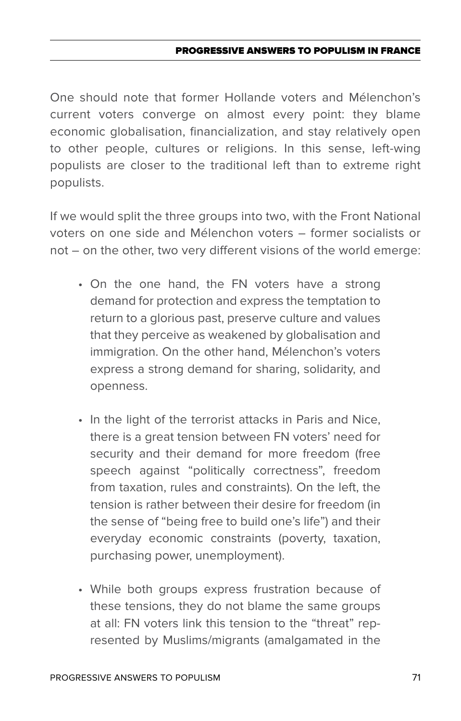One should note that former Hollande voters and Mélenchon's current voters converge on almost every point: they blame economic globalisation, financialization, and stay relatively open to other people, cultures or religions. In this sense, left-wing populists are closer to the traditional left than to extreme right populists.

If we would split the three groups into two, with the Front National voters on one side and Mélenchon voters – former socialists or not – on the other, two very different visions of the world emerge:

- On the one hand, the FN voters have a strong demand for protection and express the temptation to return to a glorious past, preserve culture and values that they perceive as weakened by globalisation and immigration. On the other hand, Mélenchon's voters express a strong demand for sharing, solidarity, and openness.
- In the light of the terrorist attacks in Paris and Nice, there is a great tension between FN voters' need for security and their demand for more freedom (free speech against "politically correctness", freedom from taxation, rules and constraints). On the left, the tension is rather between their desire for freedom (in the sense of "being free to build one's life") and their everyday economic constraints (poverty, taxation, purchasing power, unemployment).
- While both groups express frustration because of these tensions, they do not blame the same groups at all: FN voters link this tension to the "threat" represented by Muslims/migrants (amalgamated in the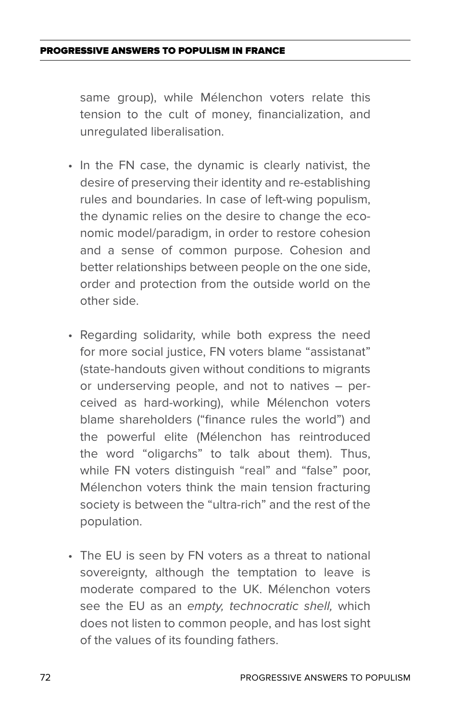same group), while Mélenchon voters relate this tension to the cult of money, financialization, and unregulated liberalisation.

- In the FN case, the dynamic is clearly nativist, the desire of preserving their identity and re-establishing rules and boundaries. In case of left-wing populism, the dynamic relies on the desire to change the economic model/paradigm, in order to restore cohesion and a sense of common purpose. Cohesion and better relationships between people on the one side, order and protection from the outside world on the other side.
- • Regarding solidarity, while both express the need for more social justice, FN voters blame "assistanat" (state-handouts given without conditions to migrants or underserving people, and not to natives – perceived as hard-working), while Mélenchon voters blame shareholders ("finance rules the world") and the powerful elite (Mélenchon has reintroduced the word "oligarchs" to talk about them). Thus, while FN voters distinguish "real" and "false" poor, Mélenchon voters think the main tension fracturing society is between the "ultra-rich" and the rest of the population.
- The EU is seen by FN voters as a threat to national sovereignty, although the temptation to leave is moderate compared to the UK. Mélenchon voters see the EU as an *empty, technocratic shell,* which does not listen to common people, and has lost sight of the values of its founding fathers.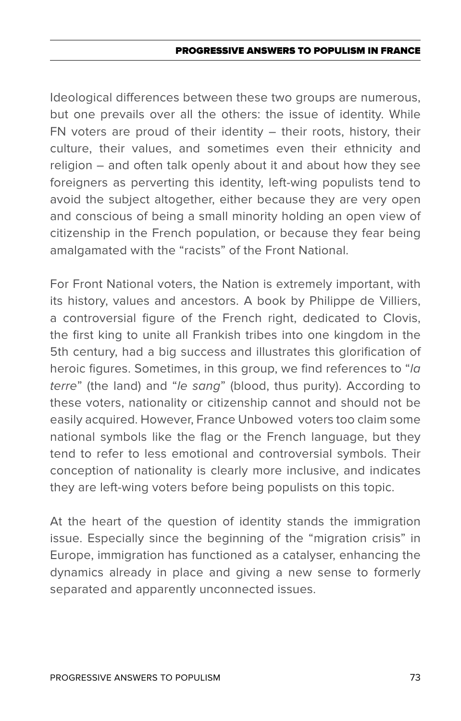Ideological differences between these two groups are numerous, but one prevails over all the others: the issue of identity. While FN voters are proud of their identity  $-$  their roots, history, their culture, their values, and sometimes even their ethnicity and religion – and often talk openly about it and about how they see foreigners as perverting this identity, left-wing populists tend to avoid the subject altogether, either because they are very open and conscious of being a small minority holding an open view of citizenship in the French population, or because they fear being amalgamated with the "racists" of the Front National.

For Front National voters, the Nation is extremely important, with its history, values and ancestors. A book by Philippe de Villiers, a controversial figure of the French right, dedicated to Clovis, the first king to unite all Frankish tribes into one kingdom in the 5th century, had a big success and illustrates this glorification of heroic figures. Sometimes, in this group, we find references to "*la terre*" (the land) and "*le sang*" (blood, thus purity). According to these voters, nationality or citizenship cannot and should not be easily acquired. However, France Unbowed voters too claim some national symbols like the flag or the French language, but they tend to refer to less emotional and controversial symbols. Their conception of nationality is clearly more inclusive, and indicates they are left-wing voters before being populists on this topic.

At the heart of the question of identity stands the immigration issue. Especially since the beginning of the "migration crisis" in Europe, immigration has functioned as a catalyser, enhancing the dynamics already in place and giving a new sense to formerly separated and apparently unconnected issues.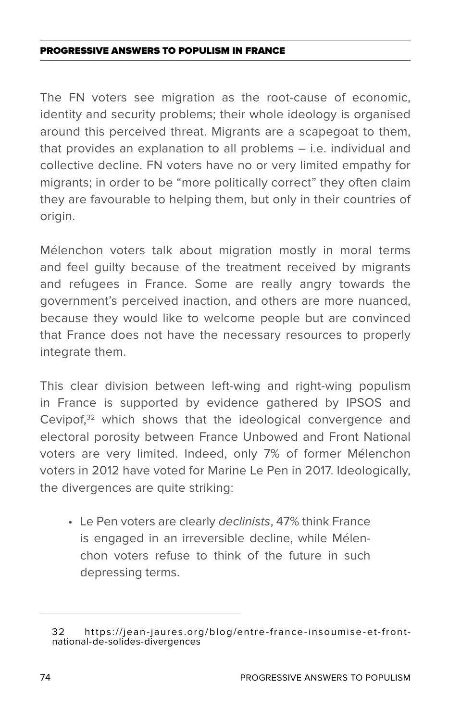The FN voters see migration as the root-cause of economic, identity and security problems; their whole ideology is organised around this perceived threat. Migrants are a scapegoat to them, that provides an explanation to all problems – i.e. individual and collective decline. FN voters have no or very limited empathy for migrants; in order to be "more politically correct" they often claim they are favourable to helping them, but only in their countries of origin.

Mélenchon voters talk about migration mostly in moral terms and feel guilty because of the treatment received by migrants and refugees in France. Some are really angry towards the government's perceived inaction, and others are more nuanced, because they would like to welcome people but are convinced that France does not have the necessary resources to properly integrate them.

This clear division between left-wing and right-wing populism in France is supported by evidence gathered by IPSOS and Cevipof,<sup>32</sup> which shows that the ideological convergence and electoral porosity between France Unbowed and Front National voters are very limited. Indeed, only 7% of former Mélenchon voters in 2012 have voted for Marine Le Pen in 2017. Ideologically, the divergences are quite striking:

• Le Pen voters are clearly *declinists*, 47% think France is engaged in an irreversible decline, while Mélenchon voters refuse to think of the future in such depressing terms.

<sup>32</sup> https://jean-jaures.org/blog/entre-france-insoumise-et-frontnational-de-solides-divergences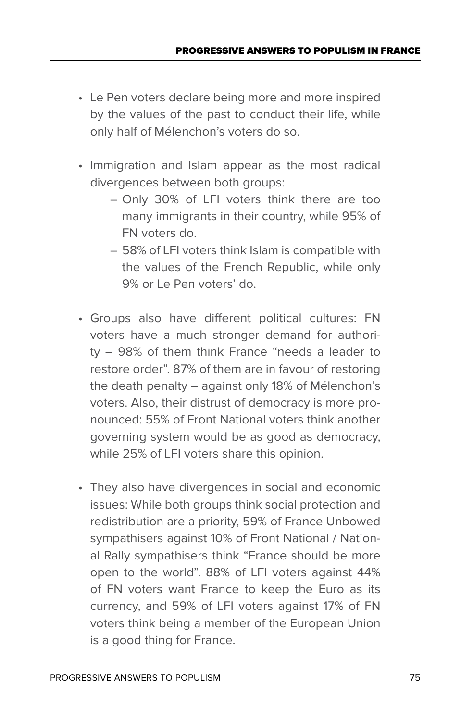- • Le Pen voters declare being more and more inspired by the values of the past to conduct their life, while only half of Mélenchon's voters do so.
- Immigration and Islam appear as the most radical divergences between both groups:
	- Only 30% of LFI voters think there are too many immigrants in their country, while 95% of FN voters do.
	- 58% of LFI voters think Islam is compatible with the values of the French Republic, while only 9% or Le Pen voters' do.
- • Groups also have different political cultures: FN voters have a much stronger demand for authority – 98% of them think France "needs a leader to restore order". 87% of them are in favour of restoring the death penalty – against only 18% of Mélenchon's voters. Also, their distrust of democracy is more pronounced: 55% of Front National voters think another governing system would be as good as democracy, while 25% of LFI voters share this opinion.
- They also have divergences in social and economic issues: While both groups think social protection and redistribution are a priority, 59% of France Unbowed sympathisers against 10% of Front National / National Rally sympathisers think "France should be more open to the world". 88% of LFI voters against 44% of FN voters want France to keep the Euro as its currency, and 59% of LFI voters against 17% of FN voters think being a member of the European Union is a good thing for France.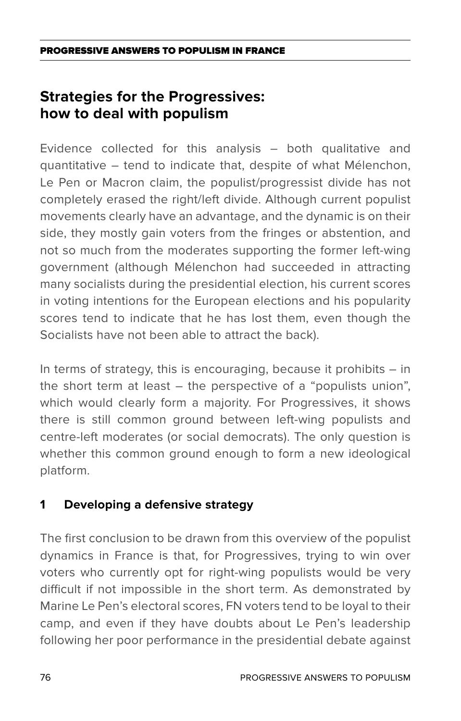## **Strategies for the Progressives: how to deal with populism**

Evidence collected for this analysis – both qualitative and quantitative – tend to indicate that, despite of what Mélenchon, Le Pen or Macron claim, the populist/progressist divide has not completely erased the right/left divide. Although current populist movements clearly have an advantage, and the dynamic is on their side, they mostly gain voters from the fringes or abstention, and not so much from the moderates supporting the former left-wing government (although Mélenchon had succeeded in attracting many socialists during the presidential election, his current scores in voting intentions for the European elections and his popularity scores tend to indicate that he has lost them, even though the Socialists have not been able to attract the back).

In terms of strategy, this is encouraging, because it prohibits – in the short term at least – the perspective of a "populists union", which would clearly form a majority. For Progressives, it shows there is still common ground between left-wing populists and centre-left moderates (or social democrats). The only question is whether this common ground enough to form a new ideological platform.

### **1 Developing a defensive strategy**

The first conclusion to be drawn from this overview of the populist dynamics in France is that, for Progressives, trying to win over voters who currently opt for right-wing populists would be very difficult if not impossible in the short term. As demonstrated by Marine Le Pen's electoral scores, FN voters tend to be loyal to their camp, and even if they have doubts about Le Pen's leadership following her poor performance in the presidential debate against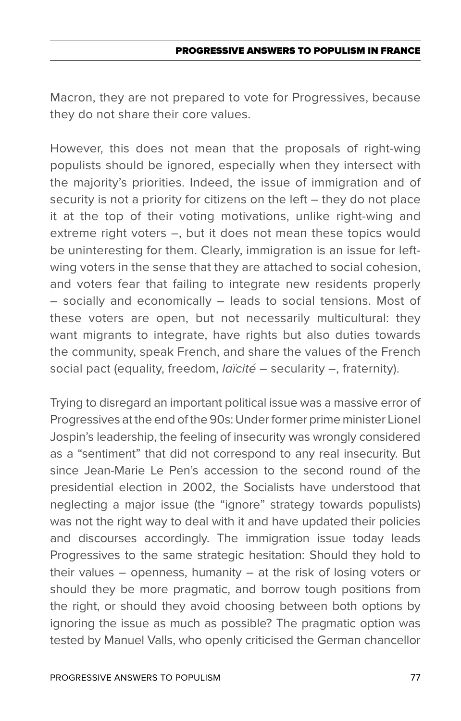Macron, they are not prepared to vote for Progressives, because they do not share their core values.

However, this does not mean that the proposals of right-wing populists should be ignored, especially when they intersect with the majority's priorities. Indeed, the issue of immigration and of security is not a priority for citizens on the left – they do not place it at the top of their voting motivations, unlike right-wing and extreme right voters –, but it does not mean these topics would be uninteresting for them. Clearly, immigration is an issue for leftwing voters in the sense that they are attached to social cohesion, and voters fear that failing to integrate new residents properly – socially and economically – leads to social tensions. Most of these voters are open, but not necessarily multicultural: they want migrants to integrate, have rights but also duties towards the community, speak French, and share the values of the French social pact (equality, freedom, *laïcité* – secularity –, fraternity).

Trying to disregard an important political issue was a massive error of Progressives at the end of the 90s: Under former prime minister Lionel Jospin's leadership, the feeling of insecurity was wrongly considered as a "sentiment" that did not correspond to any real insecurity. But since Jean-Marie Le Pen's accession to the second round of the presidential election in 2002, the Socialists have understood that neglecting a major issue (the "ignore" strategy towards populists) was not the right way to deal with it and have updated their policies and discourses accordingly. The immigration issue today leads Progressives to the same strategic hesitation: Should they hold to their values – openness, humanity – at the risk of losing voters or should they be more pragmatic, and borrow tough positions from the right, or should they avoid choosing between both options by ignoring the issue as much as possible? The pragmatic option was tested by Manuel Valls, who openly criticised the German chancellor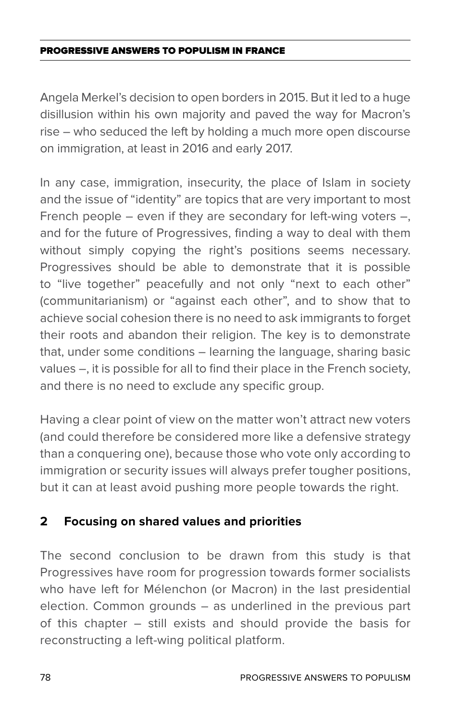Angela Merkel's decision to open borders in 2015. But it led to a huge disillusion within his own majority and paved the way for Macron's rise – who seduced the left by holding a much more open discourse on immigration, at least in 2016 and early 2017.

In any case, immigration, insecurity, the place of Islam in society and the issue of "identity" are topics that are very important to most French people  $-$  even if they are secondary for left-wing voters  $-$ , and for the future of Progressives, finding a way to deal with them without simply copying the right's positions seems necessary. Progressives should be able to demonstrate that it is possible to "live together" peacefully and not only "next to each other" (communitarianism) or "against each other", and to show that to achieve social cohesion there is no need to ask immigrants to forget their roots and abandon their religion. The key is to demonstrate that, under some conditions – learning the language, sharing basic values –, it is possible for all to find their place in the French society, and there is no need to exclude any specific group.

Having a clear point of view on the matter won't attract new voters (and could therefore be considered more like a defensive strategy than a conquering one), because those who vote only according to immigration or security issues will always prefer tougher positions, but it can at least avoid pushing more people towards the right.

### **2 Focusing on shared values and priorities**

The second conclusion to be drawn from this study is that Progressives have room for progression towards former socialists who have left for Mélenchon (or Macron) in the last presidential election. Common grounds – as underlined in the previous part of this chapter – still exists and should provide the basis for reconstructing a left-wing political platform.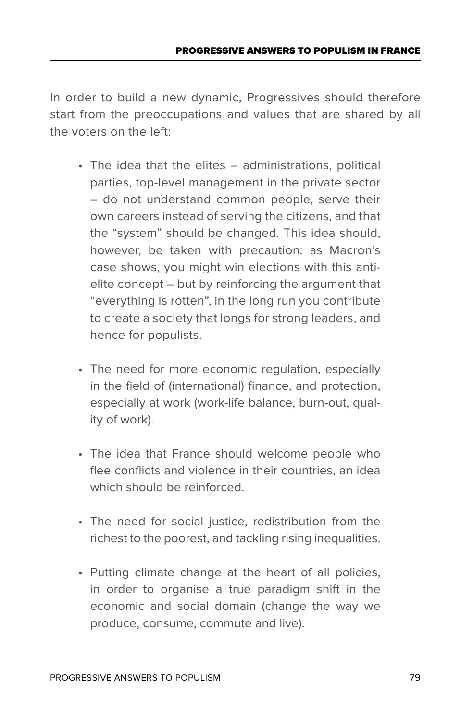In order to build a new dynamic, Progressives should therefore start from the preoccupations and values that are shared by all the voters on the left:

- The idea that the elites administrations, political parties, top-level management in the private sector – do not understand common people, serve their own careers instead of serving the citizens, and that the "system" should be changed. This idea should, however, be taken with precaution: as Macron's case shows, you might win elections with this antielite concept – but by reinforcing the argument that "everything is rotten", in the long run you contribute to create a society that longs for strong leaders, and hence for populists.
- The need for more economic regulation, especially in the field of (international) finance, and protection, especially at work (work-life balance, burn-out, quality of work).
- The idea that France should welcome people who flee conflicts and violence in their countries, an idea which should be reinforced.
- The need for social justice, redistribution from the richest to the poorest, and tackling rising inequalities.
- Putting climate change at the heart of all policies, in order to organise a true paradigm shift in the economic and social domain (change the way we produce, consume, commute and live).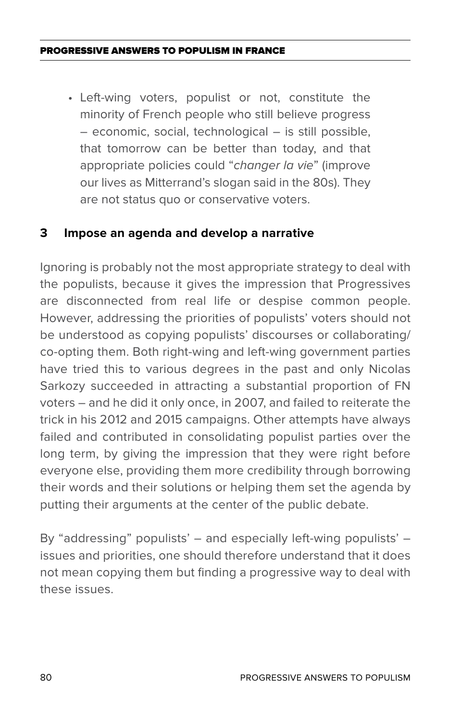• Left-wing voters, populist or not, constitute the minority of French people who still believe progress – economic, social, technological – is still possible, that tomorrow can be better than today, and that appropriate policies could "*changer la vie*" (improve our lives as Mitterrand's slogan said in the 80s). They are not status quo or conservative voters.

### **3 Impose an agenda and develop a narrative**

Ignoring is probably not the most appropriate strategy to deal with the populists, because it gives the impression that Progressives are disconnected from real life or despise common people. However, addressing the priorities of populists' voters should not be understood as copying populists' discourses or collaborating/ co-opting them. Both right-wing and left-wing government parties have tried this to various degrees in the past and only Nicolas Sarkozy succeeded in attracting a substantial proportion of FN voters – and he did it only once, in 2007, and failed to reiterate the trick in his 2012 and 2015 campaigns. Other attempts have always failed and contributed in consolidating populist parties over the long term, by giving the impression that they were right before everyone else, providing them more credibility through borrowing their words and their solutions or helping them set the agenda by putting their arguments at the center of the public debate.

By "addressing" populists' – and especially left-wing populists' – issues and priorities, one should therefore understand that it does not mean copying them but finding a progressive way to deal with these issues.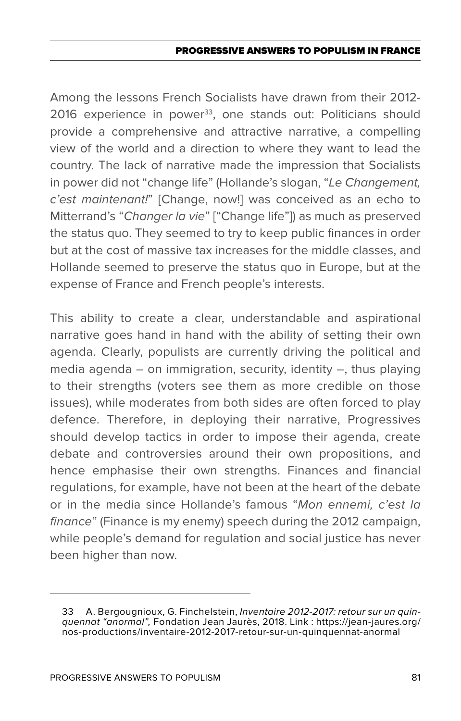Among the lessons French Socialists have drawn from their 2012- 2016 experience in power<sup>33</sup>, one stands out: Politicians should provide a comprehensive and attractive narrative, a compelling view of the world and a direction to where they want to lead the country. The lack of narrative made the impression that Socialists in power did not "change life" (Hollande's slogan, "*Le Changement, c'est maintenant!*" [Change, now!] was conceived as an echo to Mitterrand's "*Changer la vie*" ["Change life"]) as much as preserved the status quo. They seemed to try to keep public finances in order but at the cost of massive tax increases for the middle classes, and Hollande seemed to preserve the status quo in Europe, but at the expense of France and French people's interests.

This ability to create a clear, understandable and aspirational narrative goes hand in hand with the ability of setting their own agenda. Clearly, populists are currently driving the political and media agenda – on immigration, security, identity –, thus playing to their strengths (voters see them as more credible on those issues), while moderates from both sides are often forced to play defence. Therefore, in deploying their narrative, Progressives should develop tactics in order to impose their agenda, create debate and controversies around their own propositions, and hence emphasise their own strengths. Finances and financial regulations, for example, have not been at the heart of the debate or in the media since Hollande's famous "*Mon ennemi, c'est la finance*" (Finance is my enemy) speech during the 2012 campaign, while people's demand for regulation and social justice has never been higher than now.

<sup>33</sup> A. Bergougnioux, G. Finchelstein, *Inventaire 2012-2017: retour sur un quinquennat "anormal",* Fondation Jean Jaurès, 2018. Link : https://jean-jaures.org/ nos-productions/inventaire-2012-2017-retour-sur-un-quinquennat-anormal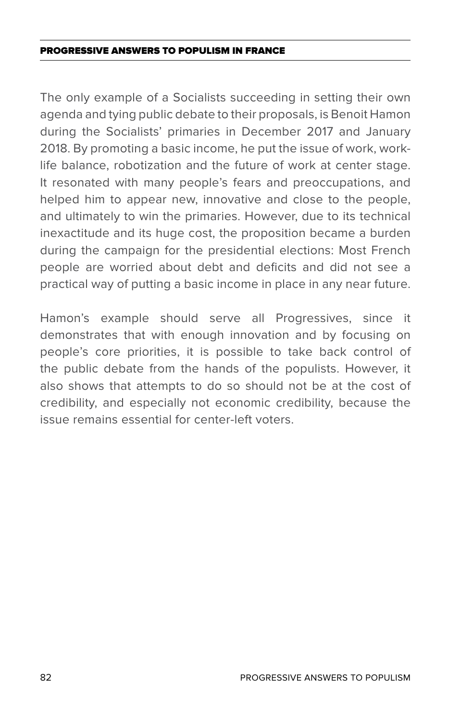The only example of a Socialists succeeding in setting their own agenda and tying public debate to their proposals, is Benoit Hamon during the Socialists' primaries in December 2017 and January 2018. By promoting a basic income, he put the issue of work, worklife balance, robotization and the future of work at center stage. It resonated with many people's fears and preoccupations, and helped him to appear new, innovative and close to the people. and ultimately to win the primaries. However, due to its technical inexactitude and its huge cost, the proposition became a burden during the campaign for the presidential elections: Most French people are worried about debt and deficits and did not see a practical way of putting a basic income in place in any near future.

Hamon's example should serve all Progressives, since it demonstrates that with enough innovation and by focusing on people's core priorities, it is possible to take back control of the public debate from the hands of the populists. However, it also shows that attempts to do so should not be at the cost of credibility, and especially not economic credibility, because the issue remains essential for center-left voters.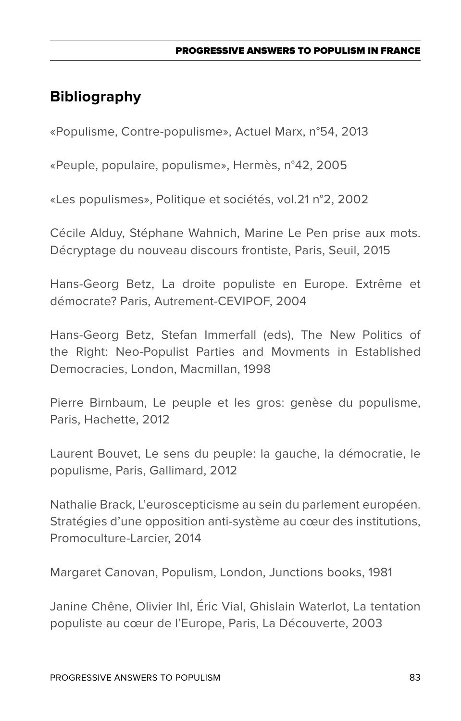# **Bibliography**

«Populisme, Contre-populisme», Actuel Marx, n°54, 2013

«Peuple, populaire, populisme», Hermès, n°42, 2005

«Les populismes», Politique et sociétés, vol.21 n°2, 2002

Cécile Alduy, Stéphane Wahnich, Marine Le Pen prise aux mots. Décryptage du nouveau discours frontiste, Paris, Seuil, 2015

Hans-Georg Betz, La droite populiste en Europe. Extrême et démocrate? Paris, Autrement-CEVIPOF, 2004

Hans-Georg Betz, Stefan Immerfall (eds), The New Politics of the Right: Neo-Populist Parties and Movments in Established Democracies, London, Macmillan, 1998

Pierre Birnbaum, Le peuple et les gros: genèse du populisme, Paris, Hachette, 2012

Laurent Bouvet, Le sens du peuple: la gauche, la démocratie, le populisme, Paris, Gallimard, 2012

Nathalie Brack, L'euroscepticisme au sein du parlement européen. Stratégies d'une opposition anti-système au cœur des institutions, Promoculture-Larcier, 2014

Margaret Canovan, Populism, London, Junctions books, 1981

Janine Chêne, Olivier Ihl, Éric Vial, Ghislain Waterlot, La tentation populiste au cœur de l'Europe, Paris, La Découverte, 2003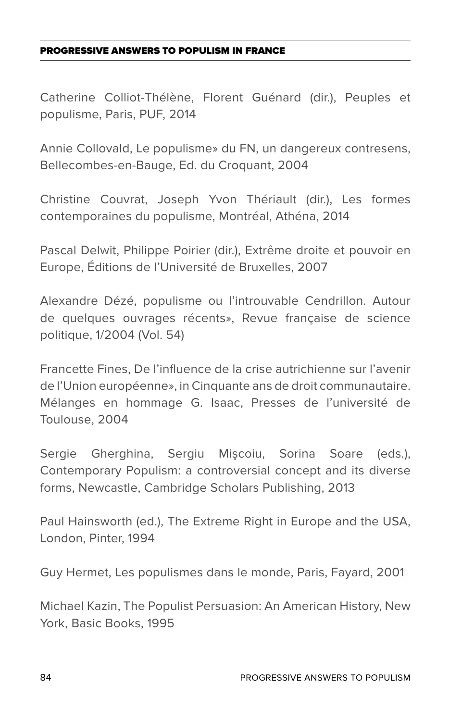Catherine Colliot-Thélène, Florent Guénard (dir.), Peuples et populisme, Paris, PUF, 2014

Annie Collovald, Le populisme» du FN, un dangereux contresens, Bellecombes-en-Bauge, Ed. du Croquant, 2004

Christine Couvrat, Joseph Yvon Thériault (dir.), Les formes contemporaines du populisme, Montréal, Athéna, 2014

Pascal Delwit, Philippe Poirier (dir.), Extrême droite et pouvoir en Europe, Éditions de l'Université de Bruxelles, 2007

Alexandre Dézé, populisme ou l'introuvable Cendrillon. Autour de quelques ouvrages récents», Revue française de science politique, 1/2004 (Vol. 54)

Francette Fines, De l'influence de la crise autrichienne sur l'avenir de l'Union européenne», in Cinquante ans de droit communautaire. Mélanges en hommage G. Isaac, Presses de l'université de Toulouse, 2004

Sergie Gherghina, Sergiu Mişcoiu, Sorina Soare (eds.), Contemporary Populism: a controversial concept and its diverse forms, Newcastle, Cambridge Scholars Publishing, 2013

Paul Hainsworth (ed.), The Extreme Right in Europe and the USA, London, Pinter, 1994

Guy Hermet, Les populismes dans le monde, Paris, Fayard, 2001

Michael Kazin, The Populist Persuasion: An American History, New York, Basic Books, 1995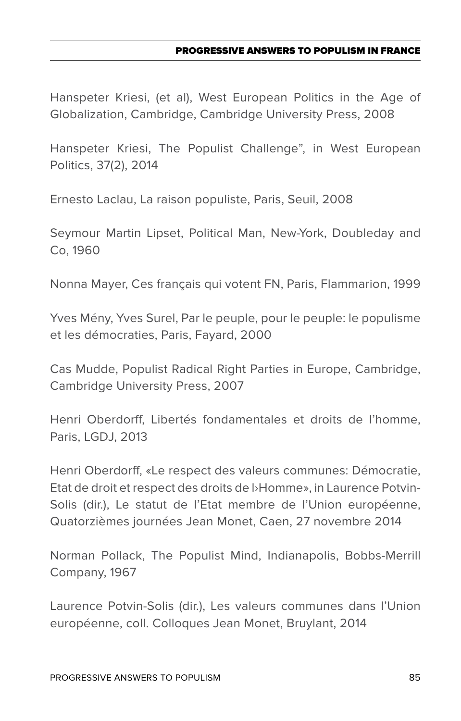#### PROGRESSIVE ANSWERS TO POPULISM IN FRANC

Hanspeter Kriesi, (et al), West European Politics in the Age of Globalization, Cambridge, Cambridge University Press, 2008

Hanspeter Kriesi, The Populist Challenge", in West European Politics, 37(2), 2014

Ernesto Laclau, La raison populiste, Paris, Seuil, 2008

Seymour Martin Lipset, Political Man, New-York, Doubleday and Co, 1960

Nonna Mayer, Ces français qui votent FN, Paris, Flammarion, 1999

Yves Mény, Yves Surel, Par le peuple, pour le peuple: le populisme et les démocraties, Paris, Fayard, 2000

Cas Mudde, Populist Radical Right Parties in Europe, Cambridge, Cambridge University Press, 2007

Henri Oberdorff, Libertés fondamentales et droits de l'homme, Paris, LGDJ, 2013

Henri Oberdorff, «Le respect des valeurs communes: Démocratie, Etat de droit et respect des droits de l›Homme», in Laurence Potvin-Solis (dir.), Le statut de l'Etat membre de l'Union européenne, Quatorzièmes journées Jean Monet, Caen, 27 novembre 2014

Norman Pollack, The Populist Mind, Indianapolis, Bobbs-Merrill Company, 1967

Laurence Potvin-Solis (dir.), Les valeurs communes dans l'Union européenne, coll. Colloques Jean Monet, Bruylant, 2014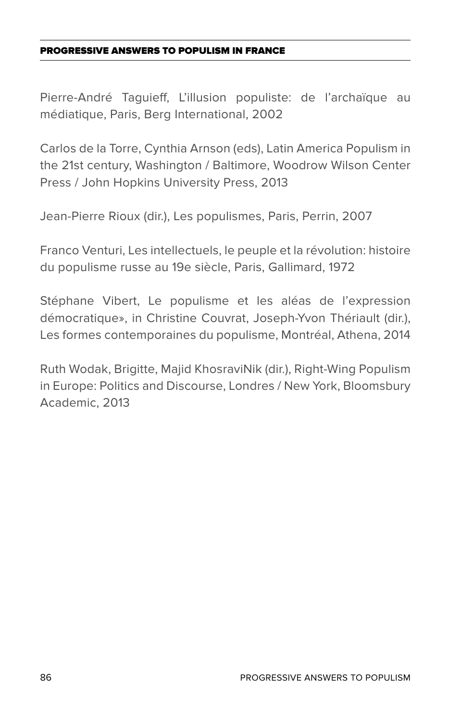Pierre-André Taguieff, L'illusion populiste: de l'archaïque au médiatique, Paris, Berg International, 2002

Carlos de la Torre, Cynthia Arnson (eds), Latin America Populism in the 21st century, Washington / Baltimore, Woodrow Wilson Center Press / John Hopkins University Press, 2013

Jean-Pierre Rioux (dir.), Les populismes, Paris, Perrin, 2007

Franco Venturi, Les intellectuels, le peuple et la révolution: histoire du populisme russe au 19e siècle, Paris, Gallimard, 1972

Stéphane Vibert, Le populisme et les aléas de l'expression démocratique», in Christine Couvrat, Joseph-Yvon Thériault (dir.), Les formes contemporaines du populisme, Montréal, Athena, 2014

Ruth Wodak, Brigitte, Majid KhosraviNik (dir.), Right-Wing Populism in Europe: Politics and Discourse, Londres / New York, Bloomsbury Academic, 2013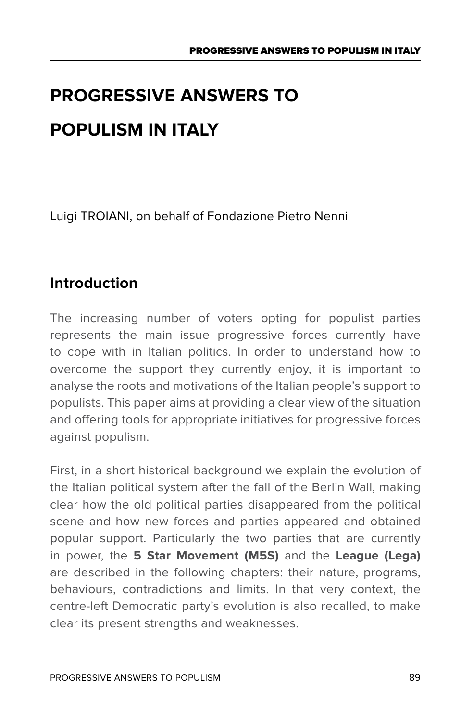Luigi TROIANI, on behalf of Fondazione Pietro Nenni

# **Introduction**

The increasing number of voters opting for populist parties represents the main issue progressive forces currently have to cope with in Italian politics. In order to understand how to overcome the support they currently enjoy, it is important to analyse the roots and motivations of the Italian people's support to populists. This paper aims at providing a clear view of the situation and offering tools for appropriate initiatives for progressive forces against populism.

First, in a short historical background we explain the evolution of the Italian political system after the fall of the Berlin Wall, making clear how the old political parties disappeared from the political scene and how new forces and parties appeared and obtained popular support. Particularly the two parties that are currently in power, the **5 Star Movement (M5S)** and the **League (Lega)** are described in the following chapters: their nature, programs, behaviours, contradictions and limits. In that very context, the centre-left Democratic party's evolution is also recalled, to make clear its present strengths and weaknesses.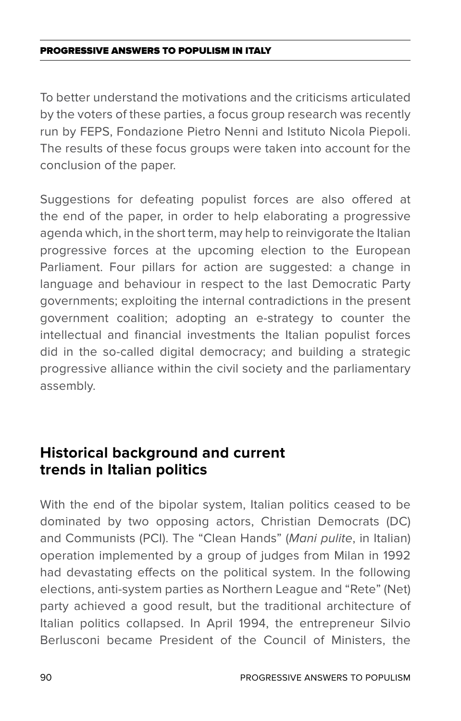To better understand the motivations and the criticisms articulated by the voters of these parties, a focus group research was recently run by FEPS, Fondazione Pietro Nenni and Istituto Nicola Piepoli. The results of these focus groups were taken into account for the conclusion of the paper.

Suggestions for defeating populist forces are also offered at the end of the paper, in order to help elaborating a progressive agenda which, in the short term, may help to reinvigorate the Italian progressive forces at the upcoming election to the European Parliament. Four pillars for action are suggested: a change in language and behaviour in respect to the last Democratic Party governments; exploiting the internal contradictions in the present government coalition; adopting an e-strategy to counter the intellectual and financial investments the Italian populist forces did in the so-called digital democracy; and building a strategic progressive alliance within the civil society and the parliamentary assembly.

### **Historical background and current trends in Italian politics**

With the end of the bipolar system, Italian politics ceased to be dominated by two opposing actors, Christian Democrats (DC) and Communists (PCI). The "Clean Hands" (*Mani pulite*, in Italian) operation implemented by a group of judges from Milan in 1992 had devastating effects on the political system. In the following elections, anti-system parties as Northern League and "Rete" (Net) party achieved a good result, but the traditional architecture of Italian politics collapsed. In April 1994, the entrepreneur Silvio Berlusconi became President of the Council of Ministers, the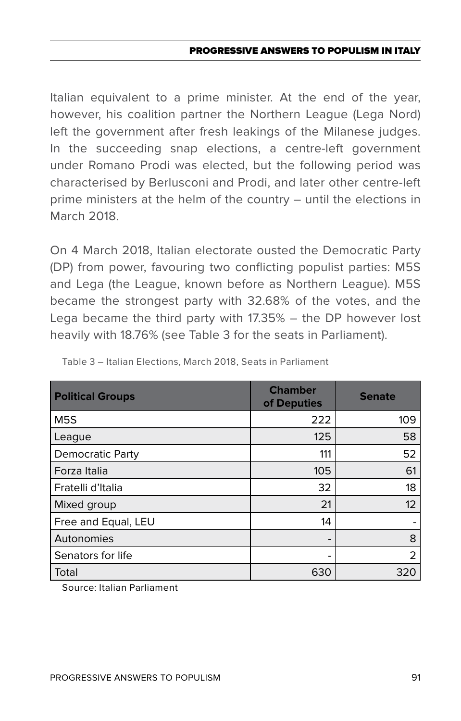Italian equivalent to a prime minister. At the end of the year, however, his coalition partner the Northern League (Lega Nord) left the government after fresh leakings of the Milanese judges. In the succeeding snap elections, a centre-left government under Romano Prodi was elected, but the following period was characterised by Berlusconi and Prodi, and later other centre-left prime ministers at the helm of the country – until the elections in March 2018.

On 4 March 2018, Italian electorate ousted the Democratic Party (DP) from power, favouring two conflicting populist parties: M5S and Lega (the League, known before as Northern League). M5S became the strongest party with 32.68% of the votes, and the Lega became the third party with 17.35% – the DP however lost heavily with 18.76% (see Table 3 for the seats in Parliament).

| <b>Political Groups</b> | <b>Chamber</b><br>of Deputies | <b>Senate</b> |  |  |
|-------------------------|-------------------------------|---------------|--|--|
| M <sub>5</sub> S        | 222                           | 109           |  |  |
| League                  | 125                           | 58            |  |  |
| <b>Democratic Party</b> | 111                           | 52            |  |  |
| Forza Italia            | 105                           | 61            |  |  |
| Fratelli d'Italia       | 32                            | 18            |  |  |
| Mixed group             | 21                            | 12            |  |  |
| Free and Equal, LEU     | 14                            | -             |  |  |
| Autonomies              | $\overline{\phantom{0}}$      | 8             |  |  |
| Senators for life       |                               | 2             |  |  |
| Total                   | 630                           | 320           |  |  |

Table 3 – Italian Elections, March 2018, Seats in Parliament

Source: Italian Parliament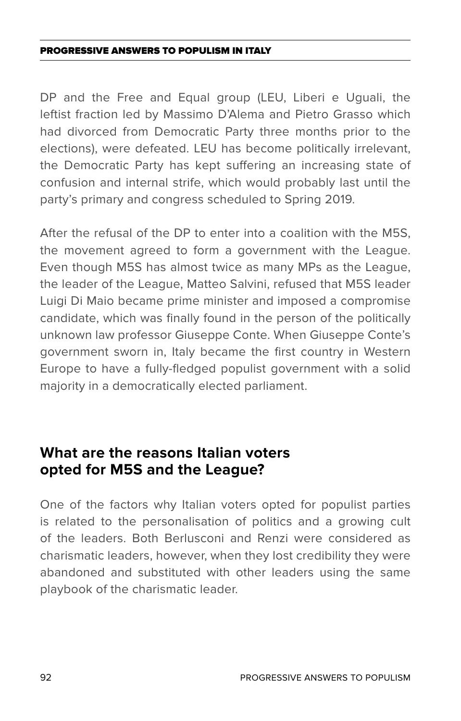DP and the Free and Equal group (LEU, Liberi e Uguali, the leftist fraction led by Massimo D'Alema and Pietro Grasso which had divorced from Democratic Party three months prior to the elections), were defeated. LEU has become politically irrelevant, the Democratic Party has kept suffering an increasing state of confusion and internal strife, which would probably last until the party's primary and congress scheduled to Spring 2019.

After the refusal of the DP to enter into a coalition with the M5S, the movement agreed to form a government with the League. Even though M5S has almost twice as many MPs as the League, the leader of the League, Matteo Salvini, refused that M5S leader Luigi Di Maio became prime minister and imposed a compromise candidate, which was finally found in the person of the politically unknown law professor Giuseppe Conte. When Giuseppe Conte's government sworn in, Italy became the first country in Western Europe to have a fully-fledged populist government with a solid majority in a democratically elected parliament.

### **What are the reasons Italian voters opted for M5S and the League?**

One of the factors why Italian voters opted for populist parties is related to the personalisation of politics and a growing cult of the leaders. Both Berlusconi and Renzi were considered as charismatic leaders, however, when they lost credibility they were abandoned and substituted with other leaders using the same playbook of the charismatic leader.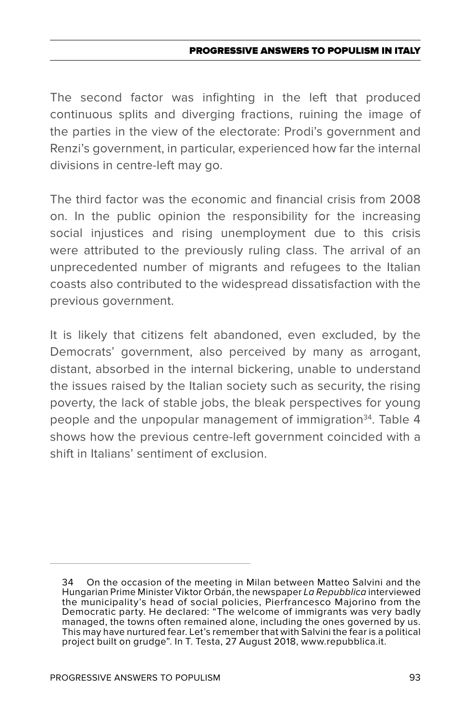The second factor was infighting in the left that produced continuous splits and diverging fractions, ruining the image of the parties in the view of the electorate: Prodi's government and Renzi's government, in particular, experienced how far the internal divisions in centre-left may go.

The third factor was the economic and financial crisis from 2008 on. In the public opinion the responsibility for the increasing social injustices and rising unemployment due to this crisis were attributed to the previously ruling class. The arrival of an unprecedented number of migrants and refugees to the Italian coasts also contributed to the widespread dissatisfaction with the previous government.

It is likely that citizens felt abandoned, even excluded, by the Democrats' government, also perceived by many as arrogant, distant, absorbed in the internal bickering, unable to understand the issues raised by the Italian society such as security, the rising poverty, the lack of stable jobs, the bleak perspectives for young people and the unpopular management of immigration<sup>34</sup>. Table 4 shows how the previous centre-left government coincided with a shift in Italians' sentiment of exclusion.

<sup>34</sup> On the occasion of the meeting in Milan between Matteo Salvini and the Hungarian Prime Minister Viktor Orbán, the newspaper *La Repubblica* interviewed the municipality's head of social policies, Pierfrancesco Majorino from the Democratic party. He declared: "The welcome of immigrants was very badly managed, the towns often remained alone, including the ones governed by us. This may have nurtured fear. Let's remember that with Salvini the fear is a political project built on grudge". In T. Testa, 27 August 2018, www.repubblica.it.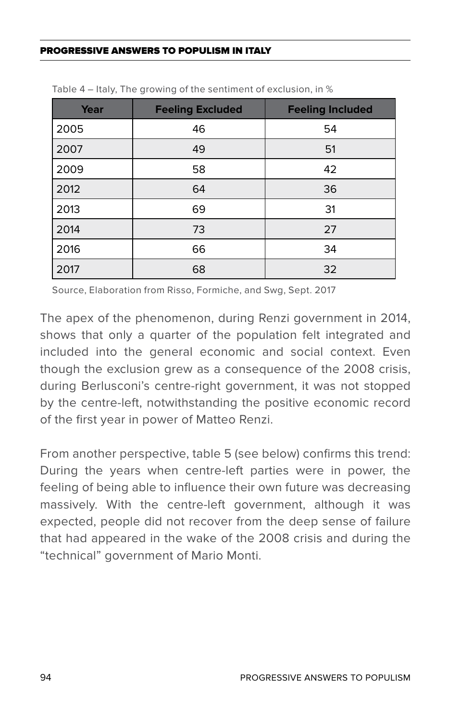| Year | <b>Feeling Excluded</b> | <b>Feeling Included</b> |  |  |  |
|------|-------------------------|-------------------------|--|--|--|
| 2005 | 46                      | 54                      |  |  |  |
| 2007 | 49                      | 51                      |  |  |  |
| 2009 | 58                      | 42                      |  |  |  |
| 2012 | 64                      | 36                      |  |  |  |
| 2013 | 69                      | 31                      |  |  |  |
| 2014 | 73                      | 27                      |  |  |  |
| 2016 | 66                      | 34                      |  |  |  |
| 2017 | 68                      | 32                      |  |  |  |

Table 4 – Italy, The growing of the sentiment of exclusion, in %

Source, Elaboration from Risso, Formiche, and Swg, Sept. 2017

The apex of the phenomenon, during Renzi government in 2014, shows that only a quarter of the population felt integrated and included into the general economic and social context. Even though the exclusion grew as a consequence of the 2008 crisis, during Berlusconi's centre-right government, it was not stopped by the centre-left, notwithstanding the positive economic record of the first year in power of Matteo Renzi.

From another perspective, table 5 (see below) confirms this trend: During the years when centre-left parties were in power, the feeling of being able to influence their own future was decreasing massively. With the centre-left government, although it was expected, people did not recover from the deep sense of failure that had appeared in the wake of the 2008 crisis and during the "technical" government of Mario Monti.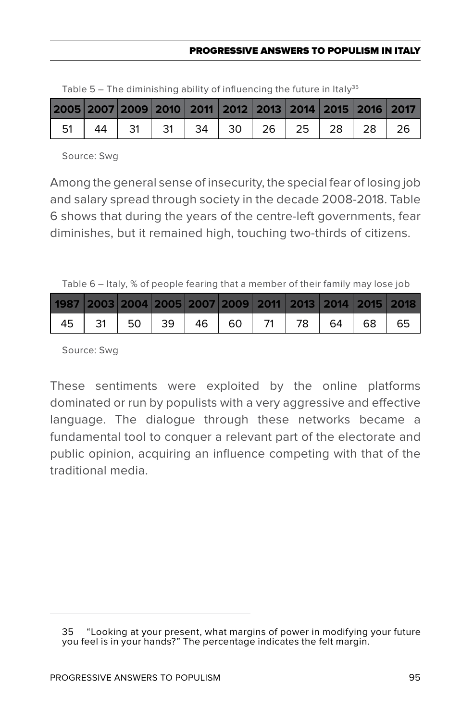| 2005 2007 2009 2010 2011 2012 2013 2014 2015 2016 2017 |  |  |  |  |  |
|--------------------------------------------------------|--|--|--|--|--|
| 51   44   31   31   34   30   26   25   28   28   26   |  |  |  |  |  |

Table  $5 -$  The diminishing ability of influencing the future in Italy<sup>35</sup>

Source: Swg

Among the general sense of insecurity, the special fear of losing job and salary spread through society in the decade 2008-2018. Table 6 shows that during the years of the centre-left governments, fear diminishes, but it remained high, touching two-thirds of citizens.

Table 6 – Italy, % of people fearing that a member of their family may lose job

| 1987   2003   2004   2005   2007   2009   2011   2013   2014   2015   2018 |  |  |  |  |  |
|----------------------------------------------------------------------------|--|--|--|--|--|
| 45   31   50   39   46   60   71   78   64   68   65                       |  |  |  |  |  |

Source: Swg

These sentiments were exploited by the online platforms dominated or run by populists with a very aggressive and effective language. The dialogue through these networks became a fundamental tool to conquer a relevant part of the electorate and public opinion, acquiring an influence competing with that of the traditional media.

<sup>35 &</sup>quot;Looking at your present, what margins of power in modifying your future you feel is in your hands?" The percentage indicates the felt margin.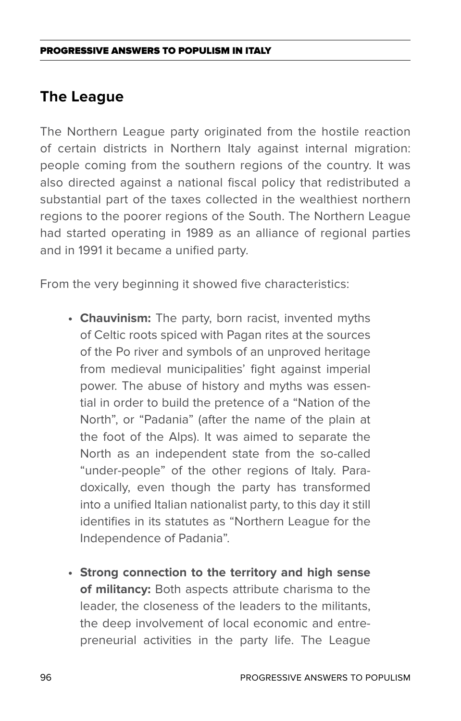### **The League**

The Northern League party originated from the hostile reaction of certain districts in Northern Italy against internal migration: people coming from the southern regions of the country. It was also directed against a national fiscal policy that redistributed a substantial part of the taxes collected in the wealthiest northern regions to the poorer regions of the South. The Northern League had started operating in 1989 as an alliance of regional parties and in 1991 it became a unified party.

From the very beginning it showed five characteristics:

- **• Chauvinism:** The party, born racist, invented myths of Celtic roots spiced with Pagan rites at the sources of the Po river and symbols of an unproved heritage from medieval municipalities' fight against imperial power. The abuse of history and myths was essential in order to build the pretence of a "Nation of the North", or "Padania" (after the name of the plain at the foot of the Alps). It was aimed to separate the North as an independent state from the so-called "under-people" of the other regions of Italy. Paradoxically, even though the party has transformed into a unified Italian nationalist party, to this day it still identifies in its statutes as "Northern League for the Independence of Padania".
- **• Strong connection to the territory and high sense of militancy:** Both aspects attribute charisma to the leader, the closeness of the leaders to the militants, the deep involvement of local economic and entrepreneurial activities in the party life. The League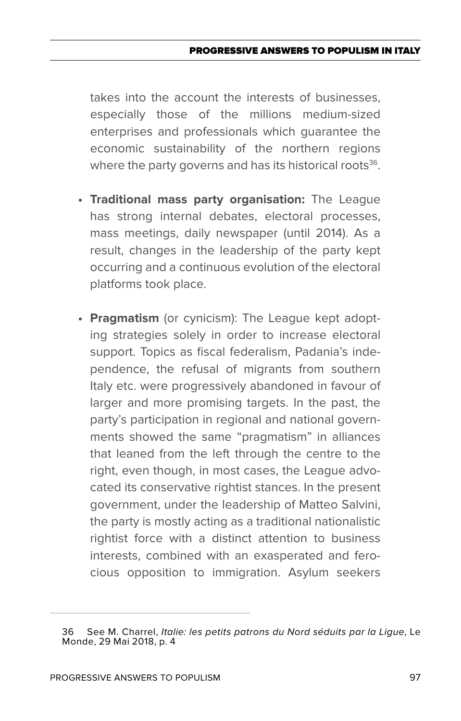takes into the account the interests of businesses, especially those of the millions medium-sized enterprises and professionals which guarantee the economic sustainability of the northern regions where the party governs and has its historical roots $36$ .

- **• Traditional mass party organisation:** The League has strong internal debates, electoral processes, mass meetings, daily newspaper (until 2014). As a result, changes in the leadership of the party kept occurring and a continuous evolution of the electoral platforms took place.
- **• Pragmatism** (or cynicism): The League kept adopting strategies solely in order to increase electoral support. Topics as fiscal federalism, Padania's independence, the refusal of migrants from southern Italy etc. were progressively abandoned in favour of larger and more promising targets. In the past, the party's participation in regional and national governments showed the same "pragmatism" in alliances that leaned from the left through the centre to the right, even though, in most cases, the League advocated its conservative rightist stances. In the present government, under the leadership of Matteo Salvini, the party is mostly acting as a traditional nationalistic rightist force with a distinct attention to business interests, combined with an exasperated and ferocious opposition to immigration. Asylum seekers

<sup>36</sup> See M. Charrel, *Italie: les petits patrons du Nord séduits par la Ligue*, Le Monde, 29 Mai 2018, p. 4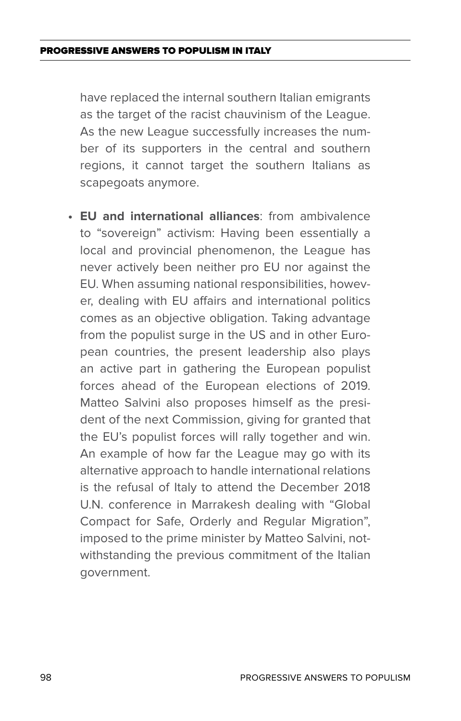have replaced the internal southern Italian emigrants as the target of the racist chauvinism of the League. As the new League successfully increases the number of its supporters in the central and southern regions, it cannot target the southern Italians as scapegoats anymore.

**• EU and international alliances**: from ambivalence to "sovereign" activism: Having been essentially a local and provincial phenomenon, the League has never actively been neither pro EU nor against the EU. When assuming national responsibilities, however, dealing with EU affairs and international politics comes as an objective obligation. Taking advantage from the populist surge in the US and in other European countries, the present leadership also plays an active part in gathering the European populist forces ahead of the European elections of 2019. Matteo Salvini also proposes himself as the president of the next Commission, giving for granted that the EU's populist forces will rally together and win. An example of how far the League may go with its alternative approach to handle international relations is the refusal of Italy to attend the December 2018 U.N. conference in Marrakesh dealing with "Global Compact for Safe, Orderly and Regular Migration", imposed to the prime minister by Matteo Salvini, notwithstanding the previous commitment of the Italian government.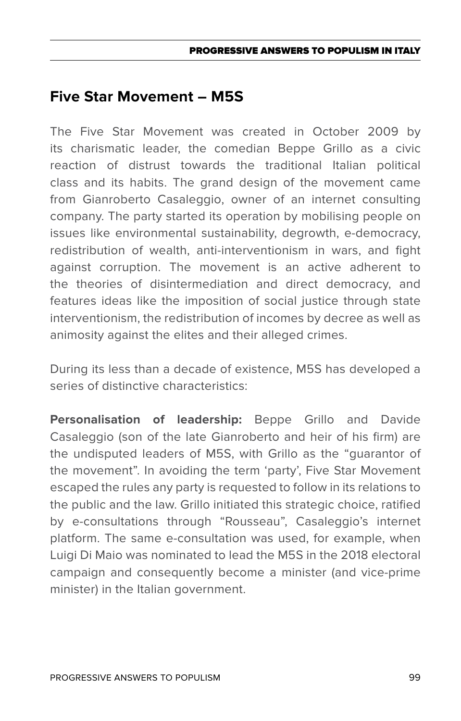### **Five Star Movement – M5S**

The Five Star Movement was created in October 2009 by its charismatic leader, the comedian Beppe Grillo as a civic reaction of distrust towards the traditional Italian political class and its habits. The grand design of the movement came from Gianroberto Casaleggio, owner of an internet consulting company. The party started its operation by mobilising people on issues like environmental sustainability, degrowth, e-democracy, redistribution of wealth, anti-interventionism in wars, and fight against corruption. The movement is an active adherent to the theories of disintermediation and direct democracy, and features ideas like the imposition of social justice through state interventionism, the redistribution of incomes by decree as well as animosity against the elites and their alleged crimes.

During its less than a decade of existence, M5S has developed a series of distinctive characteristics:

**Personalisation of leadership:** Beppe Grillo and Davide Casaleggio (son of the late Gianroberto and heir of his firm) are the undisputed leaders of M5S, with Grillo as the "guarantor of the movement". In avoiding the term 'party', Five Star Movement escaped the rules any party is requested to follow in its relations to the public and the law. Grillo initiated this strategic choice, ratified by e-consultations through "Rousseau", Casaleggio's internet platform. The same e-consultation was used, for example, when Luigi Di Maio was nominated to lead the M5S in the 2018 electoral campaign and consequently become a minister (and vice-prime minister) in the Italian government.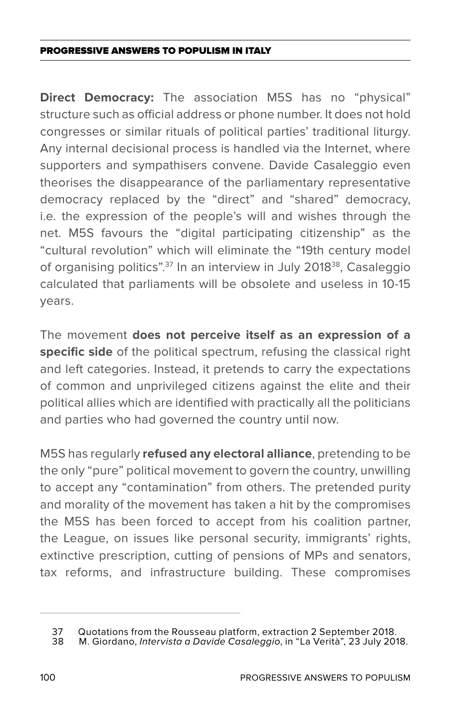**Direct Democracy:** The association M5S has no "physical" structure such as official address or phone number. It does not hold congresses or similar rituals of political parties' traditional liturgy. Any internal decisional process is handled via the Internet, where supporters and sympathisers convene. Davide Casaleggio even theorises the disappearance of the parliamentary representative democracy replaced by the "direct" and "shared" democracy, i.e. the expression of the people's will and wishes through the net. M5S favours the "digital participating citizenship" as the "cultural revolution" which will eliminate the "19th century model of organising politics".<sup>37</sup> In an interview in July 2018<sup>38</sup>, Casaleggio calculated that parliaments will be obsolete and useless in 10-15 years.

The movement **does not perceive itself as an expression of a specific side** of the political spectrum, refusing the classical right and left categories. Instead, it pretends to carry the expectations of common and unprivileged citizens against the elite and their political allies which are identified with practically all the politicians and parties who had governed the country until now.

M5S has regularly **refused any electoral alliance**, pretending to be the only "pure" political movement to govern the country, unwilling to accept any "contamination" from others. The pretended purity and morality of the movement has taken a hit by the compromises the M5S has been forced to accept from his coalition partner, the League, on issues like personal security, immigrants' rights, extinctive prescription, cutting of pensions of MPs and senators, tax reforms, and infrastructure building. These compromises

<sup>37</sup> Quotations from the Rousseau platform, extraction 2 September 2018.<br>38 M. Giordano, *Intervista a Davide Casalegaio*, in "La Verità", 23 July 201

<sup>38</sup> M. Giordano, *Intervista a Davide Casaleggio*, in "La Verità", 23 July 2018.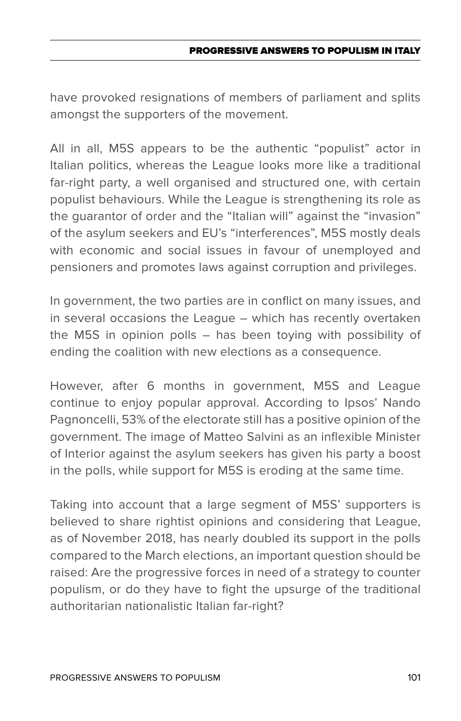#### PROGRESSIVE ANSWERS TO POPULISM IN ITAL

have provoked resignations of members of parliament and splits amongst the supporters of the movement.

All in all, M5S appears to be the authentic "populist" actor in Italian politics, whereas the League looks more like a traditional far-right party, a well organised and structured one, with certain populist behaviours. While the League is strengthening its role as the guarantor of order and the "Italian will" against the "invasion" of the asylum seekers and EU's "interferences", M5S mostly deals with economic and social issues in favour of unemployed and pensioners and promotes laws against corruption and privileges.

In government, the two parties are in conflict on many issues, and in several occasions the League – which has recently overtaken the M5S in opinion polls – has been toying with possibility of ending the coalition with new elections as a consequence.

However, after 6 months in government, M5S and League continue to enjoy popular approval. According to Ipsos' Nando Pagnoncelli, 53% of the electorate still has a positive opinion of the government. The image of Matteo Salvini as an inflexible Minister of Interior against the asylum seekers has given his party a boost in the polls, while support for M5S is eroding at the same time.

Taking into account that a large segment of M5S' supporters is believed to share rightist opinions and considering that League, as of November 2018, has nearly doubled its support in the polls compared to the March elections, an important question should be raised: Are the progressive forces in need of a strategy to counter populism, or do they have to fight the upsurge of the traditional authoritarian nationalistic Italian far-right?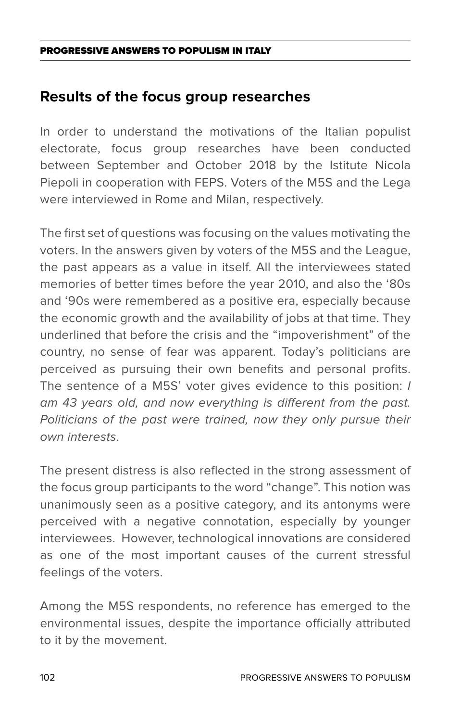### **Results of the focus group researches**

In order to understand the motivations of the Italian populist electorate, focus group researches have been conducted between September and October 2018 by the Istitute Nicola Piepoli in cooperation with FEPS. Voters of the M5S and the Lega were interviewed in Rome and Milan, respectively.

The first set of questions was focusing on the values motivating the voters. In the answers given by voters of the M5S and the League, the past appears as a value in itself. All the interviewees stated memories of better times before the year 2010, and also the '80s and '90s were remembered as a positive era, especially because the economic growth and the availability of jobs at that time. They underlined that before the crisis and the "impoverishment" of the country, no sense of fear was apparent. Today's politicians are perceived as pursuing their own benefits and personal profits. The sentence of a M5S' voter gives evidence to this position: *I am 43 years old, and now everything is different from the past.*  Politicians of the past were trained, now they only pursue their *own interests*.

The present distress is also reflected in the strong assessment of the focus group participants to the word "change". This notion was unanimously seen as a positive category, and its antonyms were perceived with a negative connotation, especially by younger interviewees. However, technological innovations are considered as one of the most important causes of the current stressful feelings of the voters.

Among the M5S respondents, no reference has emerged to the environmental issues, despite the importance officially attributed to it by the movement.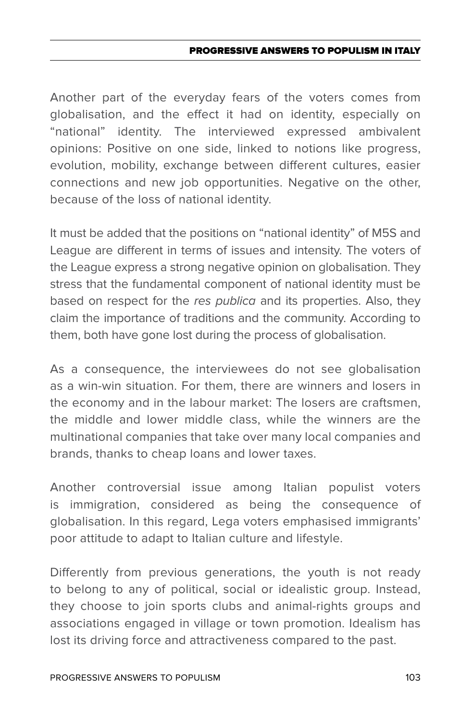#### PROGRESSIVE ANSWERS TO POPULISM IN ITAL

Another part of the everyday fears of the voters comes from globalisation, and the effect it had on identity, especially on "national" identity. The interviewed expressed ambivalent opinions: Positive on one side, linked to notions like progress, evolution, mobility, exchange between different cultures, easier connections and new job opportunities. Negative on the other, because of the loss of national identity.

It must be added that the positions on "national identity" of M5S and League are different in terms of issues and intensity. The voters of the League express a strong negative opinion on globalisation. They stress that the fundamental component of national identity must be based on respect for the *res publica* and its properties. Also, they claim the importance of traditions and the community. According to them, both have gone lost during the process of globalisation.

As a consequence, the interviewees do not see globalisation as a win-win situation. For them, there are winners and losers in the economy and in the labour market: The losers are craftsmen, the middle and lower middle class, while the winners are the multinational companies that take over many local companies and brands, thanks to cheap loans and lower taxes.

Another controversial issue among Italian populist voters is immigration, considered as being the consequence of globalisation. In this regard, Lega voters emphasised immigrants' poor attitude to adapt to Italian culture and lifestyle.

Differently from previous generations, the youth is not ready to belong to any of political, social or idealistic group. Instead, they choose to join sports clubs and animal-rights groups and associations engaged in village or town promotion. Idealism has lost its driving force and attractiveness compared to the past.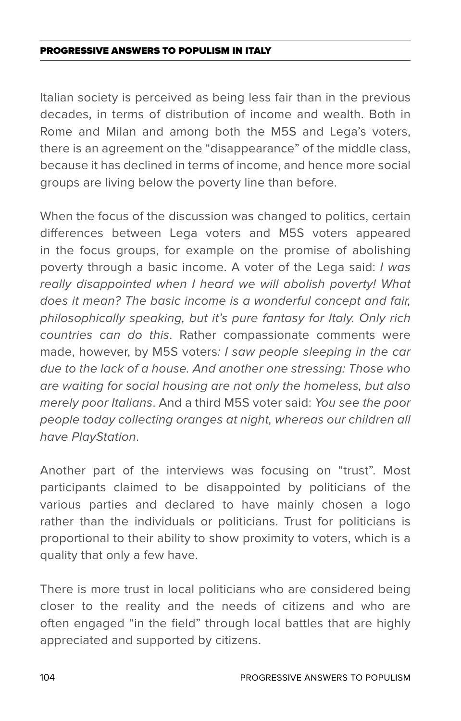Italian society is perceived as being less fair than in the previous decades, in terms of distribution of income and wealth. Both in Rome and Milan and among both the M5S and Lega's voters, there is an agreement on the "disappearance" of the middle class, because it has declined in terms of income, and hence more social groups are living below the poverty line than before.

When the focus of the discussion was changed to politics, certain differences between Lega voters and M5S voters appeared in the focus groups, for example on the promise of abolishing poverty through a basic income. A voter of the Lega said: *I was really disappointed when I heard we will abolish poverty! What does it mean? The basic income is a wonderful concept and fair, philosophically speaking, but it's pure fantasy for Italy. Only rich countries can do this*. Rather compassionate comments were made, however, by M5S voters*: I saw people sleeping in the car due to the lack of a house. And another one stressing: Those who are waiting for social housing are not only the homeless, but also merely poor Italians*. And a third M5S voter said: *You see the poor people today collecting oranges at night, whereas our children all have PlayStation*.

Another part of the interviews was focusing on "trust". Most participants claimed to be disappointed by politicians of the various parties and declared to have mainly chosen a logo rather than the individuals or politicians. Trust for politicians is proportional to their ability to show proximity to voters, which is a quality that only a few have.

There is more trust in local politicians who are considered being closer to the reality and the needs of citizens and who are often engaged "in the field" through local battles that are highly appreciated and supported by citizens.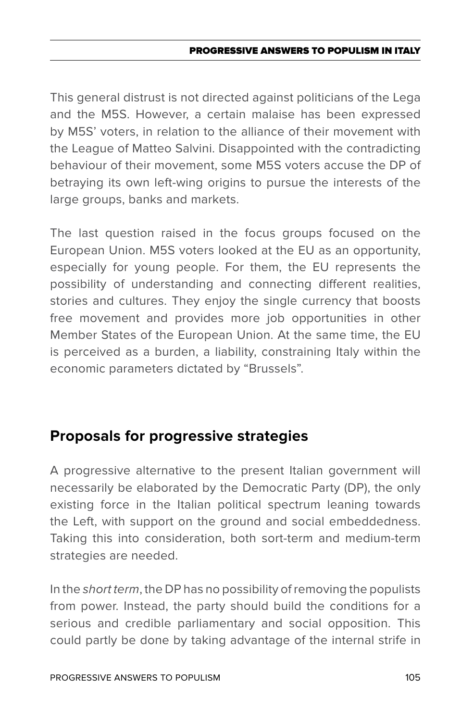#### PROGRESSIVE ANSWERS TO POPULISM IN ITAL

This general distrust is not directed against politicians of the Lega and the M5S. However, a certain malaise has been expressed by M5S' voters, in relation to the alliance of their movement with the League of Matteo Salvini. Disappointed with the contradicting behaviour of their movement, some M5S voters accuse the DP of betraying its own left-wing origins to pursue the interests of the large groups, banks and markets.

The last question raised in the focus groups focused on the European Union. M5S voters looked at the EU as an opportunity, especially for young people. For them, the EU represents the possibility of understanding and connecting different realities, stories and cultures. They enjoy the single currency that boosts free movement and provides more job opportunities in other Member States of the European Union. At the same time, the EU is perceived as a burden, a liability, constraining Italy within the economic parameters dictated by "Brussels".

### **Proposals for progressive strategies**

A progressive alternative to the present Italian government will necessarily be elaborated by the Democratic Party (DP), the only existing force in the Italian political spectrum leaning towards the Left, with support on the ground and social embeddedness. Taking this into consideration, both sort-term and medium-term strategies are needed.

In the *short term*, the DP has no possibility of removing the populists from power. Instead, the party should build the conditions for a serious and credible parliamentary and social opposition. This could partly be done by taking advantage of the internal strife in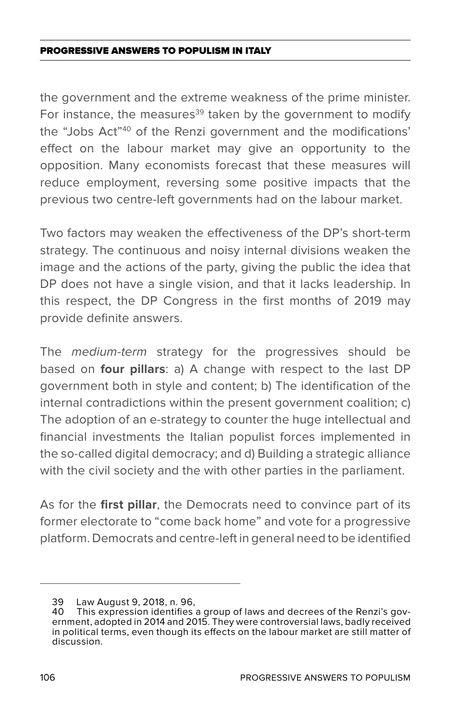the government and the extreme weakness of the prime minister. For instance, the measures<sup>39</sup> taken by the government to modify the "Jobs Act"40 of the Renzi government and the modifications' effect on the labour market may give an opportunity to the opposition. Many economists forecast that these measures will reduce employment, reversing some positive impacts that the previous two centre-left governments had on the labour market.

Two factors may weaken the effectiveness of the DP's short-term strategy. The continuous and noisy internal divisions weaken the image and the actions of the party, giving the public the idea that DP does not have a single vision, and that it lacks leadership. In this respect, the DP Congress in the first months of 2019 may provide definite answers.

The *medium-term* strategy for the progressives should be based on **four pillars**: a) A change with respect to the last DP government both in style and content; b) The identification of the internal contradictions within the present government coalition; c) The adoption of an e-strategy to counter the huge intellectual and financial investments the Italian populist forces implemented in the so-called digital democracy; and d) Building a strategic alliance with the civil society and the with other parties in the parliament.

As for the **first pillar**, the Democrats need to convince part of its former electorate to "come back home" and vote for a progressive platform. Democrats and centre-left in general need to be identified

<sup>39</sup> Law August 9, 2018, n. 96,

<sup>40</sup> This expression identifies a group of laws and decrees of the Renzi's government, adopted in 2014 and 2015. They were controversial laws, badly received in political terms, even though its effects on the labour market are still matter of discussion.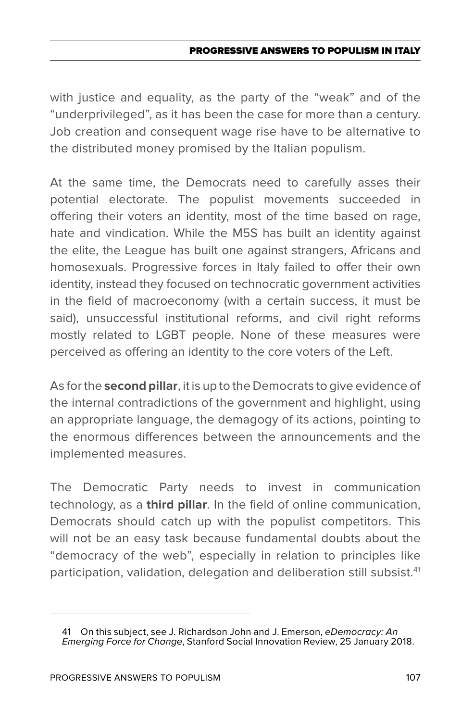#### PROGRESSIVE ANSWERS TO POPULISM IN ITALY

with justice and equality, as the party of the "weak" and of the "underprivileged", as it has been the case for more than a century. Job creation and consequent wage rise have to be alternative to the distributed money promised by the Italian populism.

At the same time, the Democrats need to carefully asses their potential electorate. The populist movements succeeded in offering their voters an identity, most of the time based on rage, hate and vindication. While the M5S has built an identity against the elite, the League has built one against strangers, Africans and homosexuals. Progressive forces in Italy failed to offer their own identity, instead they focused on technocratic government activities in the field of macroeconomy (with a certain success, it must be said), unsuccessful institutional reforms, and civil right reforms mostly related to LGBT people. None of these measures were perceived as offering an identity to the core voters of the Left.

As for the **second pillar**, it is up to the Democrats to give evidence of the internal contradictions of the government and highlight, using an appropriate language, the demagogy of its actions, pointing to the enormous differences between the announcements and the implemented measures.

The Democratic Party needs to invest in communication technology, as a **third pillar**. In the field of online communication, Democrats should catch up with the populist competitors. This will not be an easy task because fundamental doubts about the "democracy of the web", especially in relation to principles like participation, validation, delegation and deliberation still subsist.<sup>41</sup>

<sup>41</sup> On this subject, see J. Richardson John and J. Emerson, *eDemocracy: An Emerging Force for Change*, Stanford Social Innovation Review, 25 January 2018.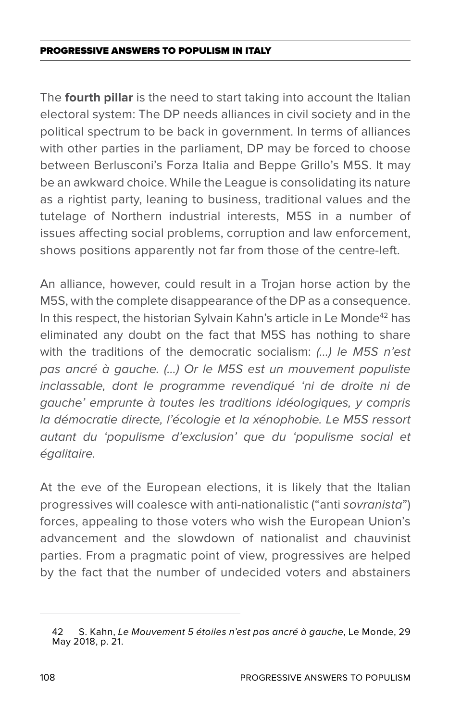The **fourth pillar** is the need to start taking into account the Italian electoral system: The DP needs alliances in civil society and in the political spectrum to be back in government. In terms of alliances with other parties in the parliament, DP may be forced to choose between Berlusconi's Forza Italia and Beppe Grillo's M5S. It may be an awkward choice. While the League is consolidating its nature as a rightist party, leaning to business, traditional values and the tutelage of Northern industrial interests, M5S in a number of issues affecting social problems, corruption and law enforcement, shows positions apparently not far from those of the centre-left.

An alliance, however, could result in a Trojan horse action by the M5S, with the complete disappearance of the DP as a consequence. In this respect, the historian Sylvain Kahn's article in Le Monde<sup>42</sup> has eliminated any doubt on the fact that M5S has nothing to share with the traditions of the democratic socialism: *(…) le M5S n'est pas ancré à gauche. (…) Or le M5S est un mouvement populiste inclassable, dont le programme revendiqué 'ni de droite ni de gauche' emprunte à toutes les traditions idéologiques, y compris*  la démocratie directe, l'écologie et la xénophobie. Le M5S ressort *autant du 'populisme d'exclusion' que du 'populisme social et égalitaire.* 

At the eve of the European elections, it is likely that the Italian progressives will coalesce with anti-nationalistic ("anti *sovranista*") forces, appealing to those voters who wish the European Union's advancement and the slowdown of nationalist and chauvinist parties. From a pragmatic point of view, progressives are helped by the fact that the number of undecided voters and abstainers

<sup>42</sup> S. Kahn, *Le Mouvement 5 étoiles n'est pas ancré à gauche*, Le Monde, 29 May 2018, p. 21.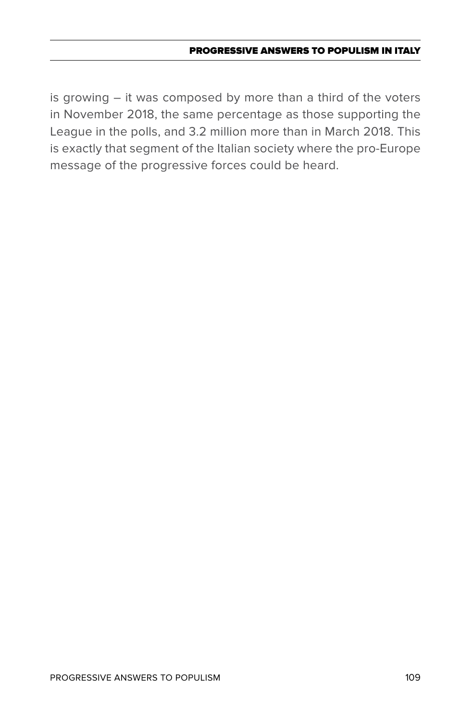### Progressive Answers to Populism in Italy

is growing – it was composed by more than a third of the voters in November 2018, the same percentage as those supporting the League in the polls, and 3.2 million more than in March 2018. This is exactly that segment of the Italian society where the pro-Europe message of the progressive forces could be heard.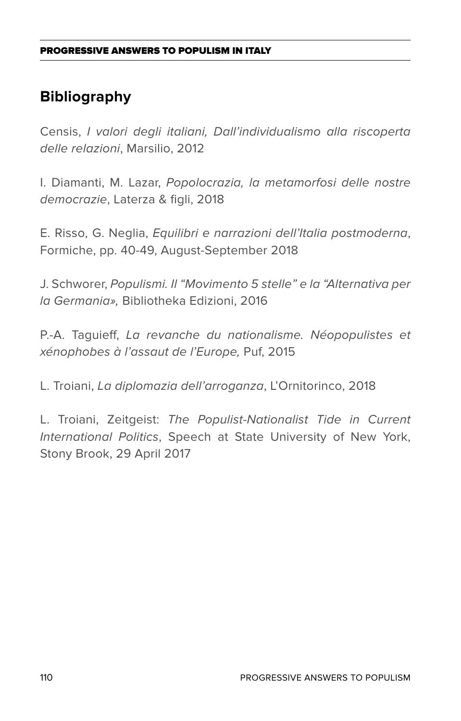# **Bibliography**

Censis, *I valori degli italiani, Dall'individualismo alla riscoperta delle relazioni*, Marsilio, 2012

I. Diamanti, M. Lazar, *Popolocrazia, la metamorfosi delle nostre democrazie*, Laterza & figli, 2018

E. Risso, G. Neglia, *Equilibri e narrazioni dell'Italia postmoderna*, Formiche, pp. 40-49, August-September 2018

J. Schworer, *Populismi. Il "Movimento 5 stelle" e la "Alternativa per la Germania»,* Bibliotheka Edizioni, 2016

P.-A. Taguieff, *La revanche du nationalisme. Néopopulistes et xénophobes à l'assaut de l'Europe,* Puf, 2015

L. Troiani, *La diplomazia dell'arroganza*, L'Ornitorinco, 2018

L. Troiani, Zeitgeist: *The Populist-Nationalist Tide in Current International Politics*, Speech at State University of New York, Stony Brook, 29 April 2017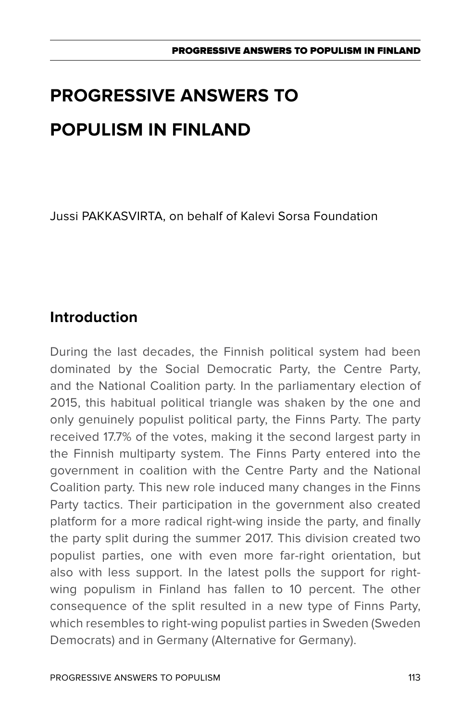Jussi PAKKASVIRTA, on behalf of Kalevi Sorsa Foundation

# **Introduction**

During the last decades, the Finnish political system had been dominated by the Social Democratic Party, the Centre Party, and the National Coalition party. In the parliamentary election of 2015, this habitual political triangle was shaken by the one and only genuinely populist political party, the Finns Party. The party received 17.7% of the votes, making it the second largest party in the Finnish multiparty system. The Finns Party entered into the government in coalition with the Centre Party and the National Coalition party. This new role induced many changes in the Finns Party tactics. Their participation in the government also created platform for a more radical right-wing inside the party, and finally the party split during the summer 2017. This division created two populist parties, one with even more far-right orientation, but also with less support. In the latest polls the support for rightwing populism in Finland has fallen to 10 percent. The other consequence of the split resulted in a new type of Finns Party, which resembles to right-wing populist parties in Sweden (Sweden Democrats) and in Germany (Alternative for Germany).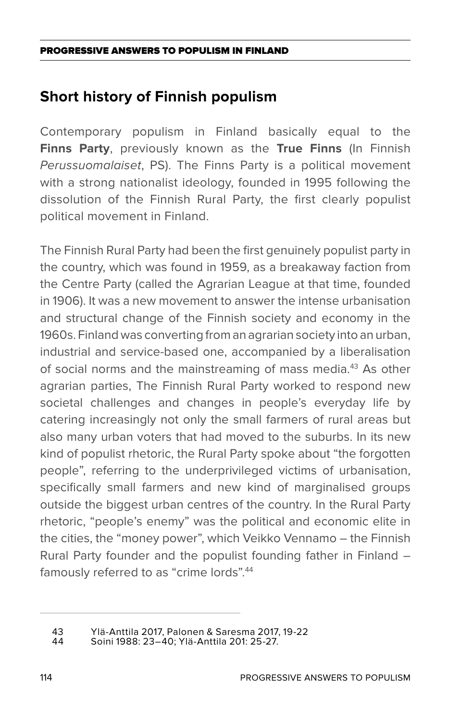# **Short history of Finnish populism**

Contemporary populism in Finland basically equal to the **Finns Party**, previously known as the **True Finns** (In Finnish *Perussuomalaiset*, PS). The Finns Party is a political movement with a strong nationalist ideology, founded in 1995 following the dissolution of the Finnish Rural Party, the first clearly populist political movement in Finland.

The Finnish Rural Party had been the first genuinely populist party in the country, which was found in 1959, as a breakaway faction from the Centre Party (called the Agrarian League at that time, founded in 1906). It was a new movement to answer the intense urbanisation and structural change of the Finnish society and economy in the 1960s. Finland was converting from an agrarian society into an urban, industrial and service-based one, accompanied by a liberalisation of social norms and the mainstreaming of mass media.<sup>43</sup> As other agrarian parties, The Finnish Rural Party worked to respond new societal challenges and changes in people's everyday life by catering increasingly not only the small farmers of rural areas but also many urban voters that had moved to the suburbs. In its new kind of populist rhetoric, the Rural Party spoke about "the forgotten people", referring to the underprivileged victims of urbanisation, specifically small farmers and new kind of marginalised groups outside the biggest urban centres of the country. In the Rural Party rhetoric, "people's enemy" was the political and economic elite in the cities, the "money power", which Veikko Vennamo – the Finnish Rural Party founder and the populist founding father in Finland – famously referred to as "crime lords".<sup>44</sup>

<sup>43</sup> Ylä-Anttila 2017, Palonen & Saresma 2017, 19-22

<sup>44</sup> Soini 1988: 23–40; Ylä-Anttila 201: 25-27.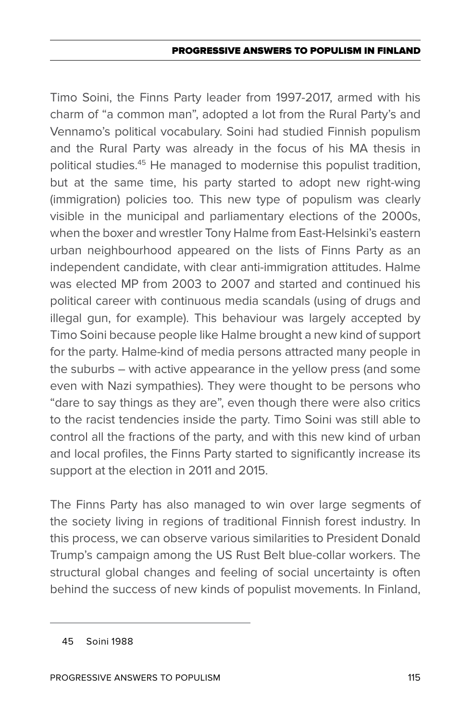Timo Soini, the Finns Party leader from 1997-2017, armed with his charm of "a common man", adopted a lot from the Rural Party's and Vennamo's political vocabulary. Soini had studied Finnish populism and the Rural Party was already in the focus of his MA thesis in political studies.45 He managed to modernise this populist tradition, but at the same time, his party started to adopt new right-wing (immigration) policies too. This new type of populism was clearly visible in the municipal and parliamentary elections of the 2000s, when the boxer and wrestler Tony Halme from East-Helsinki's eastern urban neighbourhood appeared on the lists of Finns Party as an independent candidate, with clear anti-immigration attitudes. Halme was elected MP from 2003 to 2007 and started and continued his political career with continuous media scandals (using of drugs and illegal gun, for example). This behaviour was largely accepted by Timo Soini because people like Halme brought a new kind of support for the party. Halme-kind of media persons attracted many people in the suburbs – with active appearance in the yellow press (and some even with Nazi sympathies). They were thought to be persons who "dare to say things as they are", even though there were also critics to the racist tendencies inside the party. Timo Soini was still able to control all the fractions of the party, and with this new kind of urban and local profiles, the Finns Party started to significantly increase its support at the election in 2011 and 2015.

The Finns Party has also managed to win over large segments of the society living in regions of traditional Finnish forest industry. In this process, we can observe various similarities to President Donald Trump's campaign among the US Rust Belt blue-collar workers. The structural global changes and feeling of social uncertainty is often behind the success of new kinds of populist movements. In Finland,

<sup>45</sup> Soini 1988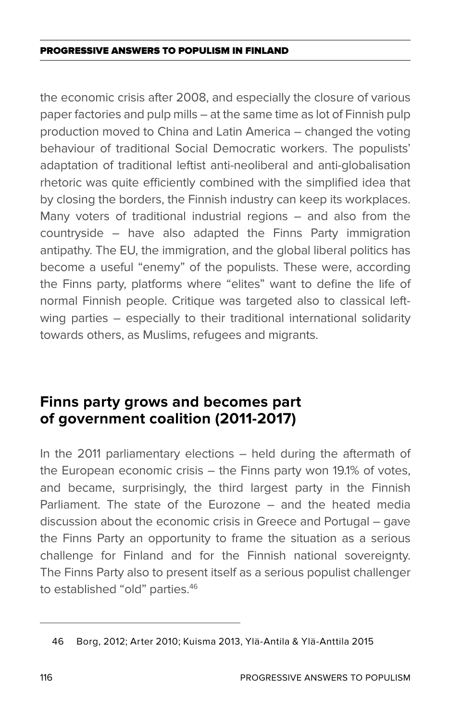the economic crisis after 2008, and especially the closure of various paper factories and pulp mills – at the same time as lot of Finnish pulp production moved to China and Latin America – changed the voting behaviour of traditional Social Democratic workers. The populists' adaptation of traditional leftist anti-neoliberal and anti-globalisation rhetoric was quite efficiently combined with the simplified idea that by closing the borders, the Finnish industry can keep its workplaces. Many voters of traditional industrial regions – and also from the countryside – have also adapted the Finns Party immigration antipathy. The EU, the immigration, and the global liberal politics has become a useful "enemy" of the populists. These were, according the Finns party, platforms where "elites" want to define the life of normal Finnish people. Critique was targeted also to classical leftwing parties – especially to their traditional international solidarity towards others, as Muslims, refugees and migrants.

# **Finns party grows and becomes part of government coalition (2011-2017)**

In the 2011 parliamentary elections – held during the aftermath of the European economic crisis – the Finns party won 19.1% of votes, and became, surprisingly, the third largest party in the Finnish Parliament. The state of the Eurozone – and the heated media discussion about the economic crisis in Greece and Portugal – gave the Finns Party an opportunity to frame the situation as a serious challenge for Finland and for the Finnish national sovereignty. The Finns Party also to present itself as a serious populist challenger to established "old" parties.46

<sup>46</sup> Borg, 2012; Arter 2010; Kuisma 2013, Ylä-Antila & Ylä-Anttila 2015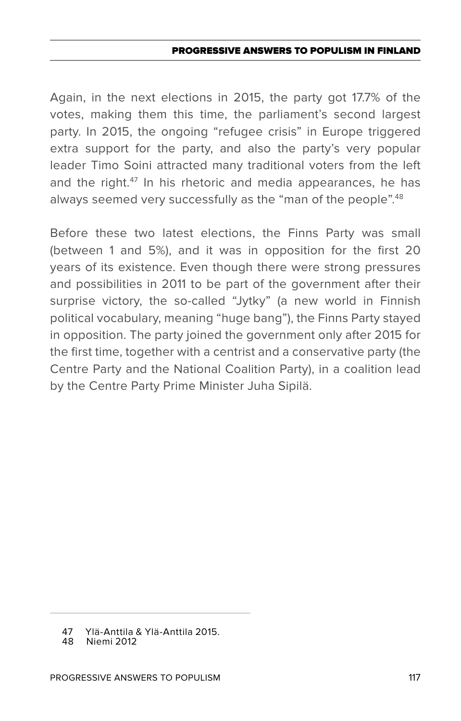Again, in the next elections in 2015, the party got 17.7% of the votes, making them this time, the parliament's second largest party. In 2015, the ongoing "refugee crisis" in Europe triggered extra support for the party, and also the party's very popular leader Timo Soini attracted many traditional voters from the left and the right.<sup>47</sup> In his rhetoric and media appearances, he has always seemed very successfully as the "man of the people".<sup>48</sup>

Before these two latest elections, the Finns Party was small (between 1 and 5%), and it was in opposition for the first 20 years of its existence. Even though there were strong pressures and possibilities in 2011 to be part of the government after their surprise victory, the so-called "Jytky" (a new world in Finnish political vocabulary, meaning "huge bang"), the Finns Party stayed in opposition. The party joined the government only after 2015 for the first time, together with a centrist and a conservative party (the Centre Party and the National Coalition Party), in a coalition lead by the Centre Party Prime Minister Juha Sipilä.

<sup>47</sup> Ylä-Anttila & Ylä-Anttila 2015.

Niemi 2012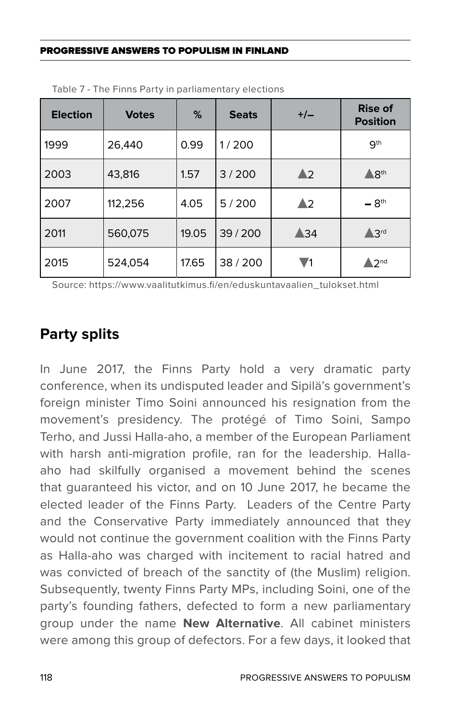| <b>Election</b> | <b>Votes</b> | %     | <b>Seats</b> | $+/-$          | <b>Rise of</b><br><b>Position</b> |
|-----------------|--------------|-------|--------------|----------------|-----------------------------------|
| 1999            | 26,440       | 0.99  | 1/200        |                | 9 <sup>th</sup>                   |
| 2003            | 43,816       | 1.57  | 3/200        | $\triangle$ 2  | $\wedge$ $8th$                    |
| 2007            | 112,256      | 4.05  | 5/200        | ▲2             | $-8th$                            |
| 2011            | 560,075      | 19.05 | 39/200       | $\triangle 34$ | $\triangle$ 3rd                   |
| 2015            | 524,054      | 17.65 | 38/200       | V1             | $\sqrt{2}$ <sup>nd</sup>          |

Table 7 - The Finns Party in parliamentary elections

Source: https://www.vaalitutkimus.fi/en/eduskuntavaalien\_tulokset.html

### **Party splits**

In June 2017, the Finns Party hold a very dramatic party conference, when its undisputed leader and Sipilä's government's foreign minister Timo Soini announced his resignation from the movement's presidency. The protégé of Timo Soini, Sampo Terho, and Jussi Halla-aho, a member of the European Parliament with harsh anti-migration profile, ran for the leadership. Hallaaho had skilfully organised a movement behind the scenes that guaranteed his victor, and on 10 June 2017, he became the elected leader of the Finns Party. Leaders of the Centre Party and the Conservative Party immediately announced that they would not continue the government coalition with the Finns Party as Halla-aho was charged with incitement to racial hatred and was convicted of breach of the sanctity of (the Muslim) religion. Subsequently, twenty Finns Party MPs, including Soini, one of the party's founding fathers, defected to form a new parliamentary group under the name **New Alternative**. All cabinet ministers were among this group of defectors. For a few days, it looked that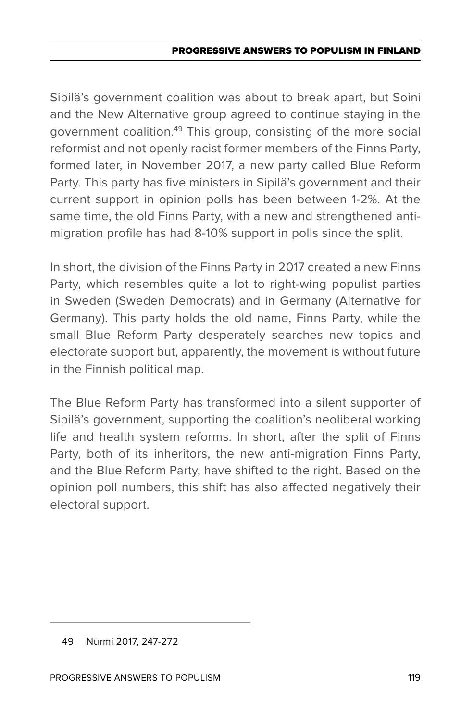Sipilä's government coalition was about to break apart, but Soini and the New Alternative group agreed to continue staying in the government coalition.49 This group, consisting of the more social reformist and not openly racist former members of the Finns Party, formed later, in November 2017, a new party called Blue Reform Party. This party has five ministers in Sipilä's government and their current support in opinion polls has been between 1-2%. At the same time, the old Finns Party, with a new and strengthened antimigration profile has had 8-10% support in polls since the split.

In short, the division of the Finns Party in 2017 created a new Finns Party, which resembles quite a lot to right-wing populist parties in Sweden (Sweden Democrats) and in Germany (Alternative for Germany). This party holds the old name, Finns Party, while the small Blue Reform Party desperately searches new topics and electorate support but, apparently, the movement is without future in the Finnish political map.

The Blue Reform Party has transformed into a silent supporter of Sipilä's government, supporting the coalition's neoliberal working life and health system reforms. In short, after the split of Finns Party, both of its inheritors, the new anti-migration Finns Party, and the Blue Reform Party, have shifted to the right. Based on the opinion poll numbers, this shift has also affected negatively their electoral support.

<sup>49</sup> Nurmi 2017, 247-272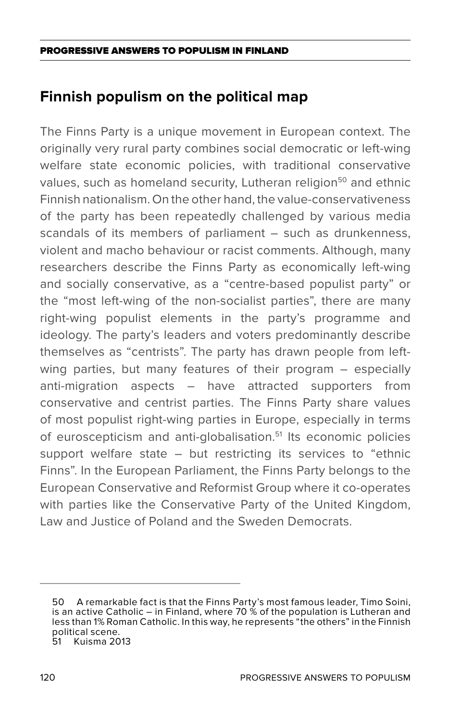# **Finnish populism on the political map**

The Finns Party is a unique movement in European context. The originally very rural party combines social democratic or left-wing welfare state economic policies, with traditional conservative values, such as homeland security, Lutheran religion<sup>50</sup> and ethnic Finnish nationalism. On the other hand, the value-conservativeness of the party has been repeatedly challenged by various media scandals of its members of parliament – such as drunkenness, violent and macho behaviour or racist comments. Although, many researchers describe the Finns Party as economically left-wing and socially conservative, as a "centre-based populist party" or the "most left-wing of the non-socialist parties", there are many right-wing populist elements in the party's programme and ideology. The party's leaders and voters predominantly describe themselves as "centrists". The party has drawn people from leftwing parties, but many features of their program – especially anti-migration aspects – have attracted supporters from conservative and centrist parties. The Finns Party share values of most populist right-wing parties in Europe, especially in terms of euroscepticism and anti-globalisation.<sup>51</sup> Its economic policies support welfare state – but restricting its services to "ethnic Finns". In the European Parliament, the Finns Party belongs to the European Conservative and Reformist Group where it co-operates with parties like the Conservative Party of the United Kingdom. Law and Justice of Poland and the Sweden Democrats.

<sup>50</sup> A remarkable fact is that the Finns Party's most famous leader, Timo Soini, is an active Catholic – in Finland, where 70 % of the population is Lutheran and less than 1% Roman Catholic. In this way, he represents "the others" in the Finnish political scene.<br>51 Kuisma 20 Kuisma 2013

<sup>120</sup> Progressive Answers to Populism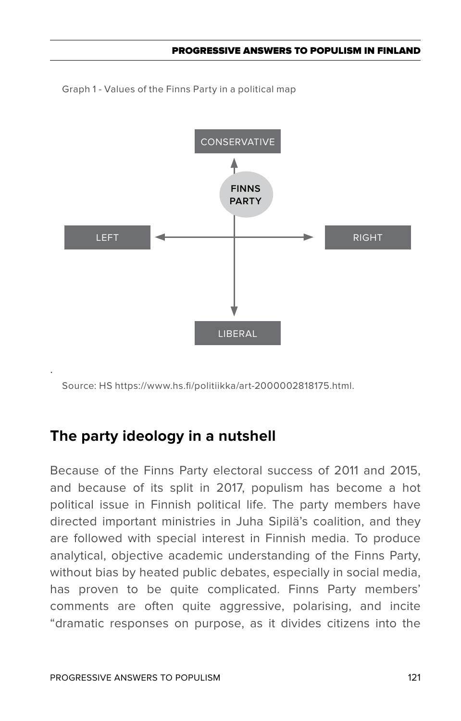Graph 1 - Values of the Finns Party in a political map



Source: HS https://www.hs.fi/politiikka/art-2000002818175.html.

### **The party ideology in a nutshell**

Because of the Finns Party electoral success of 2011 and 2015, and because of its split in 2017, populism has become a hot political issue in Finnish political life. The party members have directed important ministries in Juha Sipilä's coalition, and they are followed with special interest in Finnish media. To produce analytical, objective academic understanding of the Finns Party, without bias by heated public debates, especially in social media, has proven to be quite complicated. Finns Party members' comments are often quite aggressive, polarising, and incite "dramatic responses on purpose, as it divides citizens into the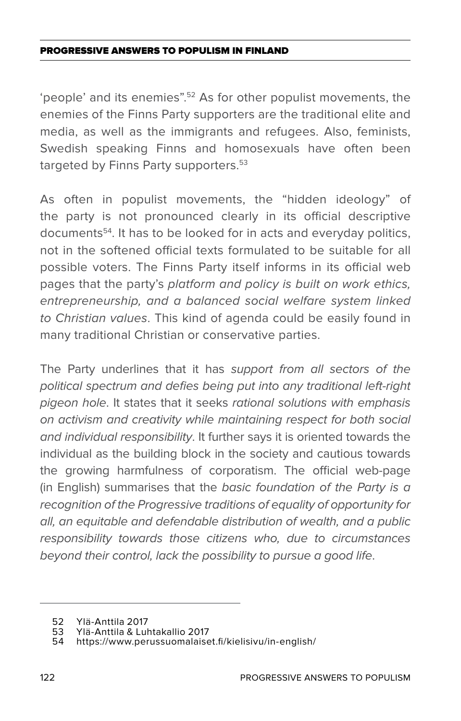'people' and its enemies".52 As for other populist movements, the enemies of the Finns Party supporters are the traditional elite and media, as well as the immigrants and refugees. Also, feminists, Swedish speaking Finns and homosexuals have often been targeted by Finns Party supporters.<sup>53</sup>

As often in populist movements, the "hidden ideology" of the party is not pronounced clearly in its official descriptive documents54. It has to be looked for in acts and everyday politics, not in the softened official texts formulated to be suitable for all possible voters. The Finns Party itself informs in its official web pages that the party's *platform and policy is built on work ethics, entrepreneurship, and a balanced social welfare system linked to Christian values*. This kind of agenda could be easily found in many traditional Christian or conservative parties.

The Party underlines that it has *support from all sectors of the political spectrum and defies being put into any traditional left-right pigeon hole*. It states that it seeks *rational solutions with emphasis on activism and creativity while maintaining respect for both social and individual responsibility*. It further says it is oriented towards the individual as the building block in the society and cautious towards the growing harmfulness of corporatism. The official web-page (in English) summarises that the *basic foundation of the Party is a recognition of the Progressive traditions of equality of opportunity for all, an equitable and defendable distribution of wealth, and a public responsibility towards those citizens who, due to circumstances beyond their control, lack the possibility to pursue a good life*.

<sup>52</sup> Ylä-Anttila 2017

<sup>53</sup> Ylä-Anttila & Luhtakallio 2017

https://www.perussuomalaiset.fi/kielisivu/in-english/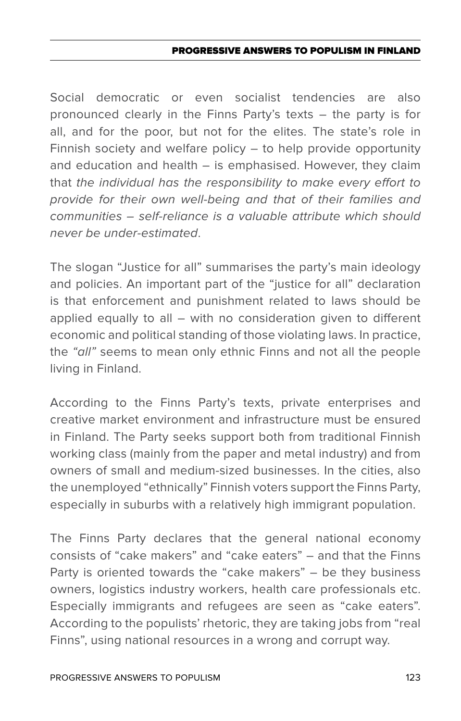Social democratic or even socialist tendencies are also pronounced clearly in the Finns Party's texts – the party is for all, and for the poor, but not for the elites. The state's role in Finnish society and welfare policy – to help provide opportunity and education and health – is emphasised. However, they claim that *the individual has the responsibility to make every effort to provide for their own well-being and that of their families and communities – self-reliance is a valuable attribute which should never be under-estimated*.

The slogan "Justice for all" summarises the party's main ideology and policies. An important part of the "justice for all" declaration is that enforcement and punishment related to laws should be applied equally to all – with no consideration given to different economic and political standing of those violating laws. In practice, the *"all"* seems to mean only ethnic Finns and not all the people living in Finland.

According to the Finns Party's texts, private enterprises and creative market environment and infrastructure must be ensured in Finland. The Party seeks support both from traditional Finnish working class (mainly from the paper and metal industry) and from owners of small and medium-sized businesses. In the cities, also the unemployed "ethnically" Finnish voters support the Finns Party, especially in suburbs with a relatively high immigrant population.

The Finns Party declares that the general national economy consists of "cake makers" and "cake eaters" – and that the Finns Party is oriented towards the "cake makers" – be they business owners, logistics industry workers, health care professionals etc. Especially immigrants and refugees are seen as "cake eaters". According to the populists' rhetoric, they are taking jobs from "real Finns", using national resources in a wrong and corrupt way.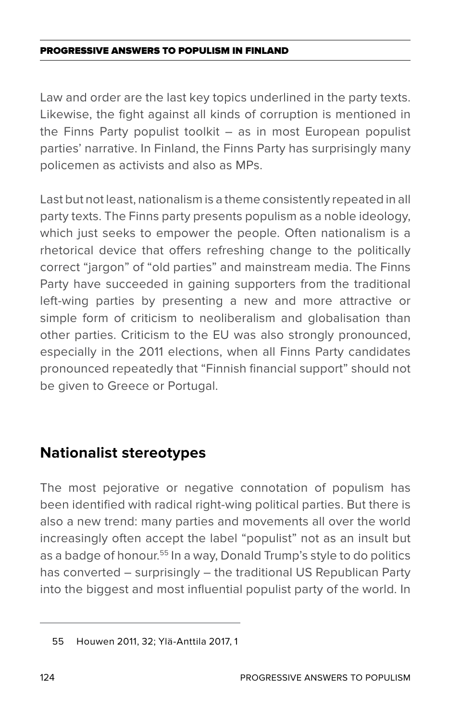Law and order are the last key topics underlined in the party texts. Likewise, the fight against all kinds of corruption is mentioned in the Finns Party populist toolkit – as in most European populist parties' narrative. In Finland, the Finns Party has surprisingly many policemen as activists and also as MPs.

Last but not least, nationalism is a theme consistently repeated in all party texts. The Finns party presents populism as a noble ideology, which just seeks to empower the people. Often nationalism is a rhetorical device that offers refreshing change to the politically correct "jargon" of "old parties" and mainstream media. The Finns Party have succeeded in gaining supporters from the traditional left-wing parties by presenting a new and more attractive or simple form of criticism to neoliberalism and globalisation than other parties. Criticism to the EU was also strongly pronounced, especially in the 2011 elections, when all Finns Party candidates pronounced repeatedly that "Finnish financial support" should not be given to Greece or Portugal.

### **Nationalist stereotypes**

The most pejorative or negative connotation of populism has been identified with radical right-wing political parties. But there is also a new trend: many parties and movements all over the world increasingly often accept the label "populist" not as an insult but as a badge of honour.<sup>55</sup> In a way, Donald Trump's style to do politics has converted – surprisingly – the traditional US Republican Party into the biggest and most influential populist party of the world. In

<sup>55</sup> Houwen 2011, 32; Ylä-Anttila 2017, 1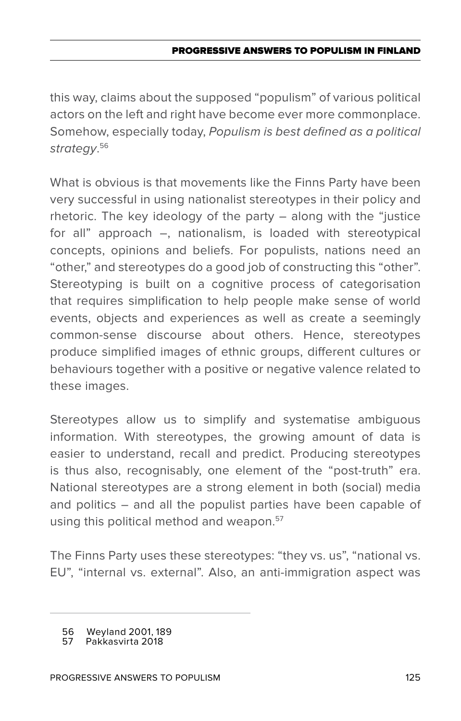this way, claims about the supposed "populism" of various political actors on the left and right have become ever more commonplace. Somehow, especially today, *Populism is best defined as a political strategy*. 56

What is obvious is that movements like the Finns Party have been very successful in using nationalist stereotypes in their policy and rhetoric. The key ideology of the party – along with the "justice for all" approach –, nationalism, is loaded with stereotypical concepts, opinions and beliefs. For populists, nations need an "other," and stereotypes do a good job of constructing this "other". Stereotyping is built on a cognitive process of categorisation that requires simplification to help people make sense of world events, objects and experiences as well as create a seemingly common-sense discourse about others. Hence, stereotypes produce simplified images of ethnic groups, different cultures or behaviours together with a positive or negative valence related to these images.

Stereotypes allow us to simplify and systematise ambiguous information. With stereotypes, the growing amount of data is easier to understand, recall and predict. Producing stereotypes is thus also, recognisably, one element of the "post-truth" era. National stereotypes are a strong element in both (social) media and politics – and all the populist parties have been capable of using this political method and weapon.<sup>57</sup>

The Finns Party uses these stereotypes: "they vs. us", "national vs. EU", "internal vs. external". Also, an anti-immigration aspect was

<sup>56</sup> Weyland 2001, 189<br>57 Pakkasvirta 2018

<sup>57</sup> Pakkasvirta 2018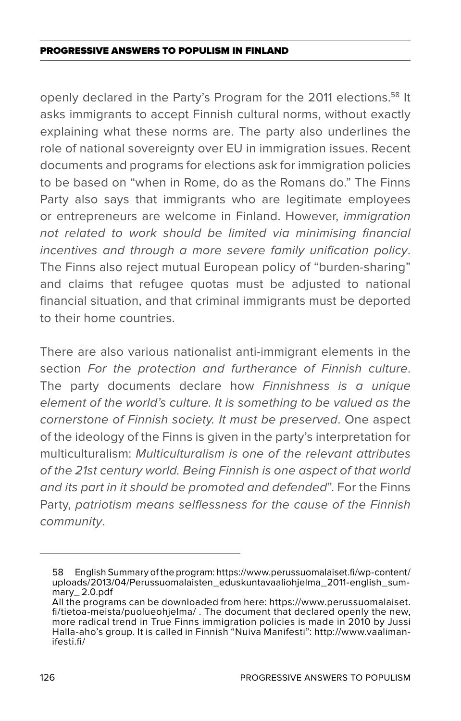openly declared in the Party's Program for the 2011 elections.<sup>58</sup> It asks immigrants to accept Finnish cultural norms, without exactly explaining what these norms are. The party also underlines the role of national sovereignty over EU in immigration issues. Recent documents and programs for elections ask for immigration policies to be based on "when in Rome, do as the Romans do." The Finns Party also says that immigrants who are legitimate employees or entrepreneurs are welcome in Finland. However, *immigration not related to work should be limited via minimising financial incentives and through a more severe family unification policy*. The Finns also reject mutual European policy of "burden-sharing" and claims that refugee quotas must be adjusted to national financial situation, and that criminal immigrants must be deported to their home countries.

There are also various nationalist anti-immigrant elements in the section *For the protection and furtherance of Finnish culture*. The party documents declare how *Finnishness is a unique element of the world's culture. It is something to be valued as the cornerstone of Finnish society. It must be preserved*. One aspect of the ideology of the Finns is given in the party's interpretation for multiculturalism: *Multiculturalism is one of the relevant attributes of the 21st century world. Being Finnish is one aspect of that world and its part in it should be promoted and defended*". For the Finns Party, *patriotism means selflessness for the cause of the Finnish community*.

<sup>58</sup> English Summary of the program: https://www.perussuomalaiset.fi/wp-content/ uploads/2013/04/Perussuomalaisten\_eduskuntavaaliohjelma\_2011-english\_summary\_ 2.0.pdf

All the programs can be downloaded from here: https://www.perussuomalaiset. fi/tietoa-meista/puolueohjelma/ . The document that declared openly the new, more radical trend in True Finns immigration policies is made in 2010 by Jussi Halla-aho's group. It is called in Finnish "Nuiva Manifesti": http://www.vaaliman- ifesti.fi/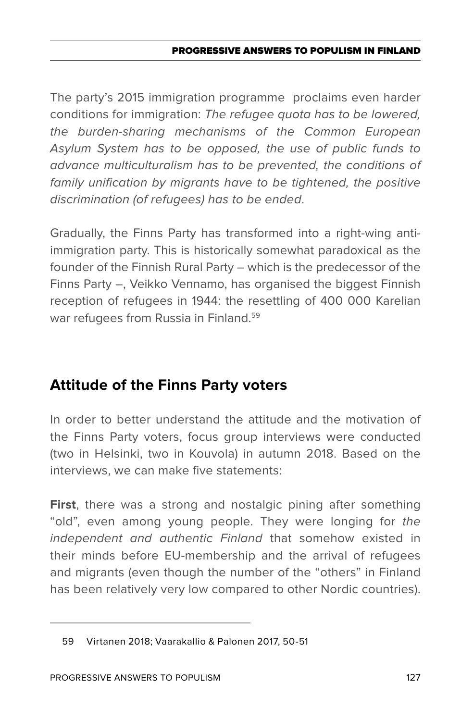### PROGRESSIVE ANSWERS TO POPULISM IN FINLAND

The party's 2015 immigration programme proclaims even harder conditions for immigration: *The refugee quota has to be lowered, the burden-sharing mechanisms of the Common European Asylum System has to be opposed, the use of public funds to advance multiculturalism has to be prevented, the conditions of*  family unification by migrants have to be tightened, the positive *discrimination (of refugees) has to be ended*.

Gradually, the Finns Party has transformed into a right-wing antiimmigration party. This is historically somewhat paradoxical as the founder of the Finnish Rural Party – which is the predecessor of the Finns Party –, Veikko Vennamo, has organised the biggest Finnish reception of refugees in 1944: the resettling of 400 000 Karelian war refugees from Russia in Finland.<sup>59</sup>

# **Attitude of the Finns Party voters**

In order to better understand the attitude and the motivation of the Finns Party voters, focus group interviews were conducted (two in Helsinki, two in Kouvola) in autumn 2018. Based on the interviews, we can make five statements:

**First**, there was a strong and nostalgic pining after something "old", even among young people. They were longing for *the independent and authentic Finland* that somehow existed in their minds before EU-membership and the arrival of refugees and migrants (even though the number of the "others" in Finland has been relatively very low compared to other Nordic countries).

<sup>59</sup> Virtanen 2018; Vaarakallio & Palonen 2017, 50-51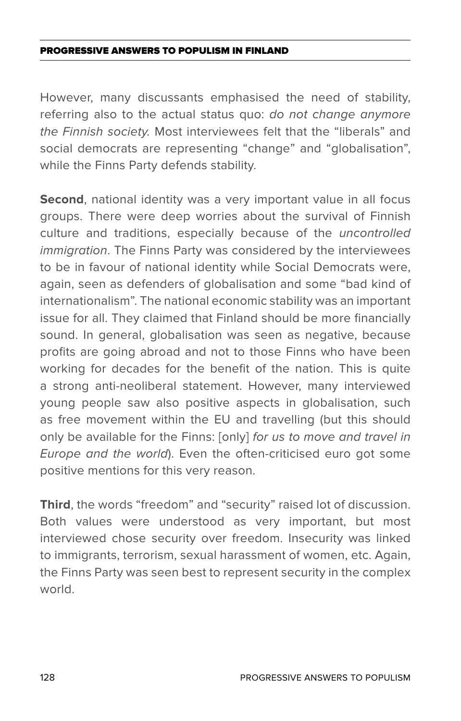However, many discussants emphasised the need of stability, referring also to the actual status quo: *do not change anymore the Finnish society.* Most interviewees felt that the "liberals" and social democrats are representing "change" and "globalisation", while the Finns Party defends stability.

Second, national identity was a very important value in all focus groups. There were deep worries about the survival of Finnish culture and traditions, especially because of the *uncontrolled immigration*. The Finns Party was considered by the interviewees to be in favour of national identity while Social Democrats were, again, seen as defenders of globalisation and some "bad kind of internationalism". The national economic stability was an important issue for all. They claimed that Finland should be more financially sound. In general, globalisation was seen as negative, because profits are going abroad and not to those Finns who have been working for decades for the benefit of the nation. This is quite a strong anti-neoliberal statement. However, many interviewed young people saw also positive aspects in globalisation, such as free movement within the EU and travelling (but this should only be available for the Finns: [only] *for us to move and travel in Europe and the world*). Even the often-criticised euro got some positive mentions for this very reason.

**Third**, the words "freedom" and "security" raised lot of discussion. Both values were understood as very important, but most interviewed chose security over freedom. Insecurity was linked to immigrants, terrorism, sexual harassment of women, etc. Again, the Finns Party was seen best to represent security in the complex world.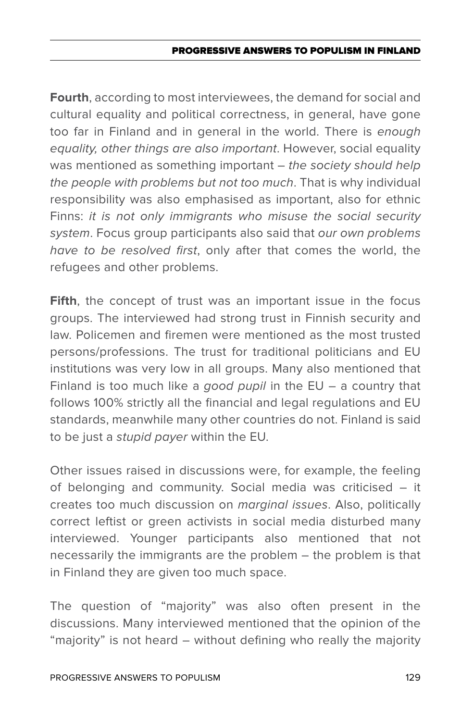**Fourth**, according to most interviewees, the demand for social and cultural equality and political correctness, in general, have gone too far in Finland and in general in the world. There is *enough equality, other things are also important*. However, social equality was mentioned as something important – *the society should help the people with problems but not too much*. That is why individual responsibility was also emphasised as important, also for ethnic Finns: *it is not only immigrants who misuse the social security system*. Focus group participants also said that *our own problems have to be resolved first*, only after that comes the world, the refugees and other problems.

**Fifth**, the concept of trust was an important issue in the focus groups. The interviewed had strong trust in Finnish security and law. Policemen and firemen were mentioned as the most trusted persons/professions. The trust for traditional politicians and EU institutions was very low in all groups. Many also mentioned that Finland is too much like a *good pupil* in the EU – a country that follows 100% strictly all the financial and legal regulations and EU standards, meanwhile many other countries do not. Finland is said to be just a *stupid payer* within the EU.

Other issues raised in discussions were, for example, the feeling of belonging and community. Social media was criticised – it creates too much discussion on *marginal issues*. Also, politically correct leftist or green activists in social media disturbed many interviewed. Younger participants also mentioned that not necessarily the immigrants are the problem – the problem is that in Finland they are given too much space.

The question of "majority" was also often present in the discussions. Many interviewed mentioned that the opinion of the "majority" is not heard – without defining who really the majority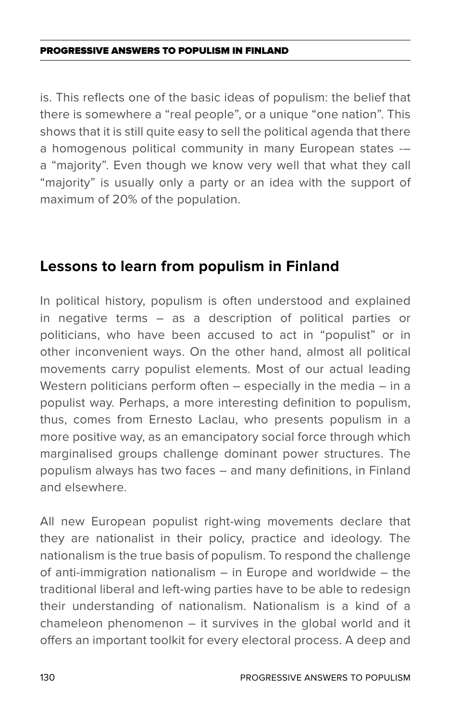is. This reflects one of the basic ideas of populism: the belief that there is somewhere a "real people", or a unique "one nation". This shows that it is still quite easy to sell the political agenda that there a homogenous political community in many European states -– a "majority". Even though we know very well that what they call "majority" is usually only a party or an idea with the support of maximum of 20% of the population.

## **Lessons to learn from populism in Finland**

In political history, populism is often understood and explained in negative terms – as a description of political parties or politicians, who have been accused to act in "populist" or in other inconvenient ways. On the other hand, almost all political movements carry populist elements. Most of our actual leading Western politicians perform often – especially in the media – in a populist way. Perhaps, a more interesting definition to populism, thus, comes from Ernesto Laclau, who presents populism in a more positive way, as an emancipatory social force through which marginalised groups challenge dominant power structures. The populism always has two faces – and many definitions, in Finland and elsewhere.

All new European populist right-wing movements declare that they are nationalist in their policy, practice and ideology. The nationalism is the true basis of populism. To respond the challenge of anti-immigration nationalism – in Europe and worldwide – the traditional liberal and left-wing parties have to be able to redesign their understanding of nationalism. Nationalism is a kind of a chameleon phenomenon – it survives in the global world and it offers an important toolkit for every electoral process. A deep and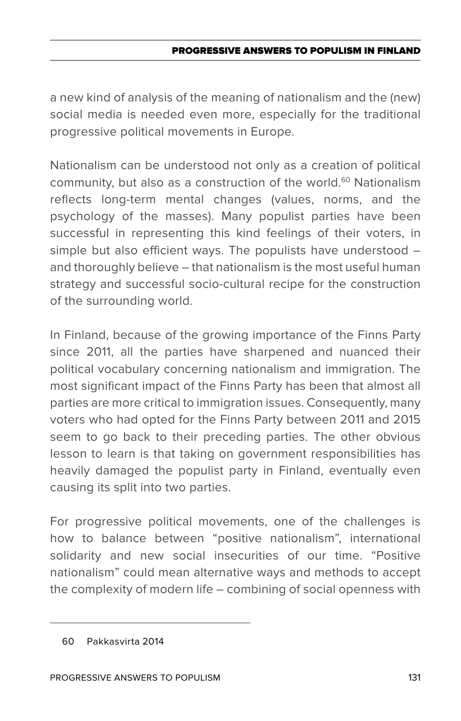a new kind of analysis of the meaning of nationalism and the (new) social media is needed even more, especially for the traditional progressive political movements in Europe.

Nationalism can be understood not only as a creation of political community, but also as a construction of the world.<sup>60</sup> Nationalism reflects long-term mental changes (values, norms, and the psychology of the masses). Many populist parties have been successful in representing this kind feelings of their voters, in simple but also efficient ways. The populists have understood – and thoroughly believe – that nationalism is the most useful human strategy and successful socio-cultural recipe for the construction of the surrounding world.

In Finland, because of the growing importance of the Finns Party since 2011, all the parties have sharpened and nuanced their political vocabulary concerning nationalism and immigration. The most significant impact of the Finns Party has been that almost all parties are more critical to immigration issues. Consequently, many voters who had opted for the Finns Party between 2011 and 2015 seem to go back to their preceding parties. The other obvious lesson to learn is that taking on government responsibilities has heavily damaged the populist party in Finland, eventually even causing its split into two parties.

For progressive political movements, one of the challenges is how to balance between "positive nationalism", international solidarity and new social insecurities of our time. "Positive nationalism" could mean alternative ways and methods to accept the complexity of modern life – combining of social openness with

<sup>60</sup> Pakkasvirta 2014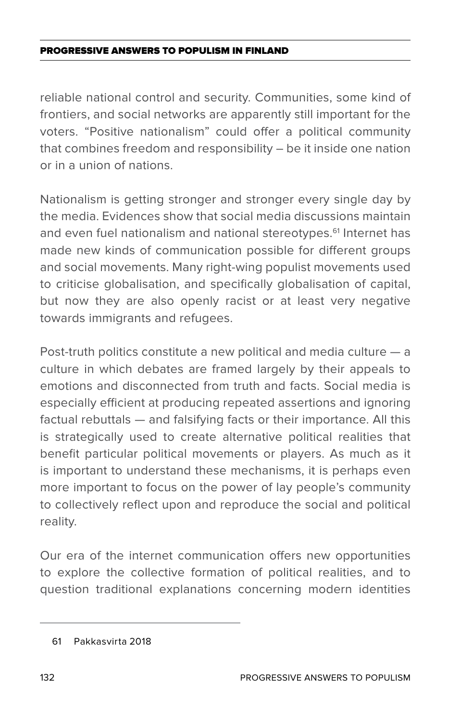reliable national control and security. Communities, some kind of frontiers, and social networks are apparently still important for the voters. "Positive nationalism" could offer a political community that combines freedom and responsibility – be it inside one nation or in a union of nations.

Nationalism is getting stronger and stronger every single day by the media. Evidences show that social media discussions maintain and even fuel nationalism and national stereotypes.<sup>61</sup> Internet has made new kinds of communication possible for different groups and social movements. Many right-wing populist movements used to criticise globalisation, and specifically globalisation of capital, but now they are also openly racist or at least very negative towards immigrants and refugees.

Post-truth politics constitute a new political and media culture — a culture in which debates are framed largely by their appeals to emotions and disconnected from truth and facts. Social media is especially efficient at producing repeated assertions and ignoring factual rebuttals — and falsifying facts or their importance. All this is strategically used to create alternative political realities that benefit particular political movements or players. As much as it is important to understand these mechanisms, it is perhaps even more important to focus on the power of lay people's community to collectively reflect upon and reproduce the social and political reality.

Our era of the internet communication offers new opportunities to explore the collective formation of political realities, and to question traditional explanations concerning modern identities

<sup>61</sup> Pakkasvirta 2018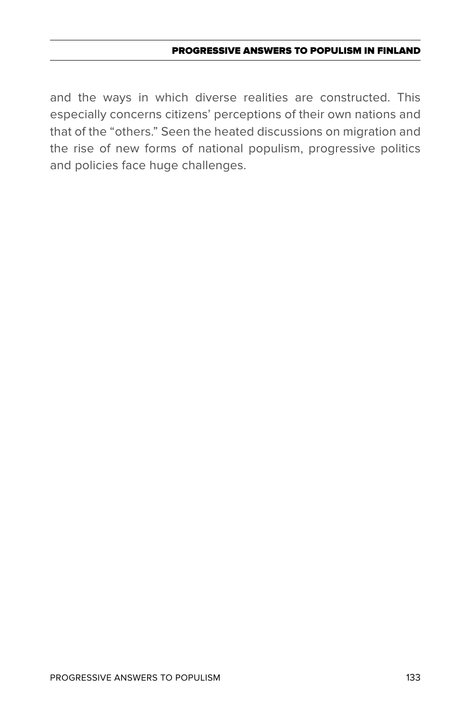and the ways in which diverse realities are constructed. This especially concerns citizens' perceptions of their own nations and that of the "others." Seen the heated discussions on migration and the rise of new forms of national populism, progressive politics and policies face huge challenges.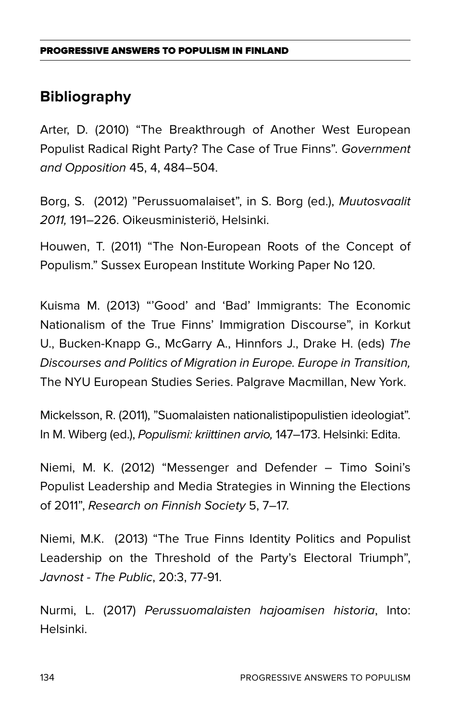# **Bibliography**

Arter, D. (2010) "The Breakthrough of Another West European Populist Radical Right Party? The Case of True Finns". *Government and Opposition* 45, 4, 484–504.

Borg, S. (2012) "Perussuomalaiset", in S. Borg (ed.), *Muutosvaalit 2011,* 191–226. Oikeusministeriö, Helsinki.

Houwen, T. (2011) "The Non-European Roots of the Concept of Populism." Sussex European Institute Working Paper No 120.

Kuisma M. (2013) "'Good' and 'Bad' Immigrants: The Economic Nationalism of the True Finns' Immigration Discourse", in Korkut U., Bucken-Knapp G., McGarry A., Hinnfors J., Drake H. (eds) *The Discourses and Politics of Migration in Europe. Europe in Transition,*  The NYU European Studies Series. Palgrave Macmillan, New York.

Mickelsson, R. (2011), "Suomalaisten nationalistipopulistien ideologiat". In M. Wiberg (ed.), *Populismi: kriittinen arvio,* 147–173. Helsinki: Edita.

Niemi, M. K. (2012) "Messenger and Defender – Timo Soini's Populist Leadership and Media Strategies in Winning the Elections of 2011", *Research on Finnish Society* 5, 7–17.

Niemi, M.K. (2013) "The True Finns Identity Politics and Populist Leadership on the Threshold of the Party's Electoral Triumph", *Javnost - The Public*, 20:3, 77-91.

Nurmi, L. (2017) *Perussuomalaisten hajoamisen historia*, Into: Helsinki.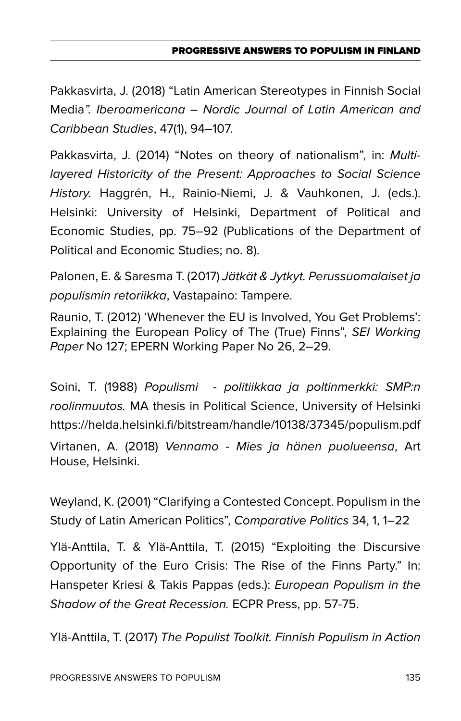Pakkasvirta, J. (2018) "Latin American Stereotypes in Finnish Social Media*". Iberoamericana – Nordic Journal of Latin American and Caribbean Studies*, 47(1), 94–107.

Pakkasvirta, J. (2014) "Notes on theory of nationalism", in: *Multilayered Historicity of the Present: Approaches to Social Science History.* Haggrén, H., Rainio-Niemi, J. & Vauhkonen, J. (eds.). Helsinki: University of Helsinki, Department of Political and Economic Studies, pp. 75–92 (Publications of the Department of Political and Economic Studies; no. 8).

Palonen, E. & Saresma T. (2017) *Jätkät & Jytkyt. Perussuomalaiset ja populismin retoriikka*, Vastapaino: Tampere.

Raunio, T. (2012) 'Whenever the EU is Involved, You Get Problems': Explaining the European Policy of The (True) Finns", *SEI Working Paper* No 127; EPERN Working Paper No 26, 2–29.

Soini, T. (1988) *Populismi - politiikkaa ja poltinmerkki: SMP:n roolinmuutos.* MA thesis in Political Science, University of Helsinki https://helda.helsinki.fi/bitstream/handle/10138/37345/populism.pdf

Virtanen, A. (2018) *Vennamo - Mies ja hänen puolueensa*, Art House, Helsinki.

Weyland, K. (2001) "Clarifying a Contested Concept. Populism in the Study of Latin American Politics", *Comparative Politics* 34, 1, 1–22

Ylä-Anttila, T. & Ylä-Anttila, T. (2015) "Exploiting the Discursive Opportunity of the Euro Crisis: The Rise of the Finns Party." In: Hanspeter Kriesi & Takis Pappas (eds.): *European Populism in the Shadow of the Great Recession.* ECPR Press, pp. 57-75.

Ylä-Anttila, T. (2017) *The Populist Toolkit. Finnish Populism in Action*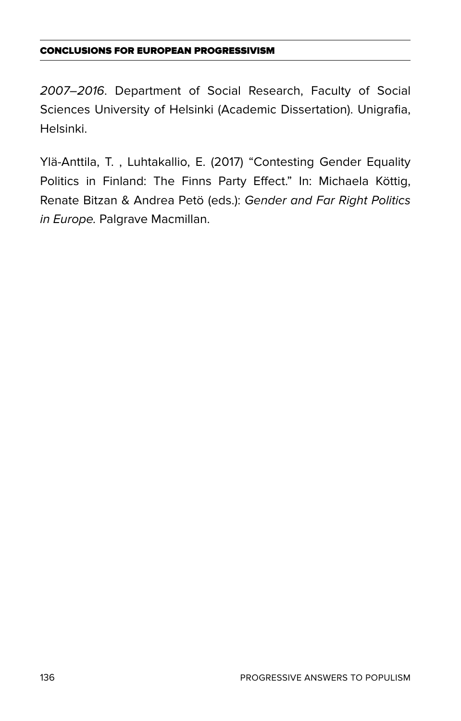### Conclusions for European progressivism

*2007–2016*. Department of Social Research, Faculty of Social Sciences University of Helsinki (Academic Dissertation). Unigrafia, Helsinki.

Ylä-Anttila, T. , Luhtakallio, E. (2017) "Contesting Gender Equality Politics in Finland: The Finns Party Effect." In: Michaela Köttig, Renate Bitzan & Andrea Petö (eds.): *Gender and Far Right Politics in Europe.* Palgrave Macmillan.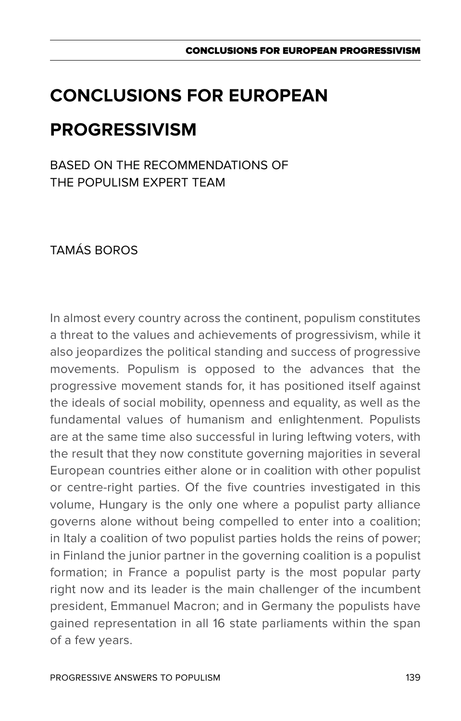# **Conclusions for European progressivism**

Based on the recommendations of THE POPULISM EXPERT TEAM

Tamás Boros

In almost every country across the continent, populism constitutes a threat to the values and achievements of progressivism, while it also jeopardizes the political standing and success of progressive movements. Populism is opposed to the advances that the progressive movement stands for, it has positioned itself against the ideals of social mobility, openness and equality, as well as the fundamental values of humanism and enlightenment. Populists are at the same time also successful in luring leftwing voters, with the result that they now constitute governing majorities in several European countries either alone or in coalition with other populist or centre-right parties. Of the five countries investigated in this volume, Hungary is the only one where a populist party alliance governs alone without being compelled to enter into a coalition; in Italy a coalition of two populist parties holds the reins of power; in Finland the junior partner in the governing coalition is a populist formation; in France a populist party is the most popular party right now and its leader is the main challenger of the incumbent president, Emmanuel Macron; and in Germany the populists have gained representation in all 16 state parliaments within the span of a few years.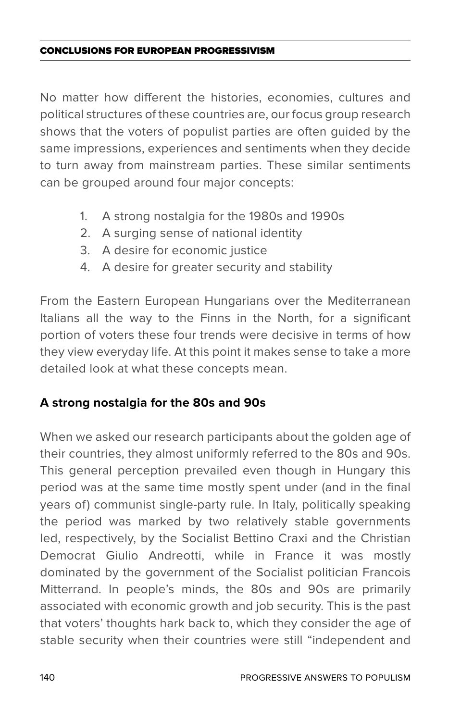### Conclusions for European progressivism

No matter how different the histories, economies, cultures and political structures of these countries are, our focus group research shows that the voters of populist parties are often guided by the same impressions, experiences and sentiments when they decide to turn away from mainstream parties. These similar sentiments can be grouped around four major concepts:

- 1. A strong nostalgia for the 1980s and 1990s
- 2. A surging sense of national identity
- 3. A desire for economic justice
- 4. A desire for greater security and stability

From the Eastern European Hungarians over the Mediterranean Italians all the way to the Finns in the North, for a significant portion of voters these four trends were decisive in terms of how they view everyday life. At this point it makes sense to take a more detailed look at what these concepts mean.

### **A strong nostalgia for the 80s and 90s**

When we asked our research participants about the golden age of their countries, they almost uniformly referred to the 80s and 90s. This general perception prevailed even though in Hungary this period was at the same time mostly spent under (and in the final years of) communist single-party rule. In Italy, politically speaking the period was marked by two relatively stable governments led, respectively, by the Socialist Bettino Craxi and the Christian Democrat Giulio Andreotti, while in France it was mostly dominated by the government of the Socialist politician Francois Mitterrand. In people's minds, the 80s and 90s are primarily associated with economic growth and job security. This is the past that voters' thoughts hark back to, which they consider the age of stable security when their countries were still "independent and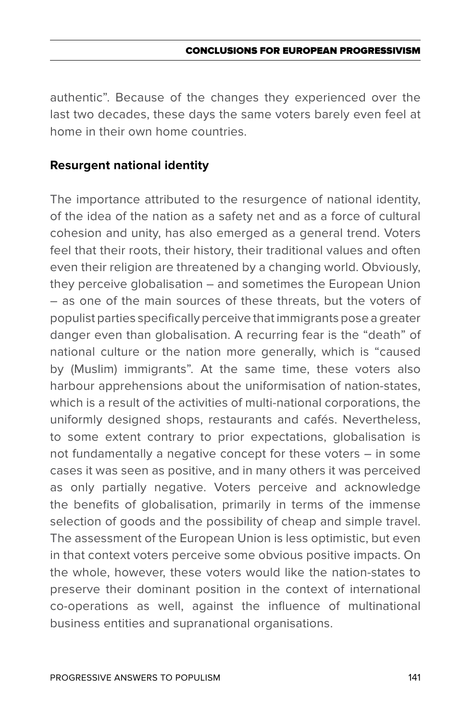authentic". Because of the changes they experienced over the last two decades, these days the same voters barely even feel at home in their own home countries.

### **Resurgent national identity**

The importance attributed to the resurgence of national identity, of the idea of the nation as a safety net and as a force of cultural cohesion and unity, has also emerged as a general trend. Voters feel that their roots, their history, their traditional values and often even their religion are threatened by a changing world. Obviously, they perceive globalisation – and sometimes the European Union – as one of the main sources of these threats, but the voters of populist parties specifically perceive that immigrants pose a greater danger even than globalisation. A recurring fear is the "death" of national culture or the nation more generally, which is "caused by (Muslim) immigrants". At the same time, these voters also harbour apprehensions about the uniformisation of nation-states. which is a result of the activities of multi-national corporations, the uniformly designed shops, restaurants and cafés. Nevertheless, to some extent contrary to prior expectations, globalisation is not fundamentally a negative concept for these voters – in some cases it was seen as positive, and in many others it was perceived as only partially negative. Voters perceive and acknowledge the benefits of globalisation, primarily in terms of the immense selection of goods and the possibility of cheap and simple travel. The assessment of the European Union is less optimistic, but even in that context voters perceive some obvious positive impacts. On the whole, however, these voters would like the nation-states to preserve their dominant position in the context of international co-operations as well, against the influence of multinational business entities and supranational organisations.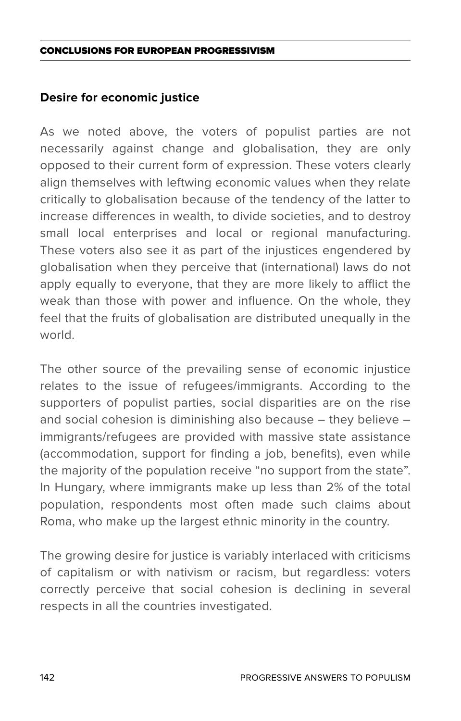#### Conclusions for European progressivism

### **Desire for economic justice**

As we noted above, the voters of populist parties are not necessarily against change and globalisation, they are only opposed to their current form of expression. These voters clearly align themselves with leftwing economic values when they relate critically to globalisation because of the tendency of the latter to increase differences in wealth, to divide societies, and to destroy small local enterprises and local or regional manufacturing. These voters also see it as part of the injustices engendered by globalisation when they perceive that (international) laws do not apply equally to everyone, that they are more likely to afflict the weak than those with power and influence. On the whole, they feel that the fruits of globalisation are distributed unequally in the world.

The other source of the prevailing sense of economic injustice relates to the issue of refugees/immigrants. According to the supporters of populist parties, social disparities are on the rise and social cohesion is diminishing also because – they believe – immigrants/refugees are provided with massive state assistance (accommodation, support for finding a job, benefits), even while the majority of the population receive "no support from the state". In Hungary, where immigrants make up less than 2% of the total population, respondents most often made such claims about Roma, who make up the largest ethnic minority in the country.

The growing desire for justice is variably interlaced with criticisms of capitalism or with nativism or racism, but regardless: voters correctly perceive that social cohesion is declining in several respects in all the countries investigated.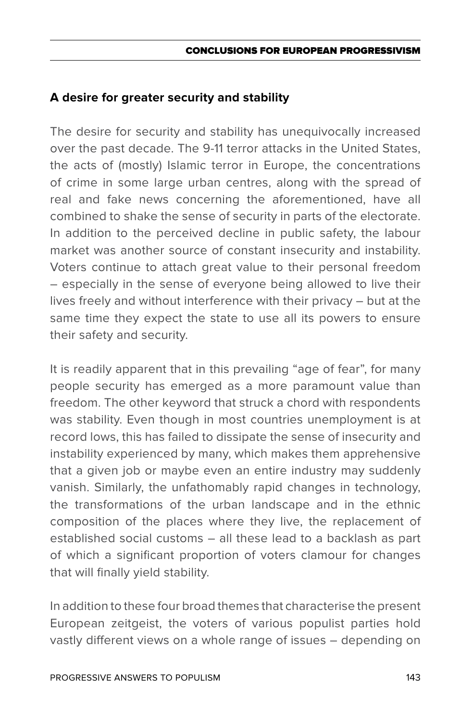### **A desire for greater security and stability**

The desire for security and stability has unequivocally increased over the past decade. The 9-11 terror attacks in the United States, the acts of (mostly) Islamic terror in Europe, the concentrations of crime in some large urban centres, along with the spread of real and fake news concerning the aforementioned, have all combined to shake the sense of security in parts of the electorate. In addition to the perceived decline in public safety, the labour market was another source of constant insecurity and instability. Voters continue to attach great value to their personal freedom – especially in the sense of everyone being allowed to live their lives freely and without interference with their privacy – but at the same time they expect the state to use all its powers to ensure their safety and security.

It is readily apparent that in this prevailing "age of fear", for many people security has emerged as a more paramount value than freedom. The other keyword that struck a chord with respondents was stability. Even though in most countries unemployment is at record lows, this has failed to dissipate the sense of insecurity and instability experienced by many, which makes them apprehensive that a given job or maybe even an entire industry may suddenly vanish. Similarly, the unfathomably rapid changes in technology, the transformations of the urban landscape and in the ethnic composition of the places where they live, the replacement of established social customs – all these lead to a backlash as part of which a significant proportion of voters clamour for changes that will finally yield stability.

In addition to these four broad themes that characterise the present European zeitgeist, the voters of various populist parties hold vastly different views on a whole range of issues – depending on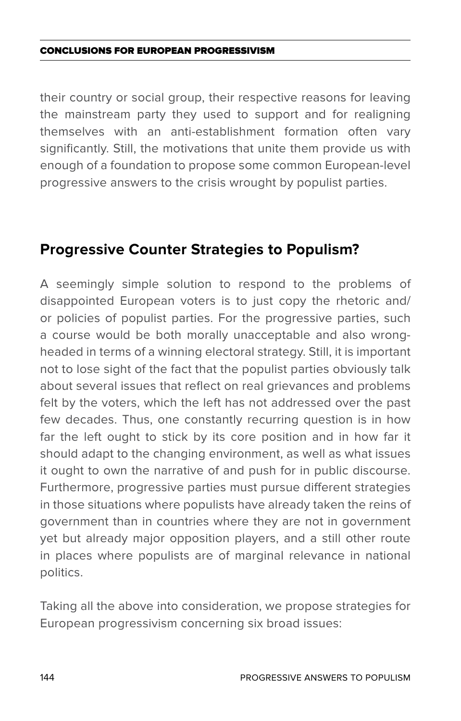#### Conclusions for European progressivism

their country or social group, their respective reasons for leaving the mainstream party they used to support and for realigning themselves with an anti-establishment formation often vary significantly. Still, the motivations that unite them provide us with enough of a foundation to propose some common European-level progressive answers to the crisis wrought by populist parties.

### **Progressive Counter Strategies to Populism?**

A seemingly simple solution to respond to the problems of disappointed European voters is to just copy the rhetoric and/ or policies of populist parties. For the progressive parties, such a course would be both morally unacceptable and also wrongheaded in terms of a winning electoral strategy. Still, it is important not to lose sight of the fact that the populist parties obviously talk about several issues that reflect on real grievances and problems felt by the voters, which the left has not addressed over the past few decades. Thus, one constantly recurring question is in how far the left ought to stick by its core position and in how far it should adapt to the changing environment, as well as what issues it ought to own the narrative of and push for in public discourse. Furthermore, progressive parties must pursue different strategies in those situations where populists have already taken the reins of government than in countries where they are not in government yet but already major opposition players, and a still other route in places where populists are of marginal relevance in national politics.

Taking all the above into consideration, we propose strategies for European progressivism concerning six broad issues: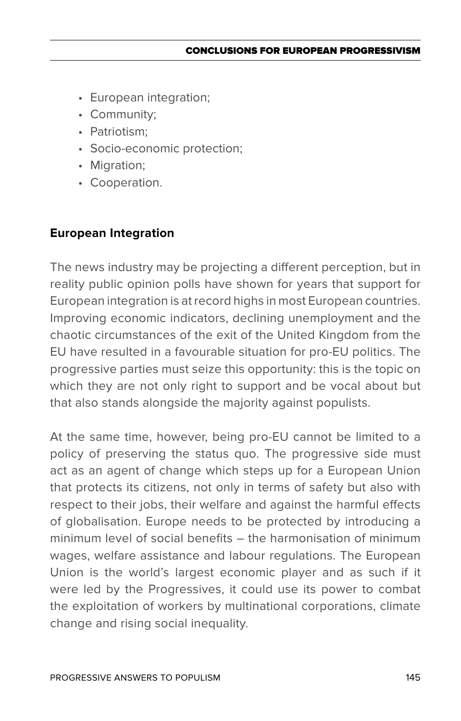- • European integration;
- • Community;
- Patriotism:
- • Socio-economic protection;
- Migration;
- Cooperation.

# **European Integration**

The news industry may be projecting a different perception, but in reality public opinion polls have shown for years that support for European integration is at record highs in most European countries. Improving economic indicators, declining unemployment and the chaotic circumstances of the exit of the United Kingdom from the EU have resulted in a favourable situation for pro-EU politics. The progressive parties must seize this opportunity: this is the topic on which they are not only right to support and be vocal about but that also stands alongside the majority against populists.

At the same time, however, being pro-EU cannot be limited to a policy of preserving the status quo. The progressive side must act as an agent of change which steps up for a European Union that protects its citizens, not only in terms of safety but also with respect to their jobs, their welfare and against the harmful effects of globalisation. Europe needs to be protected by introducing a minimum level of social benefits – the harmonisation of minimum wages, welfare assistance and labour regulations. The European Union is the world's largest economic player and as such if it were led by the Progressives, it could use its power to combat the exploitation of workers by multinational corporations, climate change and rising social inequality.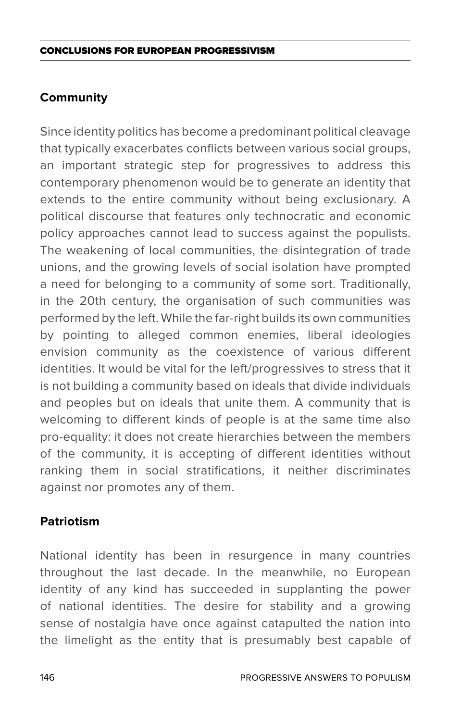# **Community**

Since identity politics has become a predominant political cleavage that typically exacerbates conflicts between various social groups, an important strategic step for progressives to address this contemporary phenomenon would be to generate an identity that extends to the entire community without being exclusionary. A political discourse that features only technocratic and economic policy approaches cannot lead to success against the populists. The weakening of local communities, the disintegration of trade unions, and the growing levels of social isolation have prompted a need for belonging to a community of some sort. Traditionally, in the 20th century, the organisation of such communities was performed by the left. While the far-right builds its own communities by pointing to alleged common enemies, liberal ideologies envision community as the coexistence of various different identities. It would be vital for the left/progressives to stress that it is not building a community based on ideals that divide individuals and peoples but on ideals that unite them. A community that is welcoming to different kinds of people is at the same time also pro-equality: it does not create hierarchies between the members of the community, it is accepting of different identities without ranking them in social stratifications, it neither discriminates against nor promotes any of them.

## **Patriotism**

National identity has been in resurgence in many countries throughout the last decade. In the meanwhile, no European identity of any kind has succeeded in supplanting the power of national identities. The desire for stability and a growing sense of nostalgia have once against catapulted the nation into the limelight as the entity that is presumably best capable of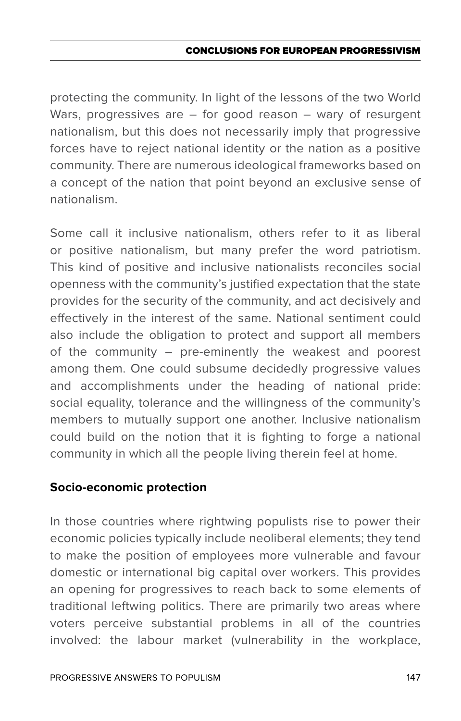## CONCLUSIONS FOR EUROPEAN PROGRESSIVIS

protecting the community. In light of the lessons of the two World Wars, progressives are – for good reason – wary of resurgent nationalism, but this does not necessarily imply that progressive forces have to reject national identity or the nation as a positive community. There are numerous ideological frameworks based on a concept of the nation that point beyond an exclusive sense of nationalism.

Some call it inclusive nationalism, others refer to it as liberal or positive nationalism, but many prefer the word patriotism. This kind of positive and inclusive nationalists reconciles social openness with the community's justified expectation that the state provides for the security of the community, and act decisively and effectively in the interest of the same. National sentiment could also include the obligation to protect and support all members of the community – pre-eminently the weakest and poorest among them. One could subsume decidedly progressive values and accomplishments under the heading of national pride: social equality, tolerance and the willingness of the community's members to mutually support one another. Inclusive nationalism could build on the notion that it is fighting to forge a national community in which all the people living therein feel at home.

## **Socio-economic protection**

In those countries where rightwing populists rise to power their economic policies typically include neoliberal elements; they tend to make the position of employees more vulnerable and favour domestic or international big capital over workers. This provides an opening for progressives to reach back to some elements of traditional leftwing politics. There are primarily two areas where voters perceive substantial problems in all of the countries involved: the labour market (vulnerability in the workplace,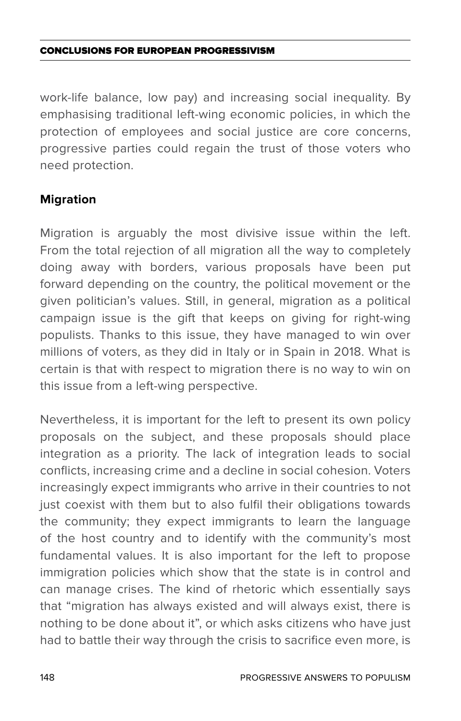### Conclusions for European progressivism

work-life balance, low pay) and increasing social inequality. By emphasising traditional left-wing economic policies, in which the protection of employees and social justice are core concerns, progressive parties could regain the trust of those voters who need protection.

# **Migration**

Migration is arguably the most divisive issue within the left. From the total rejection of all migration all the way to completely doing away with borders, various proposals have been put forward depending on the country, the political movement or the given politician's values. Still, in general, migration as a political campaign issue is the gift that keeps on giving for right-wing populists. Thanks to this issue, they have managed to win over millions of voters, as they did in Italy or in Spain in 2018. What is certain is that with respect to migration there is no way to win on this issue from a left-wing perspective.

Nevertheless, it is important for the left to present its own policy proposals on the subject, and these proposals should place integration as a priority. The lack of integration leads to social conflicts, increasing crime and a decline in social cohesion. Voters increasingly expect immigrants who arrive in their countries to not just coexist with them but to also fulfil their obligations towards the community; they expect immigrants to learn the language of the host country and to identify with the community's most fundamental values. It is also important for the left to propose immigration policies which show that the state is in control and can manage crises. The kind of rhetoric which essentially says that "migration has always existed and will always exist, there is nothing to be done about it", or which asks citizens who have just had to battle their way through the crisis to sacrifice even more, is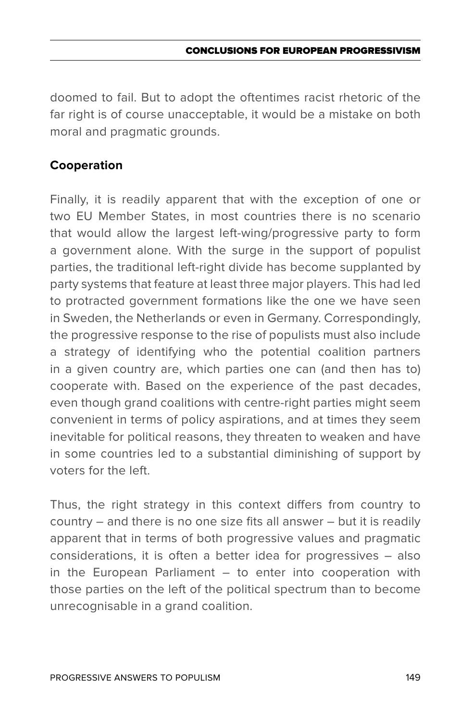doomed to fail. But to adopt the oftentimes racist rhetoric of the far right is of course unacceptable, it would be a mistake on both moral and pragmatic grounds.

# **Cooperation**

Finally, it is readily apparent that with the exception of one or two EU Member States, in most countries there is no scenario that would allow the largest left-wing/progressive party to form a government alone. With the surge in the support of populist parties, the traditional left-right divide has become supplanted by party systems that feature at least three major players. This had led to protracted government formations like the one we have seen in Sweden, the Netherlands or even in Germany. Correspondingly, the progressive response to the rise of populists must also include a strategy of identifying who the potential coalition partners in a given country are, which parties one can (and then has to) cooperate with. Based on the experience of the past decades, even though grand coalitions with centre-right parties might seem convenient in terms of policy aspirations, and at times they seem inevitable for political reasons, they threaten to weaken and have in some countries led to a substantial diminishing of support by voters for the left.

Thus, the right strategy in this context differs from country to country – and there is no one size fits all answer – but it is readily apparent that in terms of both progressive values and pragmatic considerations, it is often a better idea for progressives – also in the European Parliament – to enter into cooperation with those parties on the left of the political spectrum than to become unrecognisable in a grand coalition.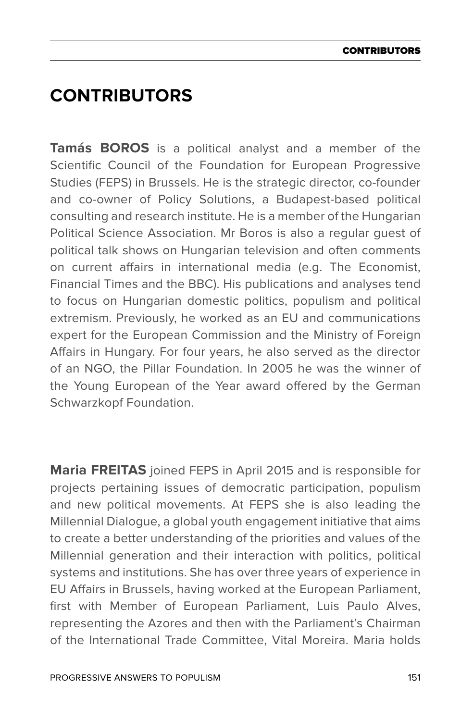# **Contributors**

**Tamás BOROS** is a political analyst and a member of the Scientific Council of the Foundation for European Progressive Studies (FEPS) in Brussels. He is the strategic director, co-founder and co-owner of Policy Solutions, a Budapest-based political consulting and research institute. He is a member of the Hungarian Political Science Association. Mr Boros is also a regular guest of political talk shows on Hungarian television and often comments on current affairs in international media (e.g. The Economist, Financial Times and the BBC). His publications and analyses tend to focus on Hungarian domestic politics, populism and political extremism. Previously, he worked as an EU and communications expert for the European Commission and the Ministry of Foreign Affairs in Hungary. For four years, he also served as the director of an NGO, the Pillar Foundation. In 2005 he was the winner of the Young European of the Year award offered by the German Schwarzkopf Foundation.

**Maria FREITAS** joined FEPS in April 2015 and is responsible for projects pertaining issues of democratic participation, populism and new political movements. At FEPS she is also leading the Millennial Dialogue, a global youth engagement initiative that aims to create a better understanding of the priorities and values of the Millennial generation and their interaction with politics, political systems and institutions. She has over three years of experience in EU Affairs in Brussels, having worked at the European Parliament, first with Member of European Parliament, Luis Paulo Alves, representing the Azores and then with the Parliament's Chairman of the International Trade Committee, Vital Moreira. Maria holds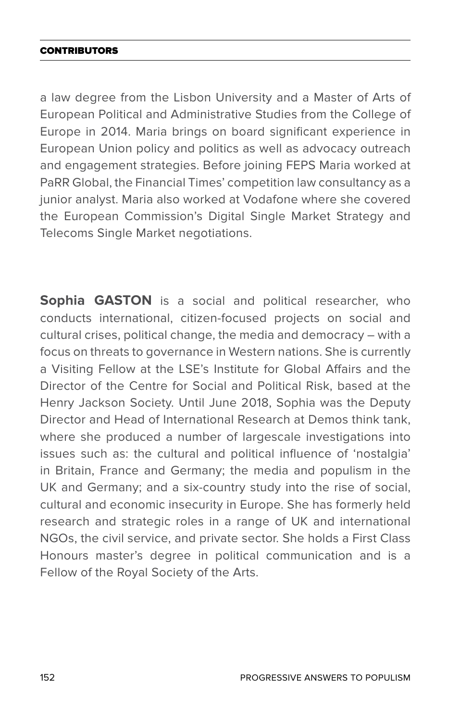### **CONTRIBUTORS**

a law degree from the Lisbon University and a Master of Arts of European Political and Administrative Studies from the College of Europe in 2014. Maria brings on board significant experience in European Union policy and politics as well as advocacy outreach and engagement strategies. Before joining FEPS Maria worked at PaRR Global, the Financial Times' competition law consultancy as a junior analyst. Maria also worked at Vodafone where she covered the European Commission's Digital Single Market Strategy and Telecoms Single Market negotiations.

**Sophia GASTON** is a social and political researcher, who conducts international, citizen-focused projects on social and cultural crises, political change, the media and democracy – with a focus on threats to governance in Western nations. She is currently a Visiting Fellow at the LSE's Institute for Global Affairs and the Director of the Centre for Social and Political Risk, based at the Henry Jackson Society. Until June 2018, Sophia was the Deputy Director and Head of International Research at Demos think tank, where she produced a number of largescale investigations into issues such as: the cultural and political influence of 'nostalgia' in Britain, France and Germany; the media and populism in the UK and Germany; and a six-country study into the rise of social, cultural and economic insecurity in Europe. She has formerly held research and strategic roles in a range of UK and international NGOs, the civil service, and private sector. She holds a First Class Honours master's degree in political communication and is a Fellow of the Royal Society of the Arts.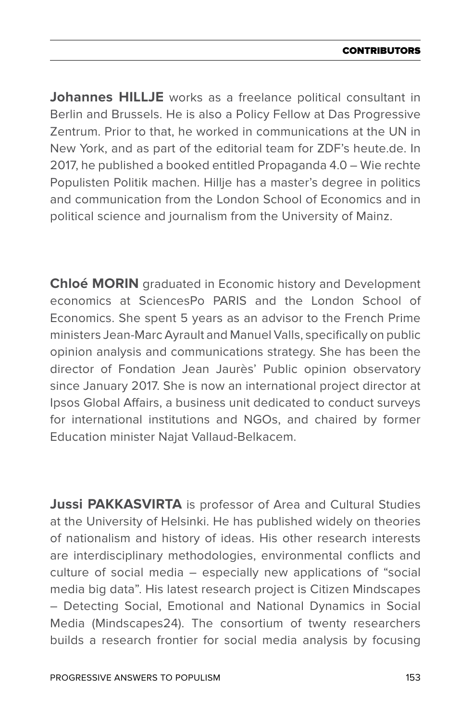**Johannes HILLJE** works as a freelance political consultant in Berlin and Brussels. He is also a Policy Fellow at Das Progressive Zentrum. Prior to that, he worked in communications at the UN in New York, and as part of the editorial team for ZDF's heute.de. In 2017, he published a booked entitled Propaganda 4.0 – Wie rechte Populisten Politik machen. Hillje has a master's degree in politics and communication from the London School of Economics and in political science and journalism from the University of Mainz.

**Chloé MORIN** graduated in Economic history and Development economics at SciencesPo PARIS and the London School of Economics. She spent 5 years as an advisor to the French Prime ministers Jean-Marc Ayrault and Manuel Valls, specifically on public opinion analysis and communications strategy. She has been the director of Fondation Jean Jaurès' Public opinion observatory since January 2017. She is now an international project director at Ipsos Global Affairs, a business unit dedicated to conduct surveys for international institutions and NGOs, and chaired by former Education minister Najat Vallaud-Belkacem.

**Jussi PAKKASVIRTA** is professor of Area and Cultural Studies at the University of Helsinki. He has published widely on theories of nationalism and history of ideas. His other research interests are interdisciplinary methodologies, environmental conflicts and culture of social media – especially new applications of "social media big data". His latest research project is Citizen Mindscapes – Detecting Social, Emotional and National Dynamics in Social Media (Mindscapes24). The consortium of twenty researchers builds a research frontier for social media analysis by focusing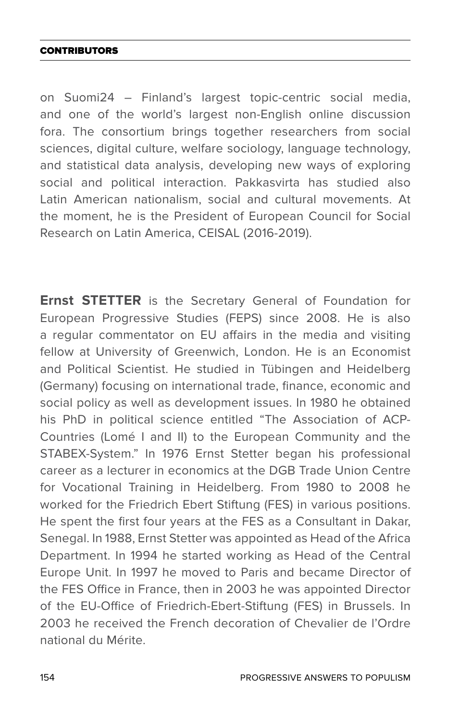### **CONTRIBUTORS**

on Suomi24 – Finland's largest topic-centric social media, and one of the world's largest non-English online discussion fora. The consortium brings together researchers from social sciences, digital culture, welfare sociology, language technology, and statistical data analysis, developing new ways of exploring social and political interaction. Pakkasvirta has studied also Latin American nationalism, social and cultural movements. At the moment, he is the President of European Council for Social Research on Latin America, CEISAL (2016-2019).

**Ernst STETTER** is the Secretary General of Foundation for European Progressive Studies (FEPS) since 2008. He is also a regular commentator on EU affairs in the media and visiting fellow at University of Greenwich, London. He is an Economist and Political Scientist. He studied in Tübingen and Heidelberg (Germany) focusing on international trade, finance, economic and social policy as well as development issues. In 1980 he obtained his PhD in political science entitled "The Association of ACP-Countries (Lomé I and II) to the European Community and the STABEX-System." In 1976 Ernst Stetter began his professional career as a lecturer in economics at the DGB Trade Union Centre for Vocational Training in Heidelberg. From 1980 to 2008 he worked for the Friedrich Ebert Stiftung (FES) in various positions. He spent the first four years at the FES as a Consultant in Dakar, Senegal. In 1988, Ernst Stetter was appointed as Head of the Africa Department. In 1994 he started working as Head of the Central Europe Unit. In 1997 he moved to Paris and became Director of the FES Office in France, then in 2003 he was appointed Director of the EU-Office of Friedrich-Ebert-Stiftung (FES) in Brussels. In 2003 he received the French decoration of Chevalier de l'Ordre national du Mérite.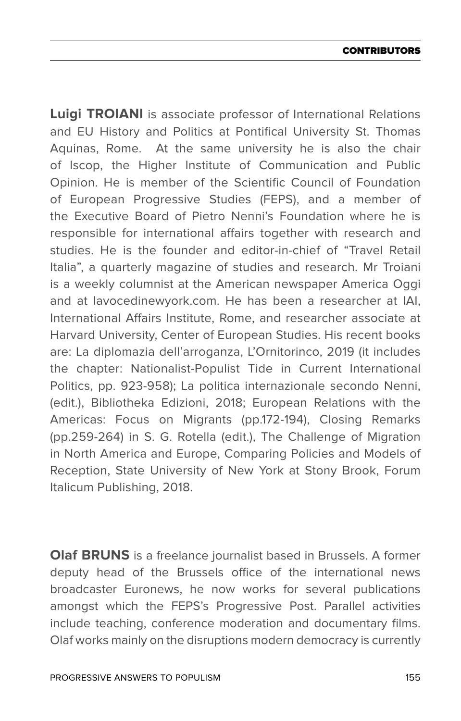**Luigi TROIANI** is associate professor of International Relations and EU History and Politics at Pontifical University St. Thomas Aquinas, Rome. At the same university he is also the chair of Iscop, the Higher Institute of Communication and Public Opinion. He is member of the Scientific Council of Foundation of European Progressive Studies (FEPS), and a member of the Executive Board of Pietro Nenni's Foundation where he is responsible for international affairs together with research and studies. He is the founder and editor-in-chief of "Travel Retail Italia", a quarterly magazine of studies and research. Mr Troiani is a weekly columnist at the American newspaper America Oggi and at lavocedinewyork.com. He has been a researcher at IAI, International Affairs Institute, Rome, and researcher associate at Harvard University, Center of European Studies. His recent books are: La diplomazia dell'arroganza, L'Ornitorinco, 2019 (it includes the chapter: Nationalist-Populist Tide in Current International Politics, pp. 923-958); La politica internazionale secondo Nenni, (edit.), Bibliotheka Edizioni, 2018; European Relations with the Americas: Focus on Migrants (pp.172-194), Closing Remarks (pp.259-264) in S. G. Rotella (edit.), The Challenge of Migration in North America and Europe, Comparing Policies and Models of Reception, State University of New York at Stony Brook, Forum Italicum Publishing, 2018.

**Olaf BRUNS** is a freelance journalist based in Brussels. A former deputy head of the Brussels office of the international news broadcaster Euronews, he now works for several publications amongst which the FEPS's Progressive Post. Parallel activities include teaching, conference moderation and documentary films. Olaf works mainly on the disruptions modern democracy is currently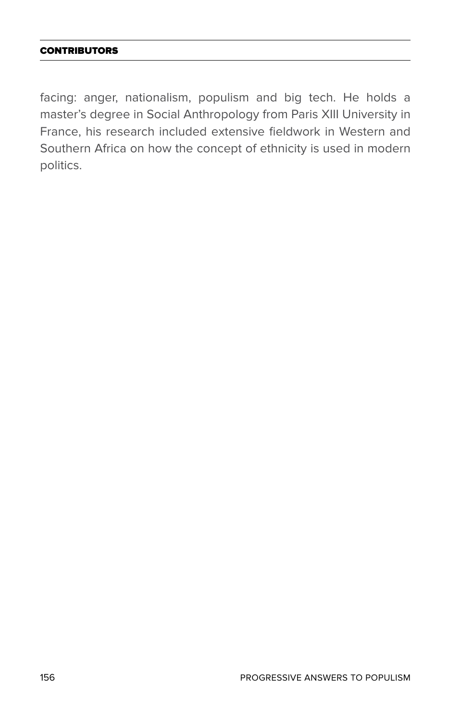## **CONTRIBUTORS**

facing: anger, nationalism, populism and big tech. He holds a master's degree in Social Anthropology from Paris XIII University in France, his research included extensive fieldwork in Western and Southern Africa on how the concept of ethnicity is used in modern politics.